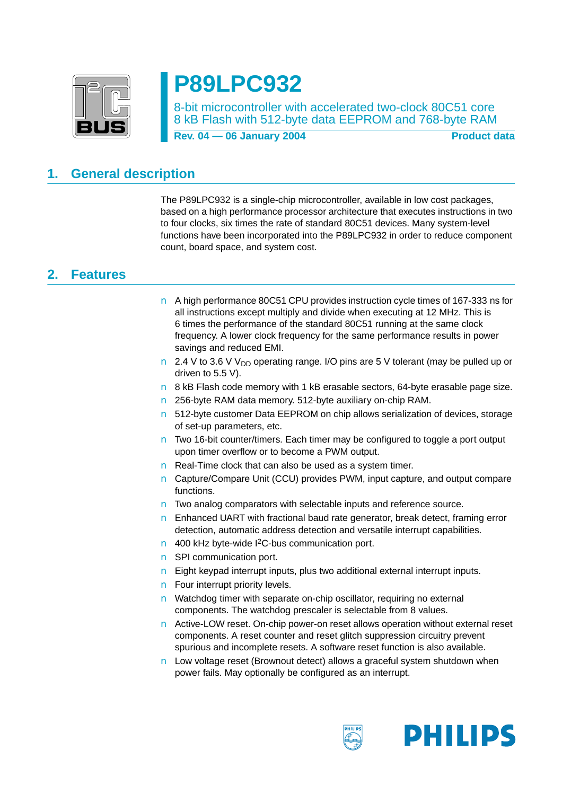

# **P89LPC932**

8-bit microcontroller with accelerated two-clock 80C51 core 8 kB Flash with 512-byte data EEPROM and 768-byte RAM

**Rev. 04 – 06 January 2004** Product data

## <span id="page-0-0"></span>**1. General description**

The P89LPC932 is a single-chip microcontroller, available in low cost packages, based on a high performance processor architecture that executes instructions in two to four clocks, six times the rate of standard 80C51 devices. Many system-level functions have been incorporated into the P89LPC932 in order to reduce component count, board space, and system cost.

#### <span id="page-0-1"></span>**2. Features**

- A high performance 80C51 CPU provides instruction cycle times of 167-333 ns for all instructions except multiply and divide when executing at 12 MHz. This is 6 times the performance of the standard 80C51 running at the same clock frequency. A lower clock frequency for the same performance results in power savings and reduced EMI.
- 2.4 V to 3.6 V V<sub>DD</sub> operating range. I/O pins are 5 V tolerant (may be pulled up or driven to 5.5 V).
- 8 kB Flash code memory with 1 kB erasable sectors, 64-byte erasable page size.
- 256-byte RAM data memory. 512-byte auxiliary on-chip RAM.
- 512-byte customer Data EEPROM on chip allows serialization of devices, storage of set-up parameters, etc.
- Two 16-bit counter/timers. Each timer may be configured to toggle a port output upon timer overflow or to become a PWM output.
- Real-Time clock that can also be used as a system timer.
- Capture/Compare Unit (CCU) provides PWM, input capture, and output compare functions.
- Two analog comparators with selectable inputs and reference source.
- Enhanced UART with fractional baud rate generator, break detect, framing error detection, automatic address detection and versatile interrupt capabilities.
- 400 kHz byte-wide <sup>12</sup>C-bus communication port.
- SPI communication port.
- Eight keypad interrupt inputs, plus two additional external interrupt inputs.
- Four interrupt priority levels.
- Watchdog timer with separate on-chip oscillator, requiring no external components. The watchdog prescaler is selectable from 8 values.
- Active-LOW reset. On-chip power-on reset allows operation without external reset components. A reset counter and reset glitch suppression circuitry prevent spurious and incomplete resets. A software reset function is also available.
- Low voltage reset (Brownout detect) allows a graceful system shutdown when power fails. May optionally be configured as an interrupt.

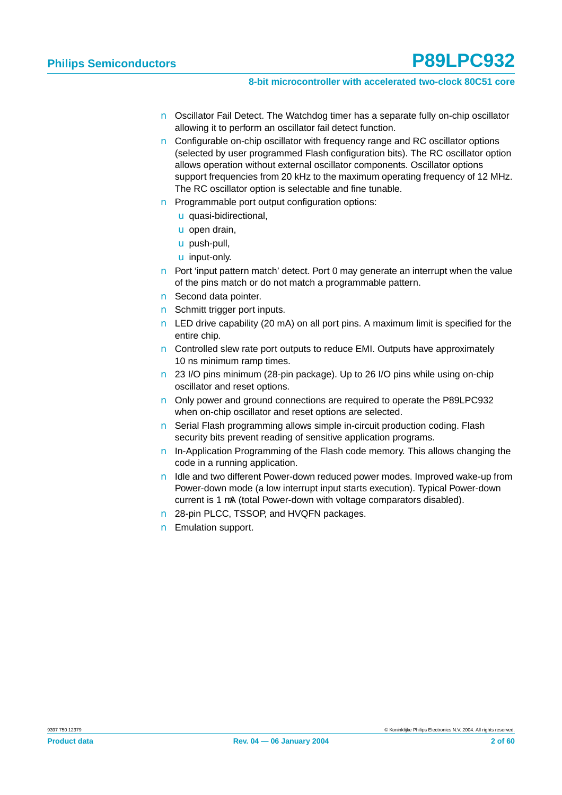- Oscillator Fail Detect. The Watchdog timer has a separate fully on-chip oscillator allowing it to perform an oscillator fail detect function.
- Configurable on-chip oscillator with frequency range and RC oscillator options (selected by user programmed Flash configuration bits). The RC oscillator option allows operation without external oscillator components. Oscillator options support frequencies from 20 kHz to the maximum operating frequency of 12 MHz. The RC oscillator option is selectable and fine tunable.
- **Programmable port output configuration options:** 
	- ◆ quasi-bidirectional,
	- ◆ open drain,
	- ◆ push-pull,
	- ◆ input-only.
- Port 'input pattern match' detect. Port 0 may generate an interrupt when the value of the pins match or do not match a programmable pattern.
- Second data pointer.
- Schmitt trigger port inputs.
- LED drive capability (20 mA) on all port pins. A maximum limit is specified for the entire chip.
- Controlled slew rate port outputs to reduce EMI. Outputs have approximately 10 ns minimum ramp times.
- 23 I/O pins minimum (28-pin package). Up to 26 I/O pins while using on-chip oscillator and reset options.
- Only power and ground connections are required to operate the P89LPC932 when on-chip oscillator and reset options are selected.
- Serial Flash programming allows simple in-circuit production coding. Flash security bits prevent reading of sensitive application programs.
- In-Application Programming of the Flash code memory. This allows changing the code in a running application.
- Idle and two different Power-down reduced power modes. Improved wake-up from Power-down mode (a low interrupt input starts execution). Typical Power-down current is 1 µA (total Power-down with voltage comparators disabled).
- 28-pin PLCC, TSSOP, and HVQFN packages.
- Emulation support.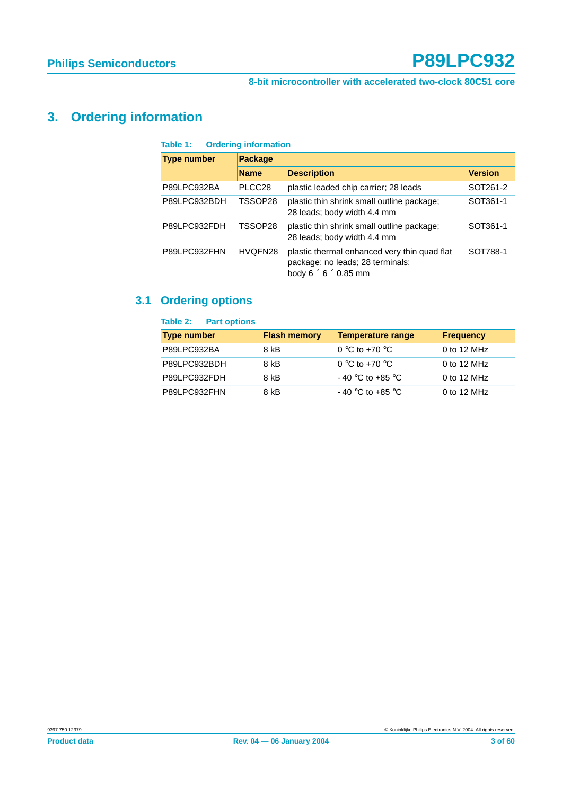#### **8-bit microcontroller with accelerated two-clock 80C51 core**

## <span id="page-2-0"></span>**3. Ordering information**

| Table 1:           | <b>Ordering information</b> |                                                                                                                      |                |  |  |  |  |  |  |  |  |  |
|--------------------|-----------------------------|----------------------------------------------------------------------------------------------------------------------|----------------|--|--|--|--|--|--|--|--|--|
| <b>Type number</b> | <b>Package</b>              |                                                                                                                      |                |  |  |  |  |  |  |  |  |  |
|                    | <b>Name</b>                 | <b>Description</b>                                                                                                   | <b>Version</b> |  |  |  |  |  |  |  |  |  |
| P89LPC932BA        | PLCC <sub>28</sub>          | plastic leaded chip carrier; 28 leads                                                                                | SOT261-2       |  |  |  |  |  |  |  |  |  |
| P89LPC932BDH       | TSSOP28                     | plastic thin shrink small outline package;<br>28 leads; body width 4.4 mm                                            | SOT361-1       |  |  |  |  |  |  |  |  |  |
| P89LPC932FDH       | TSSOP28                     | plastic thin shrink small outline package;<br>28 leads; body width 4.4 mm                                            | SOT361-1       |  |  |  |  |  |  |  |  |  |
| P89LPC932FHN       | HVQFN28                     | plastic thermal enhanced very thin quad flat<br>package; no leads; 28 terminals;<br>body $6 \times 6 \times 0.85$ mm | SOT788-1       |  |  |  |  |  |  |  |  |  |

## <span id="page-2-1"></span>**3.1 Ordering options**

| <b>Part options</b><br>Table 2: |                     |                          |                  |
|---------------------------------|---------------------|--------------------------|------------------|
| <b>Type number</b>              | <b>Flash memory</b> | <b>Temperature range</b> | <b>Frequency</b> |
| P89LPC932BA                     | 8 kB                | 0 °C to +70 °C           | 0 to 12 MHz      |
| P89LPC932BDH                    | 8 kB                | 0 °C to +70 °C           | 0 to 12 $MHz$    |
| P89LPC932FDH                    | 8 kB                | $-40$ °C to +85 °C       | 0 to 12 $MHz$    |
| P89LPC932FHN                    | 8 kB                | $-40$ °C to +85 °C       | 0 to 12 MHz      |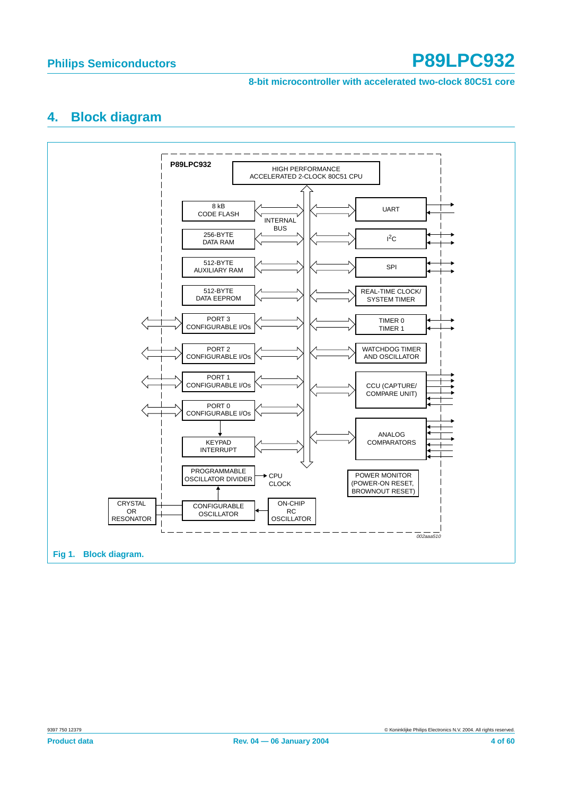#### **8-bit microcontroller with accelerated two-clock 80C51 core**

#### <span id="page-3-0"></span>**4. Block diagram**

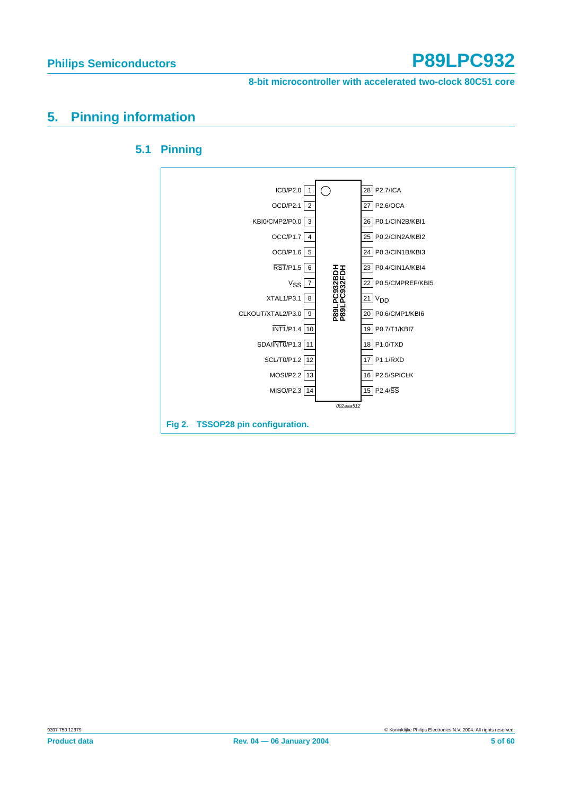**8-bit microcontroller with accelerated two-clock 80C51 core**

## <span id="page-4-1"></span><span id="page-4-0"></span>**5. Pinning information**



#### **5.1 Pinning**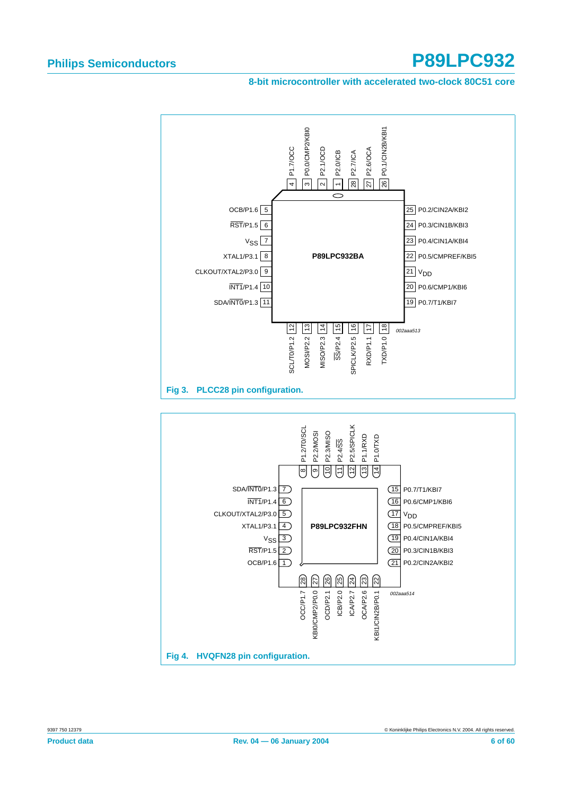#### **8-bit microcontroller with accelerated two-clock 80C51 core**

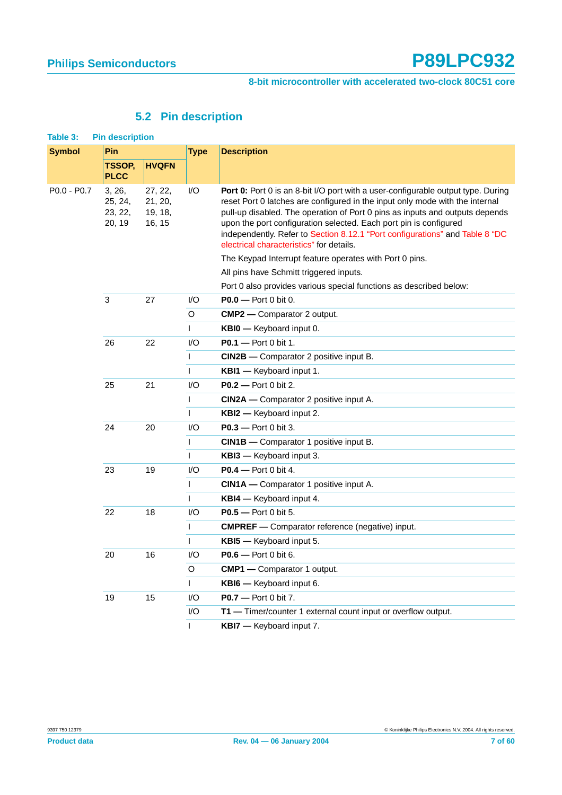## **5.2 Pin description**

<span id="page-6-0"></span>

| <b>Symbol</b> | Pin                                    |                                         | <b>Type</b> | <b>Description</b>                                                                                                                                                                                                                                                                                                                                                                                                                                |
|---------------|----------------------------------------|-----------------------------------------|-------------|---------------------------------------------------------------------------------------------------------------------------------------------------------------------------------------------------------------------------------------------------------------------------------------------------------------------------------------------------------------------------------------------------------------------------------------------------|
|               | TSSOP,<br><b>PLCC</b>                  | <b>HVQFN</b>                            |             |                                                                                                                                                                                                                                                                                                                                                                                                                                                   |
| $PO.0 - PO.7$ | 3, 26,<br>25, 24,<br>23, 22,<br>20, 19 | 27, 22,<br>21, 20,<br>19, 18,<br>16, 15 | I/O         | Port 0: Port 0 is an 8-bit I/O port with a user-configurable output type. During<br>reset Port 0 latches are configured in the input only mode with the internal<br>pull-up disabled. The operation of Port 0 pins as inputs and outputs depends<br>upon the port configuration selected. Each port pin is configured<br>independently. Refer to Section 8.12.1 "Port configurations" and Table 8 "DC<br>electrical characteristics" for details. |
|               |                                        |                                         |             | The Keypad Interrupt feature operates with Port 0 pins.                                                                                                                                                                                                                                                                                                                                                                                           |
|               |                                        |                                         |             | All pins have Schmitt triggered inputs.                                                                                                                                                                                                                                                                                                                                                                                                           |
|               |                                        |                                         |             | Port 0 also provides various special functions as described below:                                                                                                                                                                                                                                                                                                                                                                                |
|               | 3                                      | 27                                      | I/O         | $P0.0 - Port 0 bit 0.$                                                                                                                                                                                                                                                                                                                                                                                                                            |
|               |                                        |                                         | O           | <b>CMP2</b> - Comparator 2 output.                                                                                                                                                                                                                                                                                                                                                                                                                |
|               |                                        |                                         | L           | KBI0 - Keyboard input 0.                                                                                                                                                                                                                                                                                                                                                                                                                          |
|               | 26                                     | 22                                      | I/O         | <b>P0.1</b> - Port 0 bit 1.                                                                                                                                                                                                                                                                                                                                                                                                                       |
|               |                                        |                                         | I           | <b>CIN2B</b> - Comparator 2 positive input B.                                                                                                                                                                                                                                                                                                                                                                                                     |
|               |                                        |                                         | T           | KBI1 - Keyboard input 1.                                                                                                                                                                                                                                                                                                                                                                                                                          |
|               | 25                                     | 21                                      | I/O         | <b>P0.2</b> - Port 0 bit 2.                                                                                                                                                                                                                                                                                                                                                                                                                       |
|               |                                        |                                         | T           | CIN2A — Comparator 2 positive input A.                                                                                                                                                                                                                                                                                                                                                                                                            |
|               |                                        | <b>KBI2</b> - Keyboard input 2.<br>I.   |             |                                                                                                                                                                                                                                                                                                                                                                                                                                                   |
|               | 24                                     | 20                                      | I/O         | <b>P0.3</b> - Port 0 bit 3.                                                                                                                                                                                                                                                                                                                                                                                                                       |
|               |                                        |                                         | T           | <b>CIN1B</b> - Comparator 1 positive input B.                                                                                                                                                                                                                                                                                                                                                                                                     |
|               |                                        |                                         | T           | <b>KBI3</b> - Keyboard input 3.                                                                                                                                                                                                                                                                                                                                                                                                                   |
|               | 23                                     | 19                                      | I/O         | $P0.4$ - Port 0 bit 4.                                                                                                                                                                                                                                                                                                                                                                                                                            |
|               |                                        |                                         | I           | CIN1A - Comparator 1 positive input A.                                                                                                                                                                                                                                                                                                                                                                                                            |
|               |                                        |                                         | T           | KBI4 - Keyboard input 4.                                                                                                                                                                                                                                                                                                                                                                                                                          |
|               | 22                                     | 18                                      | I/O         | <b>P0.5</b> — Port 0 bit 5.                                                                                                                                                                                                                                                                                                                                                                                                                       |
|               |                                        |                                         | I           | <b>CMPREF</b> - Comparator reference (negative) input.                                                                                                                                                                                                                                                                                                                                                                                            |
|               |                                        |                                         |             | KBI5 - Keyboard input 5.                                                                                                                                                                                                                                                                                                                                                                                                                          |
|               | 20                                     | 16                                      | I/O         | <b>P0.6</b> — Port 0 bit 6.                                                                                                                                                                                                                                                                                                                                                                                                                       |
|               |                                        |                                         | O           | <b>CMP1</b> - Comparator 1 output.                                                                                                                                                                                                                                                                                                                                                                                                                |
|               |                                        |                                         | L           | KBI6 - Keyboard input 6.                                                                                                                                                                                                                                                                                                                                                                                                                          |
|               | 19                                     | 15                                      | I/O         | P0.7 - Port 0 bit 7.                                                                                                                                                                                                                                                                                                                                                                                                                              |
|               |                                        |                                         | I/O         | T1 - Timer/counter 1 external count input or overflow output.                                                                                                                                                                                                                                                                                                                                                                                     |
|               |                                        |                                         | T           | KBI7 - Keyboard input 7.                                                                                                                                                                                                                                                                                                                                                                                                                          |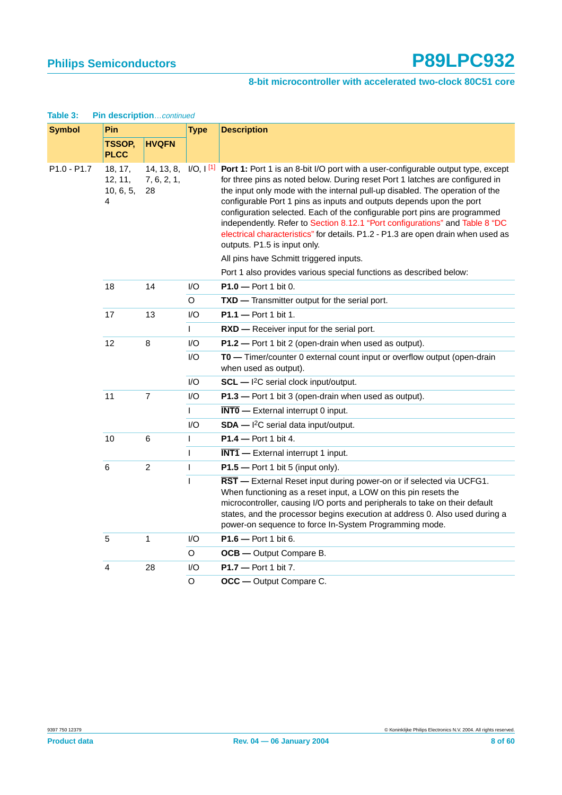#### **8-bit microcontroller with accelerated two-clock 80C51 core**

| <b>Symbol</b> | Pin                                  |                   | <b>Type</b>  | <b>Description</b>                                                                                                                                                                                                                                                                                                                                                                                                                                                                                                                                                                                                                         |
|---------------|--------------------------------------|-------------------|--------------|--------------------------------------------------------------------------------------------------------------------------------------------------------------------------------------------------------------------------------------------------------------------------------------------------------------------------------------------------------------------------------------------------------------------------------------------------------------------------------------------------------------------------------------------------------------------------------------------------------------------------------------------|
|               | <b>TSSOP,</b><br><b>PLCC</b>         | <b>HVQFN</b>      |              |                                                                                                                                                                                                                                                                                                                                                                                                                                                                                                                                                                                                                                            |
| P1.0 - P1.7   | 18, 17,<br>12, 11,<br>10, 6, 5,<br>4 | 7, 6, 2, 1,<br>28 |              | 14, 13, 8, I/O, I <sup>[1]</sup> Port 1: Port 1 is an 8-bit I/O port with a user-configurable output type, except<br>for three pins as noted below. During reset Port 1 latches are configured in<br>the input only mode with the internal pull-up disabled. The operation of the<br>configurable Port 1 pins as inputs and outputs depends upon the port<br>configuration selected. Each of the configurable port pins are programmed<br>independently. Refer to Section 8.12.1 "Port configurations" and Table 8 "DC<br>electrical characteristics" for details. P1.2 - P1.3 are open drain when used as<br>outputs. P1.5 is input only. |
|               |                                      |                   |              | All pins have Schmitt triggered inputs.                                                                                                                                                                                                                                                                                                                                                                                                                                                                                                                                                                                                    |
|               |                                      |                   |              | Port 1 also provides various special functions as described below:                                                                                                                                                                                                                                                                                                                                                                                                                                                                                                                                                                         |
|               | 18                                   | 14                | I/O          | P1.0 - Port 1 bit 0.                                                                                                                                                                                                                                                                                                                                                                                                                                                                                                                                                                                                                       |
|               |                                      |                   | $\circ$      | TXD - Transmitter output for the serial port.                                                                                                                                                                                                                                                                                                                                                                                                                                                                                                                                                                                              |
|               | 17                                   | 13                | I/O          | P1.1 - Port 1 bit 1.                                                                                                                                                                                                                                                                                                                                                                                                                                                                                                                                                                                                                       |
|               |                                      |                   | T            | RXD - Receiver input for the serial port.                                                                                                                                                                                                                                                                                                                                                                                                                                                                                                                                                                                                  |
|               | 12                                   | 8                 | 1/O          | P1.2 - Port 1 bit 2 (open-drain when used as output).                                                                                                                                                                                                                                                                                                                                                                                                                                                                                                                                                                                      |
|               |                                      |                   | I/O          | TO - Timer/counter 0 external count input or overflow output (open-drain<br>when used as output).                                                                                                                                                                                                                                                                                                                                                                                                                                                                                                                                          |
|               |                                      |                   | I/O          | $SCL - I2C$ serial clock input/output.                                                                                                                                                                                                                                                                                                                                                                                                                                                                                                                                                                                                     |
|               | 11                                   | $\overline{7}$    | I/O          | P1.3 - Port 1 bit 3 (open-drain when used as output).                                                                                                                                                                                                                                                                                                                                                                                                                                                                                                                                                                                      |
|               |                                      |                   | $\mathsf{L}$ | $\overline{\text{INT0}}$ - External interrupt 0 input.                                                                                                                                                                                                                                                                                                                                                                                                                                                                                                                                                                                     |
|               |                                      |                   | I/O          | $SDA - l^2C$ serial data input/output.                                                                                                                                                                                                                                                                                                                                                                                                                                                                                                                                                                                                     |
|               | 10                                   | 6                 | $\mathbf{I}$ | $P1.4 - Port 1 bit 4.$                                                                                                                                                                                                                                                                                                                                                                                                                                                                                                                                                                                                                     |
|               |                                      |                   | $\mathbf{I}$ | $\overline{\text{INT1}}$ - External interrupt 1 input.                                                                                                                                                                                                                                                                                                                                                                                                                                                                                                                                                                                     |
|               | 6                                    | $\overline{c}$    | T            | $P1.5$ - Port 1 bit 5 (input only).                                                                                                                                                                                                                                                                                                                                                                                                                                                                                                                                                                                                        |
|               |                                      |                   | $\mathsf{I}$ | RST - External Reset input during power-on or if selected via UCFG1.<br>When functioning as a reset input, a LOW on this pin resets the<br>microcontroller, causing I/O ports and peripherals to take on their default<br>states, and the processor begins execution at address 0. Also used during a<br>power-on sequence to force In-System Programming mode.                                                                                                                                                                                                                                                                            |
|               | 5                                    | $\mathbf{1}$      | 1/O          | $P1.6 - Port 1 bit 6.$                                                                                                                                                                                                                                                                                                                                                                                                                                                                                                                                                                                                                     |
|               |                                      |                   | O            | <b>OCB</b> - Output Compare B.                                                                                                                                                                                                                                                                                                                                                                                                                                                                                                                                                                                                             |
|               | $\overline{\mathbf{4}}$              | 28                | I/O          | P1.7 - Port 1 bit 7.                                                                                                                                                                                                                                                                                                                                                                                                                                                                                                                                                                                                                       |
|               |                                      |                   | O            | OCC - Output Compare C.                                                                                                                                                                                                                                                                                                                                                                                                                                                                                                                                                                                                                    |

#### **Table 3: Pin description**…continued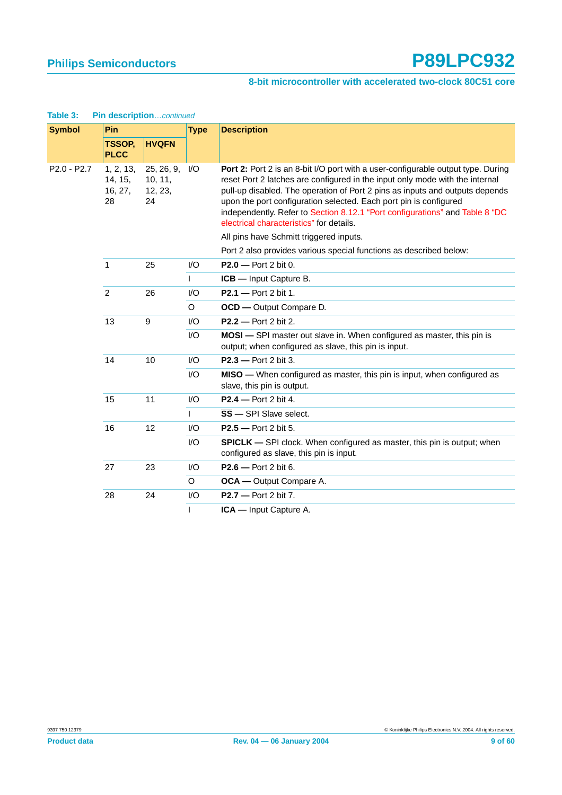#### **8-bit microcontroller with accelerated two-clock 80C51 core**

| <b>Symbol</b> | Pin                                   |                                        | <b>Type</b>             | <b>Description</b>                                                                                                                                                                                                                                                                                                                                                                                                                                       |
|---------------|---------------------------------------|----------------------------------------|-------------------------|----------------------------------------------------------------------------------------------------------------------------------------------------------------------------------------------------------------------------------------------------------------------------------------------------------------------------------------------------------------------------------------------------------------------------------------------------------|
|               | <b>TSSOP,</b><br><b>PLCC</b>          | <b>HVQFN</b>                           |                         |                                                                                                                                                                                                                                                                                                                                                                                                                                                          |
| $P2.0 - P2.7$ | 1, 2, 13,<br>14, 15,<br>16, 27,<br>28 | 25, 26, 9,<br>10, 11,<br>12, 23,<br>24 | 1/O                     | <b>Port 2:</b> Port 2 is an 8-bit I/O port with a user-configurable output type. During<br>reset Port 2 latches are configured in the input only mode with the internal<br>pull-up disabled. The operation of Port 2 pins as inputs and outputs depends<br>upon the port configuration selected. Each port pin is configured<br>independently. Refer to Section 8.12.1 "Port configurations" and Table 8 "DC<br>electrical characteristics" for details. |
|               |                                       |                                        |                         | All pins have Schmitt triggered inputs.                                                                                                                                                                                                                                                                                                                                                                                                                  |
|               |                                       |                                        |                         | Port 2 also provides various special functions as described below:                                                                                                                                                                                                                                                                                                                                                                                       |
|               | $\mathbf{1}$                          | 25                                     | I/O                     | $P2.0 - Port 2 bit 0.$                                                                                                                                                                                                                                                                                                                                                                                                                                   |
|               |                                       |                                        | T                       | ICB - Input Capture B.                                                                                                                                                                                                                                                                                                                                                                                                                                   |
|               | $\overline{2}$                        | 26                                     | I/O                     | P2.1 - Port 2 bit 1.                                                                                                                                                                                                                                                                                                                                                                                                                                     |
|               |                                       |                                        | O                       | OCD - Output Compare D.                                                                                                                                                                                                                                                                                                                                                                                                                                  |
|               | 13                                    | $\boldsymbol{9}$                       | I/O                     | $P2.2 - Port 2 bit 2.$                                                                                                                                                                                                                                                                                                                                                                                                                                   |
|               |                                       |                                        | I/O                     | MOSI - SPI master out slave in. When configured as master, this pin is<br>output; when configured as slave, this pin is input.                                                                                                                                                                                                                                                                                                                           |
|               | 14                                    | 10                                     | I/O                     | $P2.3 - Port 2 bit 3.$                                                                                                                                                                                                                                                                                                                                                                                                                                   |
|               |                                       |                                        | $\mathsf{I}/\mathsf{O}$ | <b>MISO</b> — When configured as master, this pin is input, when configured as<br>slave, this pin is output.                                                                                                                                                                                                                                                                                                                                             |
|               | 15                                    | 11                                     | $\mathsf{I}/\mathsf{O}$ | $P2.4$ - Port 2 bit 4.                                                                                                                                                                                                                                                                                                                                                                                                                                   |
|               |                                       |                                        | T.                      | $\overline{\text{SS}}$ - SPI Slave select.                                                                                                                                                                                                                                                                                                                                                                                                               |
|               | 16                                    | 12                                     | I/O                     | $P2.5 - Port 2 bit 5.$                                                                                                                                                                                                                                                                                                                                                                                                                                   |
|               |                                       |                                        | $\mathsf{I}/\mathsf{O}$ | <b>SPICLK</b> — SPI clock. When configured as master, this pin is output; when<br>configured as slave, this pin is input.                                                                                                                                                                                                                                                                                                                                |
|               | 27                                    | 23                                     | I/O                     | $P2.6$ - Port 2 bit 6.                                                                                                                                                                                                                                                                                                                                                                                                                                   |
|               |                                       |                                        | O                       | <b>OCA</b> - Output Compare A.                                                                                                                                                                                                                                                                                                                                                                                                                           |
|               | 28                                    | 24                                     | I/O                     | $P2.7$ - Port 2 bit 7.                                                                                                                                                                                                                                                                                                                                                                                                                                   |
|               |                                       |                                        | T                       | ICA - Input Capture A.                                                                                                                                                                                                                                                                                                                                                                                                                                   |

#### **Table 3: Pin description**…continued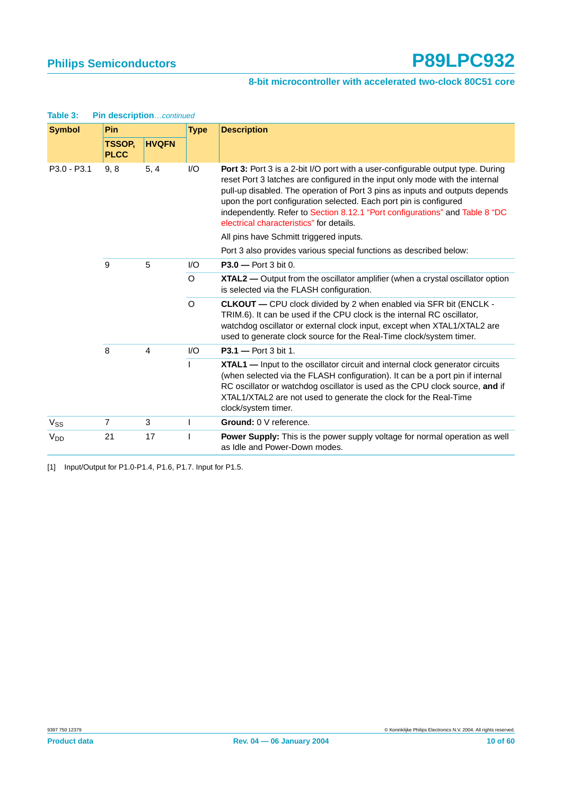| <b>Symbol</b>         | <b>Pin</b>            |                | <b>Type</b> | <b>Description</b>                                                                                                                                                                                                                                                                                                                                                                                                                               |
|-----------------------|-----------------------|----------------|-------------|--------------------------------------------------------------------------------------------------------------------------------------------------------------------------------------------------------------------------------------------------------------------------------------------------------------------------------------------------------------------------------------------------------------------------------------------------|
|                       | TSSOP.<br><b>PLCC</b> | <b>HVQFN</b>   |             |                                                                                                                                                                                                                                                                                                                                                                                                                                                  |
| P3.0 - P3.1           | 9, 8                  | 5, 4           | I/O         | Port 3: Port 3 is a 2-bit I/O port with a user-configurable output type. During<br>reset Port 3 latches are configured in the input only mode with the internal<br>pull-up disabled. The operation of Port 3 pins as inputs and outputs depends<br>upon the port configuration selected. Each port pin is configured<br>independently. Refer to Section 8.12.1 "Port configurations" and Table 8 "DC<br>electrical characteristics" for details. |
|                       |                       |                |             | All pins have Schmitt triggered inputs.                                                                                                                                                                                                                                                                                                                                                                                                          |
|                       |                       |                |             | Port 3 also provides various special functions as described below:                                                                                                                                                                                                                                                                                                                                                                               |
|                       | 9                     | 5              | 1/O         | $P3.0 - Port 3 bit 0.$                                                                                                                                                                                                                                                                                                                                                                                                                           |
|                       |                       |                | O           | XTAL2 — Output from the oscillator amplifier (when a crystal oscillator option<br>is selected via the FLASH configuration.                                                                                                                                                                                                                                                                                                                       |
|                       |                       |                | $\circ$     | <b>CLKOUT</b> — CPU clock divided by 2 when enabled via SFR bit (ENCLK -<br>TRIM.6). It can be used if the CPU clock is the internal RC oscillator,<br>watchdog oscillator or external clock input, except when XTAL1/XTAL2 are<br>used to generate clock source for the Real-Time clock/system timer.                                                                                                                                           |
|                       | 8                     | $\overline{4}$ | 1/O         | $P3.1 - Port 3 bit 1.$                                                                                                                                                                                                                                                                                                                                                                                                                           |
|                       |                       |                |             | <b>XTAL1</b> — Input to the oscillator circuit and internal clock generator circuits<br>(when selected via the FLASH configuration). It can be a port pin if internal<br>RC oscillator or watchdog oscillator is used as the CPU clock source, and if<br>XTAL1/XTAL2 are not used to generate the clock for the Real-Time<br>clock/system timer.                                                                                                 |
| $V_{SS}$              | $\overline{7}$        | 3              |             | Ground: 0 V reference.                                                                                                                                                                                                                                                                                                                                                                                                                           |
| <b>V<sub>DD</sub></b> | 21                    | 17             |             | Power Supply: This is the power supply voltage for normal operation as well<br>as Idle and Power-Down modes.                                                                                                                                                                                                                                                                                                                                     |

**Table 3: Pin description**…continued

<span id="page-9-0"></span>[1] Input/Output for P1.0-P1.4, P1.6, P1.7. Input for P1.5.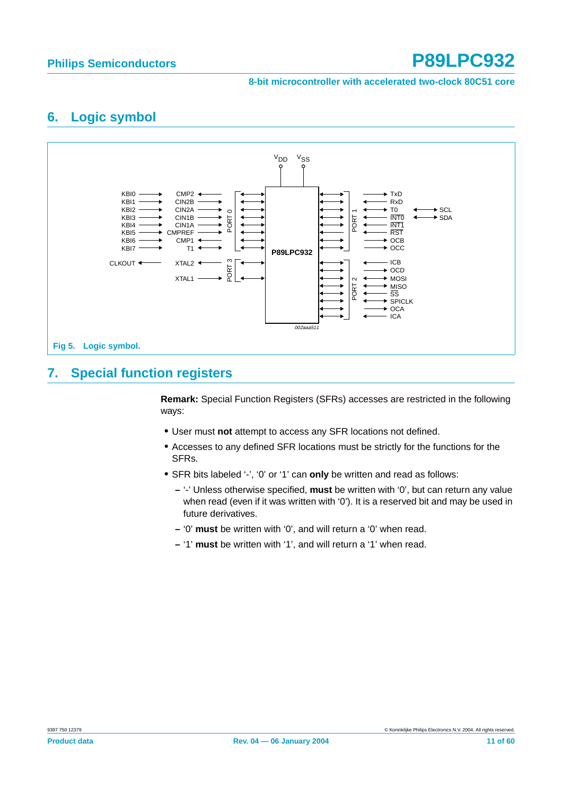**8-bit microcontroller with accelerated two-clock 80C51 core**

## <span id="page-10-0"></span>**6. Logic symbol**



## <span id="page-10-1"></span>**7. Special function registers**

**Remark:** Special Function Registers (SFRs) accesses are restricted in the following ways:

- **•** User must **not** attempt to access any SFR locations not defined.
- **•** Accesses to any defined SFR locations must be strictly for the functions for the SFRs.
- **•** SFR bits labeled '-', '0' or '1' can **only** be written and read as follows:
	- **–** '-' Unless otherwise specified, **must** be written with '0', but can return any value when read (even if it was written with '0'). It is a reserved bit and may be used in future derivatives.
	- **–** '0' **must** be written with '0', and will return a '0' when read.
	- **–** '1' **must** be written with '1', and will return a '1' when read.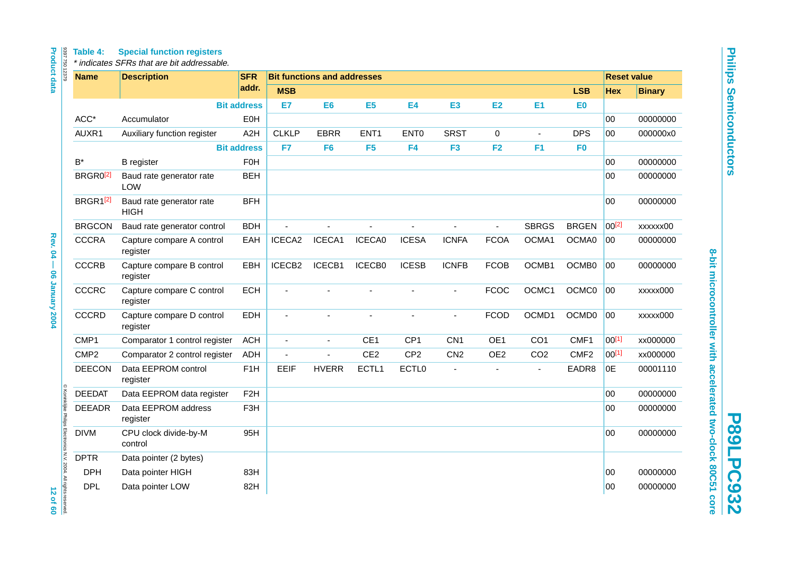**Philips Semiconductors Philips Semiconductors**

**P89LPC932 P89LPC932**

# 8-bit microcontroller with accelerated two-clock 80C51 core **8-bit microcontroller with accelerated two-clock 80C51 core**

| <b>Name</b>          | <b>Description</b>                      | <b>SFR</b>         |              | <b>Bit functions and addresses</b> |                          |                   |                 |                 |                 |                   | <b>Reset value</b> |               |
|----------------------|-----------------------------------------|--------------------|--------------|------------------------------------|--------------------------|-------------------|-----------------|-----------------|-----------------|-------------------|--------------------|---------------|
|                      |                                         | addr.              | <b>MSB</b>   |                                    |                          |                   |                 |                 |                 | <b>LSB</b>        | <b>Hex</b>         | <b>Binary</b> |
|                      |                                         | <b>Bit address</b> | E7           | E <sub>6</sub>                     | E <sub>5</sub>           | <b>E4</b>         | <b>E3</b>       | E <sub>2</sub>  | <b>E1</b>       | E0                |                    |               |
| ACC*                 | Accumulator                             | EOH                |              |                                    |                          |                   |                 |                 |                 |                   | $00\,$             | 00000000      |
| AUXR1                | Auxiliary function register             | A2H                | <b>CLKLP</b> | <b>EBRR</b>                        | ENT <sub>1</sub>         | ENT <sub>0</sub>  | <b>SRST</b>     | 0               |                 | <b>DPS</b>        | 00                 | 000000x0      |
|                      |                                         | <b>Bit address</b> | F7           | F <sub>6</sub>                     | F <sub>5</sub>           | F <sub>4</sub>    | F <sub>3</sub>  | F <sub>2</sub>  | F <sub>1</sub>  | F <sub>0</sub>    |                    |               |
| $B^*$                | <b>B</b> register                       | FOH                |              |                                    |                          |                   |                 |                 |                 |                   | 00                 | 00000000      |
| BRGR0 <sup>[2]</sup> | Baud rate generator rate<br><b>LOW</b>  | <b>BEH</b>         |              |                                    |                          |                   |                 |                 |                 |                   | 00                 | 00000000      |
| BRGR1[2]             | Baud rate generator rate<br><b>HIGH</b> | <b>BFH</b>         |              |                                    |                          |                   |                 |                 |                 |                   | 00                 | 00000000      |
| <b>BRGCON</b>        | Baud rate generator control             | <b>BDH</b>         | $\sim$       | $\blacksquare$                     | $\overline{\phantom{a}}$ | $\blacksquare$    | ÷,              | $\blacksquare$  | <b>SBRGS</b>    | <b>BRGEN</b>      | $00^{[2]}$         | xxxxxx00      |
| <b>CCCRA</b>         | Capture compare A control<br>register   | EAH                | ICECA2       | ICECA1                             | ICECA0                   | <b>ICESA</b>      | <b>ICNFA</b>    | <b>FCOA</b>     | OCMA1           | OCMA0             | 00                 | 00000000      |
| <b>CCCRB</b>         | Capture compare B control<br>register   | EBH                | ICECB2       | ICECB1                             | ICECB0                   | <b>ICESB</b>      | <b>ICNFB</b>    | <b>FCOB</b>     | OCMB1           | OCMB0             | 00                 | 00000000      |
| CCCRC                | Capture compare C control<br>register   | <b>ECH</b>         |              |                                    |                          |                   |                 | <b>FCOC</b>     | OCMC1           | OCMC0             | 00                 | xxxxx000      |
| <b>CCCRD</b>         | Capture compare D control<br>register   | <b>EDH</b>         |              |                                    |                          |                   |                 | <b>FCOD</b>     | OCMD1           | OCMD <sub>0</sub> | 00                 | xxxxx000      |
| CMP1                 | Comparator 1 control register           | <b>ACH</b>         |              | $\blacksquare$                     | CE <sub>1</sub>          | CP <sub>1</sub>   | CN <sub>1</sub> | OE1             | CO <sub>1</sub> | CMF1              | $00^{[1]}$         | xx000000      |
| CMP <sub>2</sub>     | Comparator 2 control register           | <b>ADH</b>         |              |                                    | CE <sub>2</sub>          | CP <sub>2</sub>   | CN2             | OE <sub>2</sub> | CO <sub>2</sub> | CMF <sub>2</sub>  | $00^{[1]}$         | xx000000      |
| <b>DEECON</b>        | Data EEPROM control<br>register         | F <sub>1</sub> H   | EEIF         | <b>HVERR</b>                       | ECTL1                    | ECTL <sub>0</sub> | $\blacksquare$  |                 | ÷,              | EADR8             | 0E                 | 00001110      |
| <b>DEEDAT</b>        | Data EEPROM data register               | F <sub>2</sub> H   |              |                                    |                          |                   |                 |                 |                 |                   | 00                 | 00000000      |
| <b>DEEADR</b>        | Data EEPROM address<br>register         | F <sub>3</sub> H   |              |                                    |                          |                   |                 |                 |                 |                   | 00                 | 00000000      |
| <b>DIVM</b>          | CPU clock divide-by-M<br>control        | 95H                |              |                                    |                          |                   |                 |                 |                 |                   | 00                 | 00000000      |
| <b>DPTR</b>          | Data pointer (2 bytes)                  |                    |              |                                    |                          |                   |                 |                 |                 |                   |                    |               |
| <b>DPH</b>           | Data pointer HIGH                       | 83H                |              |                                    |                          |                   |                 |                 |                 |                   | 00                 | 00000000      |
| <b>DPL</b>           | Data pointer LOW                        | 82H                |              |                                    |                          |                   |                 |                 |                 |                   | 00                 | 00000000      |

<span id="page-11-0"></span>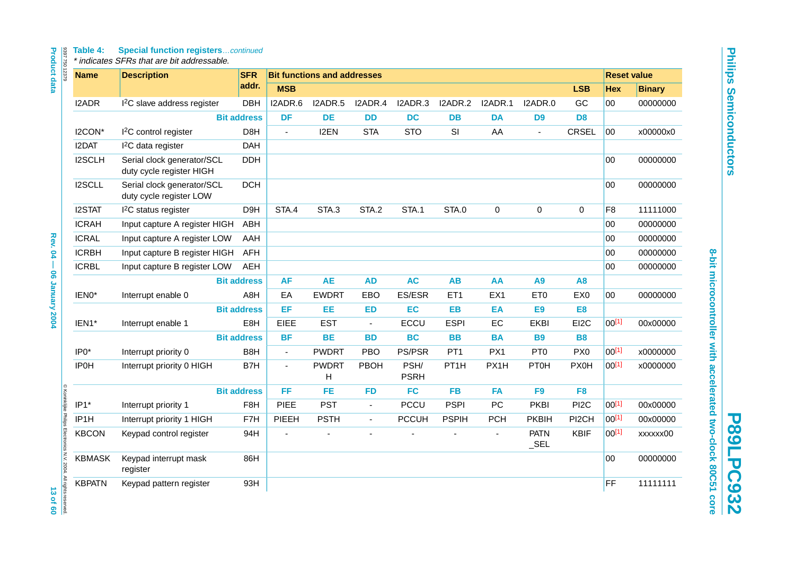#### **Table 4: Special function registers**…continued

| 8397750 12379                                                                | <b>Name</b>   | <b>Description</b>                                     | <b>SFR</b>         |                          | <b>Bit functions and addresses</b> |                |                     |                   |                |                        |                   | <b>Reset value</b> |               |
|------------------------------------------------------------------------------|---------------|--------------------------------------------------------|--------------------|--------------------------|------------------------------------|----------------|---------------------|-------------------|----------------|------------------------|-------------------|--------------------|---------------|
| <b>Product data</b>                                                          |               |                                                        | addr.              | <b>MSB</b>               |                                    |                |                     |                   |                |                        | <b>LSB</b>        | <b>Hex</b>         | <b>Binary</b> |
|                                                                              | <b>I2ADR</b>  | I <sup>2</sup> C slave address register                | <b>DBH</b>         | I2ADR.6                  | I2ADR.5                            | I2ADR.4        | I2ADR.3             | I2ADR.2           | I2ADR.1        | I2ADR.0                | GC                | 00                 | 00000000      |
|                                                                              |               |                                                        | <b>Bit address</b> | <b>DF</b>                | <b>DE</b>                          | <b>DD</b>      | <b>DC</b>           | <b>DB</b>         | <b>DA</b>      | D <sub>9</sub>         | D <sub>8</sub>    |                    |               |
|                                                                              | I2CON*        | I <sup>2</sup> C control register                      | D8H                | $\blacksquare$           | I2EN                               | <b>STA</b>     | <b>STO</b>          | SI                | AA             | $\blacksquare$         | <b>CRSEL</b>      | 00                 | x00000x0      |
|                                                                              | I2DAT         | <sup>2</sup> C data register                           | <b>DAH</b>         |                          |                                    |                |                     |                   |                |                        |                   |                    |               |
|                                                                              | I2SCLH        | Serial clock generator/SCL<br>duty cycle register HIGH | <b>DDH</b>         |                          |                                    |                |                     |                   |                |                        |                   | 00                 | 00000000      |
|                                                                              | I2SCLL        | Serial clock generator/SCL<br>duty cycle register LOW  | <b>DCH</b>         |                          |                                    |                |                     |                   |                |                        |                   | 00                 | 00000000      |
|                                                                              | <b>I2STAT</b> | <sup>2</sup> C status register                         | D9H                | STA.4                    | STA.3                              | STA.2          | STA.1               | STA.0             | $\pmb{0}$      | $\pmb{0}$              | 0                 | F <sub>8</sub>     | 11111000      |
|                                                                              | <b>ICRAH</b>  | Input capture A register HIGH                          | ABH                |                          |                                    |                |                     |                   |                |                        |                   | 00                 | 00000000      |
|                                                                              | <b>ICRAL</b>  | Input capture A register LOW                           | AAH                |                          |                                    |                |                     |                   |                |                        |                   | 00                 | 00000000      |
| <b>Rev. 04</b>                                                               | <b>ICRBH</b>  | Input capture B register HIGH                          | <b>AFH</b>         |                          |                                    |                |                     |                   |                |                        |                   | 00                 | 00000000      |
| - 06 January 2004                                                            | <b>ICRBL</b>  | Input capture B register LOW                           | AEH                |                          |                                    |                |                     |                   |                |                        |                   | 00                 | 00000000      |
|                                                                              |               |                                                        | <b>Bit address</b> | <b>AF</b>                | <b>AE</b>                          | <b>AD</b>      | <b>AC</b>           | <b>AB</b>         | AA             | A9                     | <b>A8</b>         |                    |               |
|                                                                              | IEN0*         | Interrupt enable 0                                     | A8H                | EA                       | <b>EWDRT</b>                       | EBO            | ES/ESR              | ET1               | EX1            | ET <sub>0</sub>        | EX0               | 00                 | 00000000      |
|                                                                              |               |                                                        | <b>Bit address</b> | EF                       | EE                                 | <b>ED</b>      | EC                  | <b>EB</b>         | EA             | <b>E9</b>              | E <sub>8</sub>    |                    |               |
|                                                                              | IEN1*         | Interrupt enable 1                                     | E8H                | EIEE                     | <b>EST</b>                         | $\blacksquare$ | ECCU                | <b>ESPI</b>       | EC             | <b>EKBI</b>            | EI2C              | 00[1]              | 00x00000      |
|                                                                              |               |                                                        | <b>Bit address</b> | <b>BF</b>                | <b>BE</b>                          | <b>BD</b>      | <b>BC</b>           | <b>BB</b>         | <b>BA</b>      | <b>B9</b>              | <b>B8</b>         |                    |               |
|                                                                              | IP0*          | Interrupt priority 0                                   | B8H                | $\blacksquare$           | <b>PWDRT</b>                       | PBO            | PS/PSR              | PT <sub>1</sub>   | PX1            | PT <sub>0</sub>        | PX <sub>0</sub>   | $00^{[1]}$         | x0000000      |
|                                                                              | <b>IP0H</b>   | Interrupt priority 0 HIGH                              | B7H                | $\blacksquare$           | <b>PWDRT</b><br>н                  | <b>PBOH</b>    | PSH/<br><b>PSRH</b> | PT <sub>1</sub> H | PX1H           | <b>PT0H</b>            | <b>PX0H</b>       | 00[1]              | x0000000      |
|                                                                              |               |                                                        | <b>Bit address</b> | FF                       | FE                                 | <b>FD</b>      | <b>FC</b>           | <b>FB</b>         | <b>FA</b>      | F <sub>9</sub>         | F <sub>8</sub>    |                    |               |
|                                                                              | IP1*          | Interrupt priority 1                                   | F <sub>8</sub> H   | <b>PIEE</b>              | <b>PST</b>                         | $\blacksquare$ | <b>PCCU</b>         | <b>PSPI</b>       | PC             | <b>PKBI</b>            | PI <sub>2</sub> C | $00^{[1]}$         | 00x00000      |
|                                                                              | IP1H          | Interrupt priority 1 HIGH                              | F7H                | PIEEH                    | <b>PSTH</b>                        | ÷,             | <b>PCCUH</b>        | <b>PSPIH</b>      | <b>PCH</b>     | <b>PKBIH</b>           | PI2CH             | $00^{[1]}$         | 00x00000      |
|                                                                              | <b>KBCON</b>  | Keypad control register                                | 94H                | $\overline{\phantom{a}}$ |                                    |                |                     |                   | $\blacksquare$ | <b>PATN</b><br>$\_SEL$ | KBIF              | $00^{[1]}$         | xxxxxx00      |
|                                                                              | <b>KBMASK</b> | Keypad interrupt mask<br>register                      | 86H                |                          |                                    |                |                     |                   |                |                        |                   | 00                 | 00000000      |
| C Koninklijke Philips Electronics N.V. 2004. All rights reserved<br>13 of 60 | <b>KBPATN</b> | Keypad pattern register                                | 93H                |                          |                                    |                |                     |                   |                |                        |                   | FF                 | 11111111      |

**Philips Semiconductors Philips Semiconductors**

8-bit microcontroller with accelerated two-clock 80C51 core **8-bit microcontroller with accelerated two-clock 80C51 core**

**P89LPC932**

**P89LPC932**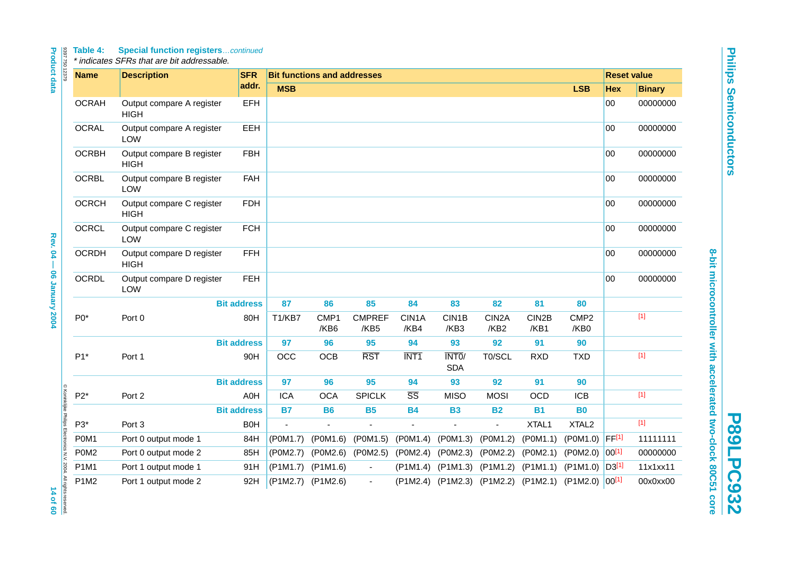# Table 4: Special function registers...continued<br>\* indicates SFRs that are bit addressable.

| 8397750 12379                                                    | <b>Name</b>  | <b>Description</b>                       | <b>SFR</b>         |                   | <b>Bit functions and addresses</b> |                         |                        |                            |                            |               |                              | <b>Reset value</b> |               |
|------------------------------------------------------------------|--------------|------------------------------------------|--------------------|-------------------|------------------------------------|-------------------------|------------------------|----------------------------|----------------------------|---------------|------------------------------|--------------------|---------------|
|                                                                  |              |                                          | addr.              | <b>MSB</b>        |                                    |                         |                        |                            |                            |               | <b>LSB</b>                   | <b>Hex</b>         | <b>Binary</b> |
|                                                                  | <b>OCRAH</b> | Output compare A register<br><b>HIGH</b> | EFH                |                   |                                    |                         |                        |                            |                            |               |                              | 00                 | 00000000      |
|                                                                  | <b>OCRAL</b> | Output compare A register<br><b>LOW</b>  | EEH                |                   |                                    |                         |                        |                            |                            |               |                              | $00\,$             | 00000000      |
|                                                                  | <b>OCRBH</b> | Output compare B register<br><b>HIGH</b> | <b>FBH</b>         |                   |                                    |                         |                        |                            |                            |               |                              | 00                 | 00000000      |
|                                                                  | <b>OCRBL</b> | Output compare B register<br><b>LOW</b>  | <b>FAH</b>         |                   |                                    |                         |                        |                            |                            |               |                              | $00\,$             | 00000000      |
|                                                                  | <b>OCRCH</b> | Output compare C register<br><b>HIGH</b> | <b>FDH</b>         |                   |                                    |                         |                        |                            |                            |               |                              | 00                 | 00000000      |
|                                                                  | <b>OCRCL</b> | Output compare C register<br><b>LOW</b>  | <b>FCH</b>         |                   |                                    |                         |                        |                            |                            |               |                              | $00\,$             | 00000000      |
|                                                                  | <b>OCRDH</b> | Output compare D register<br><b>HIGH</b> | <b>FFH</b>         |                   |                                    |                         |                        |                            |                            |               |                              | 00                 | 00000000      |
|                                                                  | <b>OCRDL</b> | Output compare D register<br><b>LOW</b>  | <b>FEH</b>         |                   |                                    |                         |                        |                            |                            |               |                              | 00                 | 00000000      |
|                                                                  |              |                                          | <b>Bit address</b> | 87                | 86                                 | 85                      | 84                     | 83                         | 82                         | 81            | 80                           |                    |               |
|                                                                  | $P0*$        | Port <sub>0</sub>                        | 80H                | T1/KB7            | CMP <sub>1</sub><br>/KB6           | <b>CMPREF</b><br>/KB5   | CIN1A<br>/KB4          | CIN1B<br>/KB3              | CIN <sub>2</sub> A<br>/KB2 | CIN2B<br>/KB1 | CMP <sub>2</sub><br>/KB0     |                    | $[1]$         |
|                                                                  |              |                                          | <b>Bit address</b> | 97                | 96                                 | 95                      | 94                     | 93                         | 92                         | 91            | 90                           |                    |               |
|                                                                  | $P1*$        | Port 1                                   | 90H                | <b>OCC</b>        | <b>OCB</b>                         | $\overline{\text{RST}}$ | INT <sub>1</sub>       | INT0/<br><b>SDA</b>        | T0/SCL                     | <b>RXD</b>    | <b>TXD</b>                   |                    | $[1]$         |
|                                                                  |              |                                          | <b>Bit address</b> | 97                | 96                                 | 95                      | 94                     | 93                         | 92                         | 91            | 90                           |                    |               |
|                                                                  | $P2*$        | Port 2                                   | A0H                | <b>ICA</b>        | <b>OCA</b>                         | <b>SPICLK</b>           | $\overline{\text{SS}}$ | <b>MISO</b>                | <b>MOSI</b>                | <b>OCD</b>    | <b>ICB</b>                   |                    | $[1]$         |
|                                                                  |              |                                          | <b>Bit address</b> | <b>B7</b>         | <b>B6</b>                          | <b>B5</b>               | <b>B4</b>              | <b>B3</b>                  | <b>B2</b>                  | <b>B1</b>     | <b>B0</b>                    |                    |               |
|                                                                  | P3*          | Port 3                                   | <b>B0H</b>         | $\blacksquare$    |                                    | $\overline{a}$          | $\overline{a}$         | $\sim$                     | $\blacksquare$             | XTAL1         | XTAL <sub>2</sub>            |                    | $[1]$         |
|                                                                  | P0M1         | Port 0 output mode 1                     | 84H                | (P0M1.7)          | (P0M1.6)                           | (P0M1.5)                | (P0M1.4)               | (P0M1.3)                   | (P0M1.2)                   | (POM1.1)      | (POM1.0)                     | FF[1]              | 11111111      |
|                                                                  | P0M2         | Port 0 output mode 2                     | 85H                | (P0M2.7)          |                                    | (P0M2.6) (P0M2.5)       | (POM2.4)               | (P0M2.3)                   | (POM2.2)                   | (POM2.1)      | $(POM2.0)$ 00 <sup>[1]</sup> |                    | 00000000      |
|                                                                  | P1M1         | Port 1 output mode 1                     | 91H                | (P1M1.7)          | $($ P1M1.6)                        | $\blacksquare$          | (P1M1.4)               | (P1M1.3)                   | (P1M1.2)                   | (P1M1.1)      | $($ P1M1.0) $ D3^{[1]}$      |                    | 11x1xx11      |
| © Koninklijke Philips Electronics N.V. 2004. All rights reserved | P1M2         | Port 1 output mode 2                     | 92H                | (P1M2.7) (P1M2.6) |                                    | $\blacksquare$          |                        | (P1M2.4) (P1M2.3) (P1M2.2) |                            | (P1M2.1)      | $(P1M2.0)$ 00 <sup>[1]</sup> |                    | 00x0xx00      |

**Philips Semiconductors Philips Semiconductors**

8-bit microcontroller with accelerated two-clock 80C51 core **8-bit microcontroller with accelerated two-clock 80C51 core**

**P89LPC932**

**P89LPC932**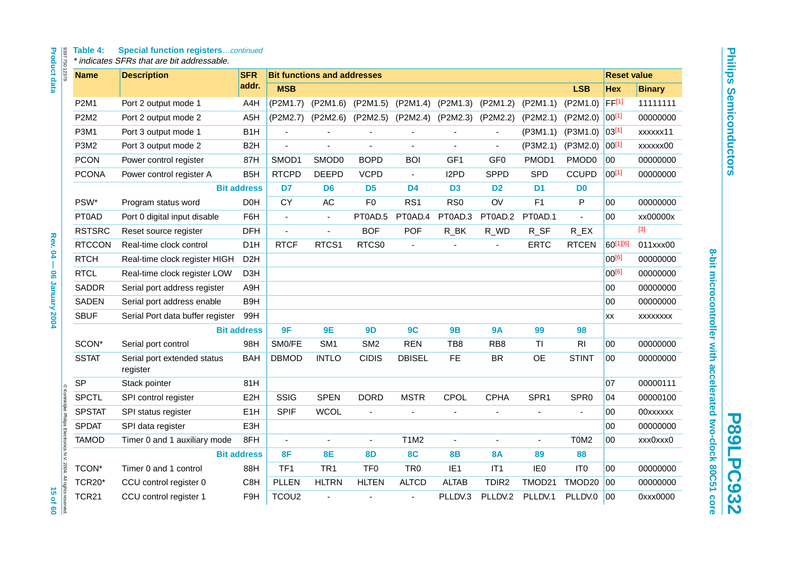# Table 4: Special function registers...continued<br>\* indicates SFRs that are bit addressable.

| <b>Product data</b><br>8397750 12379                                         | <b>Table 4:</b> | <b>Special function registerscontinued</b><br>* indicates SFRs that are bit addressable. |                    |                   |                                    |                 |                          |                   |                   |                 |                       |                    |               |
|------------------------------------------------------------------------------|-----------------|------------------------------------------------------------------------------------------|--------------------|-------------------|------------------------------------|-----------------|--------------------------|-------------------|-------------------|-----------------|-----------------------|--------------------|---------------|
|                                                                              | <b>Name</b>     | <b>Description</b>                                                                       | <b>SFR</b>         |                   | <b>Bit functions and addresses</b> |                 |                          |                   |                   |                 |                       | <b>Reset value</b> |               |
|                                                                              |                 |                                                                                          | addr.              | <b>MSB</b>        |                                    |                 |                          |                   |                   |                 | <b>LSB</b>            | <b>Hex</b>         | <b>Binary</b> |
|                                                                              | <b>P2M1</b>     | Port 2 output mode 1                                                                     | A4H                | (P2M1.7)          | (P2M1.6)                           | (P2M1.5)        | (P2M1.4)                 | (P2M1.3)          | (P2M1.2)          | (P2M1.1)        | (P2M1.0)              | FF[1]              | 11111111      |
|                                                                              | <b>P2M2</b>     | Port 2 output mode 2                                                                     | A <sub>5</sub> H   | (P2M2.7)          | (P2M2.6)                           | (P2M2.5)        | (P2M2.4)                 | (P2M2.3)          | (P2M2.2)          | (P2M2.1)        | (P2M2.0)              | $00^{[1]}$         | 00000000      |
|                                                                              | <b>P3M1</b>     | Port 3 output mode 1                                                                     | B <sub>1</sub> H   |                   |                                    |                 |                          |                   |                   | (P3M1.1)        | (P3M1.0)              | $03^{[1]}$         | xxxxxx11      |
|                                                                              | P3M2            | Port 3 output mode 2                                                                     | B <sub>2</sub> H   | ÷,                |                                    |                 | ÷,                       | ÷,                | ä,                | (P3M2.1)        | (P3M2.0)              | 00[1]              | xxxxxx00      |
|                                                                              | <b>PCON</b>     | Power control register                                                                   | 87H                | SMOD1             | SMOD0                              | <b>BOPD</b>     | <b>BOI</b>               | GF <sub>1</sub>   | GF <sub>0</sub>   | PMOD1           | PMOD <sub>0</sub>     | 00                 | 00000000      |
|                                                                              | <b>PCONA</b>    | Power control register A                                                                 | B <sub>5</sub> H   | <b>RTCPD</b>      | <b>DEEPD</b>                       | <b>VCPD</b>     | $\blacksquare$           | I <sub>2</sub> PD | <b>SPPD</b>       | SPD             | <b>CCUPD</b>          | $00^{[1]}$         | 00000000      |
|                                                                              |                 |                                                                                          | <b>Bit address</b> | D <sub>7</sub>    | D <sub>6</sub>                     | D <sub>5</sub>  | D <sub>4</sub>           | D <sub>3</sub>    | D <sub>2</sub>    | D <sub>1</sub>  | D <sub>0</sub>        |                    |               |
|                                                                              | PSW*            | Program status word                                                                      | D <sub>0</sub> H   | <b>CY</b>         | AC                                 | F <sub>0</sub>  | RS <sub>1</sub>          | RS <sub>0</sub>   | OV                | F1              | $\mathsf{P}$          | 00                 | 00000000      |
|                                                                              | PT0AD           | Port 0 digital input disable                                                             | F6H                | $\overline{a}$    | $\blacksquare$                     | PT0AD.5         | PT0AD.4                  | PT0AD.3           | PT0AD.2           | PT0AD.1         | $\overline{a}$        | 00                 | xx00000x      |
|                                                                              | <b>RSTSRC</b>   | Reset source register                                                                    | <b>DFH</b>         | ä,                |                                    | <b>BOF</b>      | POF                      | $R$ _BK           | $R_$ WD           | $R_S$ F         | $R$ <sub>_</sub> $EX$ |                    | $[3]$         |
| <b>Rev. 04</b>                                                               | <b>RTCCON</b>   | Real-time clock control                                                                  | D <sub>1</sub> H   | <b>RTCF</b>       | RTCS1                              | RTCS0           | $\overline{\phantom{a}}$ | ÷,                | $\blacksquare$    | <b>ERTC</b>     | <b>RTCEN</b>          | 60[1][6]           | 011xxx00      |
| Ī                                                                            | <b>RTCH</b>     | Real-time clock register HIGH                                                            | D <sub>2</sub> H   |                   |                                    |                 |                          |                   |                   |                 |                       | $00^{[6]}$         | 00000000      |
|                                                                              | <b>RTCL</b>     | Real-time clock register LOW                                                             | D <sub>3</sub> H   |                   |                                    |                 |                          |                   |                   |                 |                       | $00^{[6]}$         | 00000000      |
| <b>06 January 2004</b>                                                       | <b>SADDR</b>    | Serial port address register                                                             | A9H                |                   |                                    |                 |                          |                   |                   |                 |                       | 00                 | 00000000      |
|                                                                              | <b>SADEN</b>    | Serial port address enable                                                               | B9H                |                   |                                    |                 |                          |                   |                   |                 |                       | 00                 | 00000000      |
|                                                                              | <b>SBUF</b>     | Serial Port data buffer register                                                         | 99H                |                   |                                    |                 |                          |                   |                   |                 |                       | XX                 | XXXXXXX       |
|                                                                              |                 |                                                                                          | <b>Bit address</b> | 9F                | <b>9E</b>                          | 9D              | 9C                       | <b>9B</b>         | <b>9A</b>         | 99              | 98                    |                    |               |
|                                                                              | SCON*           | Serial port control                                                                      | 98H                | SM0/FE            | SM <sub>1</sub>                    | SM <sub>2</sub> | <b>REN</b>               | TB <sub>8</sub>   | RB <sub>8</sub>   | <b>TI</b>       | R <sub>l</sub>        | 00                 | 00000000      |
|                                                                              | <b>SSTAT</b>    | Serial port extended status<br>register                                                  | <b>BAH</b>         | <b>DBMOD</b>      | <b>INTLO</b>                       | <b>CIDIS</b>    | <b>DBISEL</b>            | <b>FE</b>         | <b>BR</b>         | <b>OE</b>       | <b>STINT</b>          | 00                 | 00000000      |
|                                                                              | <b>SP</b>       | Stack pointer                                                                            | 81H                |                   |                                    |                 |                          |                   |                   |                 |                       | 07                 | 00000111      |
|                                                                              | <b>SPCTL</b>    | SPI control register                                                                     | E <sub>2</sub> H   | SSIG              | <b>SPEN</b>                        | <b>DORD</b>     | <b>MSTR</b>              | CPOL              | <b>CPHA</b>       | SPR1            | SPR <sub>0</sub>      | 04                 | 00000100      |
|                                                                              | <b>SPSTAT</b>   | SPI status register                                                                      | E <sub>1</sub> H   | <b>SPIF</b>       | <b>WCOL</b>                        | ÷,              |                          |                   |                   |                 |                       | 00                 | 00xxxxxx      |
|                                                                              | <b>SPDAT</b>    | SPI data register                                                                        | E3H                |                   |                                    |                 |                          |                   |                   |                 |                       | 00                 | 00000000      |
|                                                                              | <b>TAMOD</b>    | Timer 0 and 1 auxiliary mode                                                             | 8FH                | $\sim$            |                                    | ä,              | T1M2                     | ä,                | $\overline{a}$    | $\blacksquare$  | T0M2                  | 00                 | xxx0xxx0      |
|                                                                              |                 |                                                                                          | <b>Bit address</b> | 8F                | <b>8E</b>                          | <b>8D</b>       | <b>8C</b>                | <b>8B</b>         | <b>8A</b>         | 89              | 88                    |                    |               |
|                                                                              | TCON*           | Timer 0 and 1 control                                                                    | 88H                | TF <sub>1</sub>   | TR <sub>1</sub>                    | TF <sub>0</sub> | TR <sub>0</sub>          | IE <sub>1</sub>   | IT <sub>1</sub>   | IE <sub>0</sub> | IT <sub>0</sub>       | 00                 | 00000000      |
|                                                                              | <b>TCR20*</b>   | CCU control register 0                                                                   | C8H                | <b>PLLEN</b>      | <b>HLTRN</b>                       | <b>HLTEN</b>    | <b>ALTCD</b>             | <b>ALTAB</b>      | TDIR <sub>2</sub> | TMOD21          | TMOD20                | $ 00\rangle$       | 00000000      |
| © Koninklijke Philips Electronics N.V. 2004. All rights reserved<br>15 of 60 | <b>TCR21</b>    | CCU control register 1                                                                   | F9H                | TCOU <sub>2</sub> |                                    |                 |                          | PLLDV.3           | PLLDV.2           | PLLDV.1         | PLLDV.0               | $ 00\rangle$       | 0xxx0000      |

**P89LPC932**

**P89LPC932**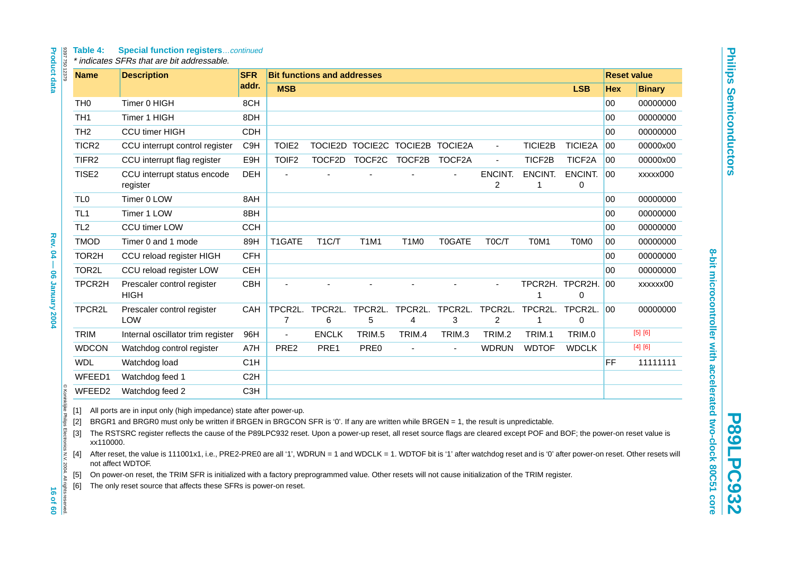#### **Table 4: Special function registers**…continued

<span id="page-15-5"></span><span id="page-15-4"></span><span id="page-15-3"></span><span id="page-15-2"></span><span id="page-15-1"></span><span id="page-15-0"></span>

| TH <sub>0</sub>   |                    | <b>Description</b>                        | <b>SFR</b>       |                           | <b>Bit functions and addresses</b> |                                 |                               |               |                           |              |                         |              | <b>Reset value</b> |
|-------------------|--------------------|-------------------------------------------|------------------|---------------------------|------------------------------------|---------------------------------|-------------------------------|---------------|---------------------------|--------------|-------------------------|--------------|--------------------|
|                   |                    |                                           | addr.            | <b>MSB</b>                |                                    |                                 |                               |               |                           |              | <b>LSB</b>              | <b>Hex</b>   | <b>Binary</b>      |
|                   |                    | Timer 0 HIGH                              | 8CH              |                           |                                    |                                 |                               |               |                           |              |                         | 00           | 00000000           |
| TH <sub>1</sub>   |                    | Timer 1 HIGH                              | 8DH              |                           |                                    |                                 |                               |               |                           |              |                         | 00           | 00000000           |
| TH <sub>2</sub>   |                    | CCU timer HIGH                            | <b>CDH</b>       |                           |                                    |                                 |                               |               |                           |              |                         | 00           | 00000000           |
| TICR <sub>2</sub> |                    | CCU interrupt control register            | C <sub>9H</sub>  | TOIE <sub>2</sub>         |                                    | TOCIE2D TOCIE2C TOCIE2B TOCIE2A |                               |               | $\blacksquare$            | TICIE2B      | TICIE2A                 | 00           | 00000x00           |
| TIFR2             |                    | CCU interrupt flag register               | E9H              | TOIF <sub>2</sub>         |                                    | TOCF2D TOCF2C TOCF2B            |                               | TOCF2A        | $\overline{a}$            | TICF2B       | TICF2A                  | 00           | 00000x00           |
| TISE2             |                    | CCU interrupt status encode<br>register   | <b>DEH</b>       |                           |                                    |                                 |                               |               | ENCINT.<br>2              | ENCINT.<br>1 | ENCINT.<br>0            | 00           | xxxxx000           |
| TL <sub>0</sub>   |                    | Timer 0 LOW                               | 8AH              |                           |                                    |                                 |                               |               |                           |              |                         | 00           | 00000000           |
| TL <sub>1</sub>   |                    | Timer 1 LOW                               | 8BH              |                           |                                    |                                 |                               |               |                           |              |                         | 00           | 00000000           |
| TL <sub>2</sub>   |                    | CCU timer LOW                             | <b>CCH</b>       |                           |                                    |                                 |                               |               |                           |              |                         | 00           | 00000000           |
| <b>TMOD</b>       |                    | Timer 0 and 1 mode                        | 89H              | T1GATE                    | T <sub>1</sub> C/T                 | T1M1                            | T <sub>1</sub> M <sub>0</sub> | <b>TOGATE</b> | T <sub>0</sub> C/T        | T0M1         | T0M0                    | 00           | 00000000           |
| TOR2H             |                    | CCU reload register HIGH                  | <b>CFH</b>       |                           |                                    |                                 |                               |               |                           |              |                         | 00           | 00000000           |
| TOR2L             |                    | CCU reload register LOW                   | <b>CEH</b>       |                           |                                    |                                 |                               |               |                           |              |                         | 00           | 00000000           |
| TPCR2H            |                    | Prescaler control register<br><b>HIGH</b> | CBH              |                           |                                    |                                 |                               |               |                           | 1            | TPCR2H. TPCR2H. 00<br>0 |              | xxxxxx00           |
| TPCR2L            |                    | Prescaler control register<br><b>LOW</b>  | CAH              | TPCR2L.<br>$\overline{7}$ | TPCR2L.<br>6                       | TPCR2L.<br>5                    | TPCR2L.<br>4                  | TPCR2L.<br>3  | TPCR2L.<br>$\overline{c}$ | 1            | TPCR2L. TPCR2L.<br>0    | $ 00\rangle$ | 00000000           |
| <b>TRIM</b>       |                    | Internal oscillator trim register         | 96H              |                           | <b>ENCLK</b>                       | TRIM.5                          | TRIM.4                        | TRIM.3        | TRIM.2                    | TRIM.1       | TRIM.0                  |              | [5] [6]            |
| <b>WDCON</b>      |                    | Watchdog control register                 | A7H              | PRE2                      | PRE1                               | PRE <sub>0</sub>                |                               |               | <b>WDRUN</b>              | <b>WDTOF</b> | <b>WDCLK</b>            |              | [4] [6]            |
| <b>WDL</b>        |                    | Watchdog load                             | C <sub>1</sub> H |                           |                                    |                                 |                               |               |                           |              |                         | <b>FF</b>    | 11111111           |
|                   | WFEED1             | Watchdog feed 1                           | C <sub>2</sub> H |                           |                                    |                                 |                               |               |                           |              |                         |              |                    |
|                   | WFEED <sub>2</sub> | Watchdog feed 2                           | C <sub>3</sub> H |                           |                                    |                                 |                               |               |                           |              |                         |              |                    |

**8-bit microcontroller with accelerated two-clock 80C51 core**

8-bit microcontroller with accelerated two-clock 80C51 core

**Philips Semiconductors**

**Philps Semiconductors**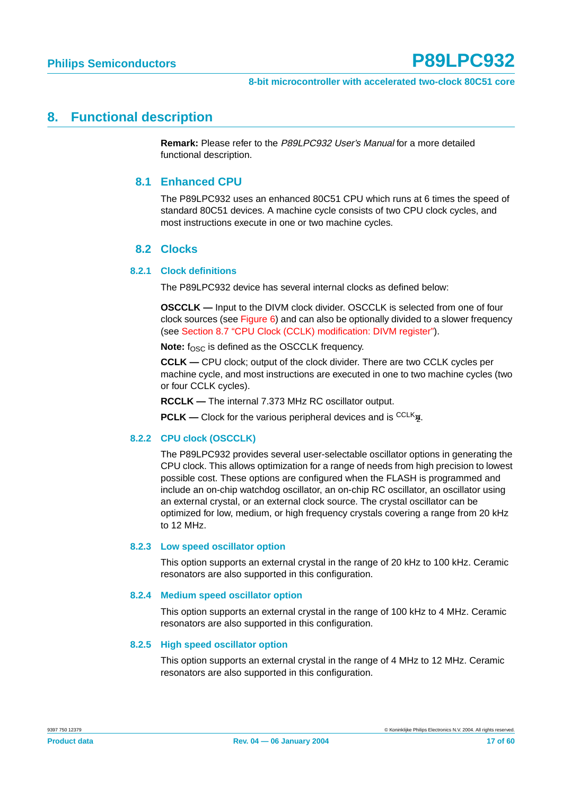#### <span id="page-16-1"></span><span id="page-16-0"></span>**8. Functional description**

**Remark:** Please refer to the P89LPC932 User's Manual for a more detailed functional description.

#### **8.1 Enhanced CPU**

The P89LPC932 uses an enhanced 80C51 CPU which runs at 6 times the speed of standard 80C51 devices. A machine cycle consists of two CPU clock cycles, and most instructions execute in one or two machine cycles.

#### **8.2 Clocks**

#### <span id="page-16-2"></span>**8.2.1 Clock definitions**

The P89LPC932 device has several internal clocks as defined below:

**OSCCLK —** Input to the DIVM clock divider. OSCCLK is selected from one of four clock sources (see [Figure 6](#page-17-0)) and can also be optionally divided to a slower frequency (see [Section 8.7 "CPU Clock \(CCLK\) modification: DIVM register"](#page-18-0)).

**Note:** fosc is defined as the OSCCLK frequency.

**CCLK —** CPU clock; output of the clock divider. There are two CCLK cycles per machine cycle, and most instructions are executed in one to two machine cycles (two or four CCLK cycles).

**RCCLK —** The internal 7.373 MHz RC oscillator output.

**PCLK** — Clock for the various peripheral devices and is <sup>CCLK</sup><sup>2</sup>.

#### **8.2.2 CPU clock (OSCCLK)**

The P89LPC932 provides several user-selectable oscillator options in generating the CPU clock. This allows optimization for a range of needs from high precision to lowest possible cost. These options are configured when the FLASH is programmed and include an on-chip watchdog oscillator, an on-chip RC oscillator, an oscillator using an external crystal, or an external clock source. The crystal oscillator can be optimized for low, medium, or high frequency crystals covering a range from 20 kHz to 12 MHz.

#### **8.2.3 Low speed oscillator option**

This option supports an external crystal in the range of 20 kHz to 100 kHz. Ceramic resonators are also supported in this configuration.

#### **8.2.4 Medium speed oscillator option**

This option supports an external crystal in the range of 100 kHz to 4 MHz. Ceramic resonators are also supported in this configuration.

#### **8.2.5 High speed oscillator option**

This option supports an external crystal in the range of 4 MHz to 12 MHz. Ceramic resonators are also supported in this configuration.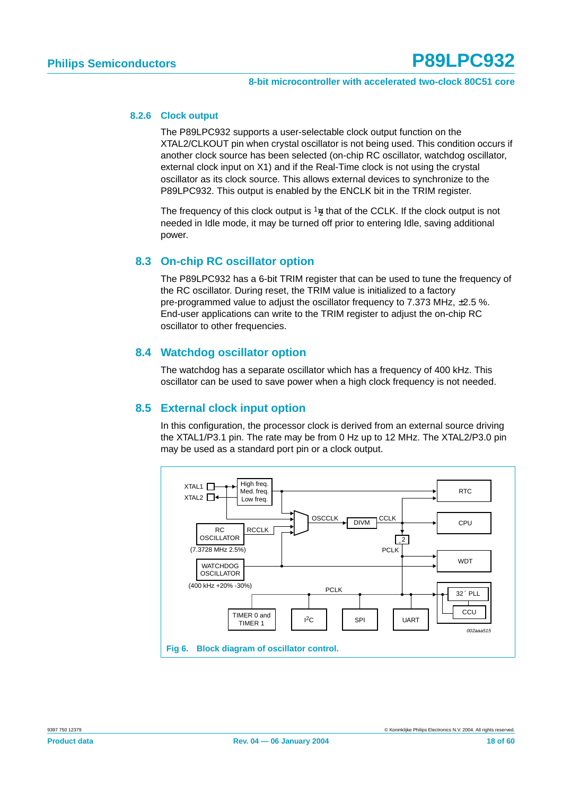#### **8.2.6 Clock output**

The P89LPC932 supports a user-selectable clock output function on the XTAL2/CLKOUT pin when crystal oscillator is not being used. This condition occurs if another clock source has been selected (on-chip RC oscillator, watchdog oscillator, external clock input on X1) and if the Real-Time clock is not using the crystal oscillator as its clock source. This allows external devices to synchronize to the P89LPC932. This output is enabled by the ENCLK bit in the TRIM register.

The frequency of this clock output is  $\frac{1}{2}$  that of the CCLK. If the clock output is not needed in Idle mode, it may be turned off prior to entering Idle, saving additional power.

#### <span id="page-17-1"></span>**8.3 On-chip RC oscillator option**

The P89LPC932 has a 6-bit TRIM register that can be used to tune the frequency of the RC oscillator. During reset, the TRIM value is initialized to a factory pre-programmed value to adjust the oscillator frequency to 7.373 MHz, ±2.5 %. End-user applications can write to the TRIM register to adjust the on-chip RC oscillator to other frequencies.

#### <span id="page-17-2"></span>**8.4 Watchdog oscillator option**

The watchdog has a separate oscillator which has a frequency of 400 kHz. This oscillator can be used to save power when a high clock frequency is not needed.

#### <span id="page-17-3"></span>**8.5 External clock input option**

In this configuration, the processor clock is derived from an external source driving the XTAL1/P3.1 pin. The rate may be from 0 Hz up to 12 MHz. The XTAL2/P3.0 pin may be used as a standard port pin or a clock output.

<span id="page-17-0"></span>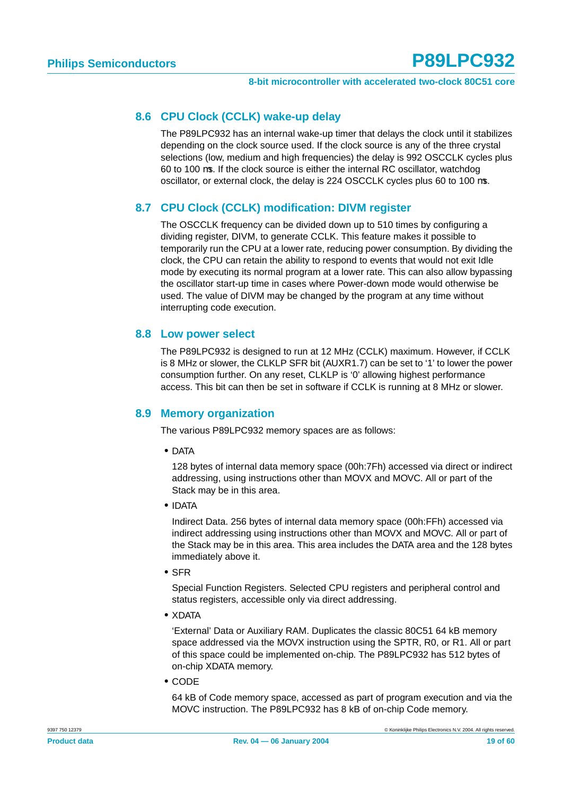#### <span id="page-18-1"></span>**8.6 CPU Clock (CCLK) wake-up delay**

The P89LPC932 has an internal wake-up timer that delays the clock until it stabilizes depending on the clock source used. If the clock source is any of the three crystal selections (low, medium and high frequencies) the delay is 992 OSCCLK cycles plus 60 to 100 µs. If the clock source is either the internal RC oscillator, watchdog oscillator, or external clock, the delay is 224 OSCCLK cycles plus 60 to 100 µs.

#### <span id="page-18-0"></span>**8.7 CPU Clock (CCLK) modification: DIVM register**

The OSCCLK frequency can be divided down up to 510 times by configuring a dividing register, DIVM, to generate CCLK. This feature makes it possible to temporarily run the CPU at a lower rate, reducing power consumption. By dividing the clock, the CPU can retain the ability to respond to events that would not exit Idle mode by executing its normal program at a lower rate. This can also allow bypassing the oscillator start-up time in cases where Power-down mode would otherwise be used. The value of DIVM may be changed by the program at any time without interrupting code execution.

#### <span id="page-18-2"></span>**8.8 Low power select**

The P89LPC932 is designed to run at 12 MHz (CCLK) maximum. However, if CCLK is 8 MHz or slower, the CLKLP SFR bit (AUXR1.7) can be set to '1' to lower the power consumption further. On any reset, CLKLP is '0' allowing highest performance access. This bit can then be set in software if CCLK is running at 8 MHz or slower.

#### <span id="page-18-3"></span>**8.9 Memory organization**

The various P89LPC932 memory spaces are as follows:

**•** DATA

128 bytes of internal data memory space (00h:7Fh) accessed via direct or indirect addressing, using instructions other than MOVX and MOVC. All or part of the Stack may be in this area.

**•** IDATA

Indirect Data. 256 bytes of internal data memory space (00h:FFh) accessed via indirect addressing using instructions other than MOVX and MOVC. All or part of the Stack may be in this area. This area includes the DATA area and the 128 bytes immediately above it.

**•** SFR

Special Function Registers. Selected CPU registers and peripheral control and status registers, accessible only via direct addressing.

**•** XDATA

'External' Data or Auxiliary RAM. Duplicates the classic 80C51 64 kB memory space addressed via the MOVX instruction using the SPTR, R0, or R1. All or part of this space could be implemented on-chip. The P89LPC932 has 512 bytes of on-chip XDATA memory.

**•** CODE

64 kB of Code memory space, accessed as part of program execution and via the MOVC instruction. The P89LPC932 has 8 kB of on-chip Code memory.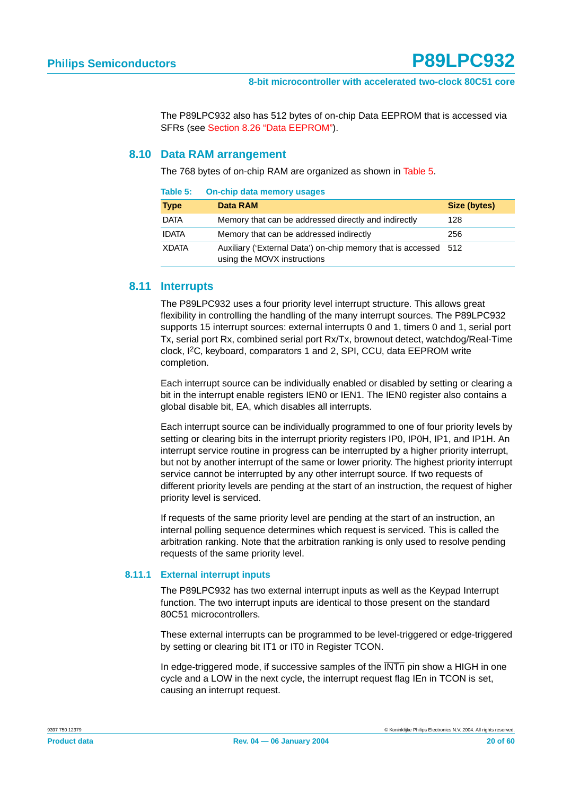The P89LPC932 also has 512 bytes of on-chip Data EEPROM that is accessed via SFRs (see [Section 8.26 "Data EEPROM"](#page-40-0)).

#### <span id="page-19-1"></span>**8.10 Data RAM arrangement**

<span id="page-19-0"></span>**Table 5: On-chip data memory usages**

The 768 bytes of on-chip RAM are organized as shown in [Table 5.](#page-19-0)

| Table 5:     | <b>Un-chip data memory usages</b>                                                              |              |
|--------------|------------------------------------------------------------------------------------------------|--------------|
| <b>Type</b>  | Data RAM                                                                                       | Size (bytes) |
| <b>DATA</b>  | Memory that can be addressed directly and indirectly                                           | 128          |
| <b>IDATA</b> | Memory that can be addressed indirectly                                                        | 256          |
| XDATA        | Auxiliary ('External Data') on-chip memory that is accessed 512<br>using the MOVX instructions |              |

#### <span id="page-19-2"></span>**8.11 Interrupts**

The P89LPC932 uses a four priority level interrupt structure. This allows great flexibility in controlling the handling of the many interrupt sources. The P89LPC932 supports 15 interrupt sources: external interrupts 0 and 1, timers 0 and 1, serial port Tx, serial port Rx, combined serial port Rx/Tx, brownout detect, watchdog/Real-Time clock, I2C, keyboard, comparators 1 and 2, SPI, CCU, data EEPROM write completion.

Each interrupt source can be individually enabled or disabled by setting or clearing a bit in the interrupt enable registers IEN0 or IEN1. The IEN0 register also contains a global disable bit, EA, which disables all interrupts.

Each interrupt source can be individually programmed to one of four priority levels by setting or clearing bits in the interrupt priority registers IP0, IP0H, IP1, and IP1H. An interrupt service routine in progress can be interrupted by a higher priority interrupt, but not by another interrupt of the same or lower priority. The highest priority interrupt service cannot be interrupted by any other interrupt source. If two requests of different priority levels are pending at the start of an instruction, the request of higher priority level is serviced.

If requests of the same priority level are pending at the start of an instruction, an internal polling sequence determines which request is serviced. This is called the arbitration ranking. Note that the arbitration ranking is only used to resolve pending requests of the same priority level.

#### **8.11.1 External interrupt inputs**

The P89LPC932 has two external interrupt inputs as well as the Keypad Interrupt function. The two interrupt inputs are identical to those present on the standard 80C51 microcontrollers.

These external interrupts can be programmed to be level-triggered or edge-triggered by setting or clearing bit IT1 or IT0 in Register TCON.

In edge-triggered mode, if successive samples of the  $\overline{\text{INTn}}$  pin show a HIGH in one cycle and a LOW in the next cycle, the interrupt request flag IEn in TCON is set, causing an interrupt request.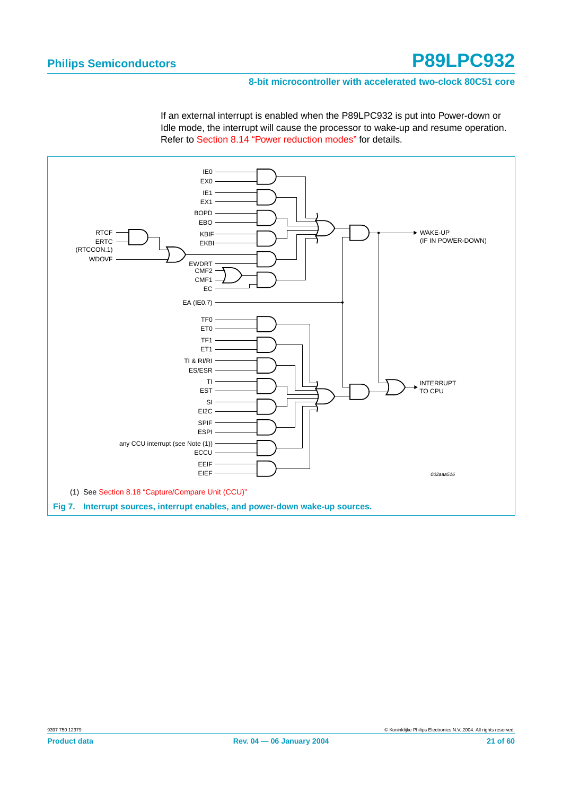#### **8-bit microcontroller with accelerated two-clock 80C51 core**

If an external interrupt is enabled when the P89LPC932 is put into Power-down or Idle mode, the interrupt will cause the processor to wake-up and resume operation. Refer to [Section 8.14 "Power reduction modes"](#page-23-0) for details.

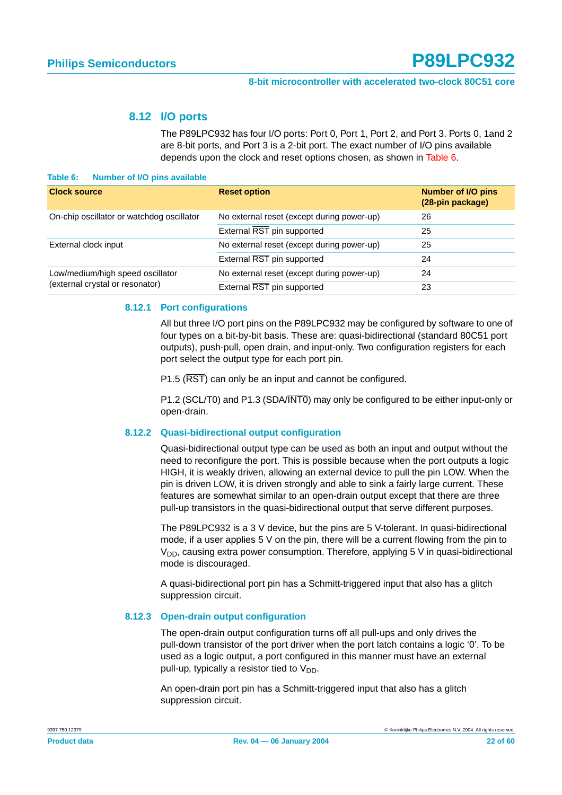#### **8.12 I/O ports**

The P89LPC932 has four I/O ports: Port 0, Port 1, Port 2, and Port 3. Ports 0, 1and 2 are 8-bit ports, and Port 3 is a 2-bit port. The exact number of I/O pins available depends upon the clock and reset options chosen, as shown in [Table 6](#page-21-1).

#### <span id="page-21-2"></span><span id="page-21-1"></span>**Table 6: Number of I/O pins available**

| <b>Clock source</b>                       | <b>Reset option</b>                        | <b>Number of I/O pins</b><br>(28-pin package) |
|-------------------------------------------|--------------------------------------------|-----------------------------------------------|
| On-chip oscillator or watchdog oscillator | No external reset (except during power-up) | 26                                            |
|                                           | External RST pin supported                 | 25                                            |
| External clock input                      | No external reset (except during power-up) | 25                                            |
|                                           | External RST pin supported                 | 24                                            |
| Low/medium/high speed oscillator          | No external reset (except during power-up) | 24                                            |
| (external crystal or resonator)           | External RST pin supported                 | 23                                            |

#### <span id="page-21-0"></span>**8.12.1 Port configurations**

All but three I/O port pins on the P89LPC932 may be configured by software to one of four types on a bit-by-bit basis. These are: quasi-bidirectional (standard 80C51 port outputs), push-pull, open drain, and input-only. Two configuration registers for each port select the output type for each port pin.

P1.5 ( $\overline{RST}$ ) can only be an input and cannot be configured.

P1.2 (SCL/T0) and P1.3 (SDA/INT0) may only be configured to be either input-only or open-drain.

#### **8.12.2 Quasi-bidirectional output configuration**

Quasi-bidirectional output type can be used as both an input and output without the need to reconfigure the port. This is possible because when the port outputs a logic HIGH, it is weakly driven, allowing an external device to pull the pin LOW. When the pin is driven LOW, it is driven strongly and able to sink a fairly large current. These features are somewhat similar to an open-drain output except that there are three pull-up transistors in the quasi-bidirectional output that serve different purposes.

The P89LPC932 is a 3 V device, but the pins are 5 V-tolerant. In quasi-bidirectional mode, if a user applies 5 V on the pin, there will be a current flowing from the pin to  $V_{DD}$ , causing extra power consumption. Therefore, applying 5 V in quasi-bidirectional mode is discouraged.

A quasi-bidirectional port pin has a Schmitt-triggered input that also has a glitch suppression circuit.

#### **8.12.3 Open-drain output configuration**

The open-drain output configuration turns off all pull-ups and only drives the pull-down transistor of the port driver when the port latch contains a logic '0'. To be used as a logic output, a port configured in this manner must have an external pull-up, typically a resistor tied to  $V_{DD}$ .

An open-drain port pin has a Schmitt-triggered input that also has a glitch suppression circuit.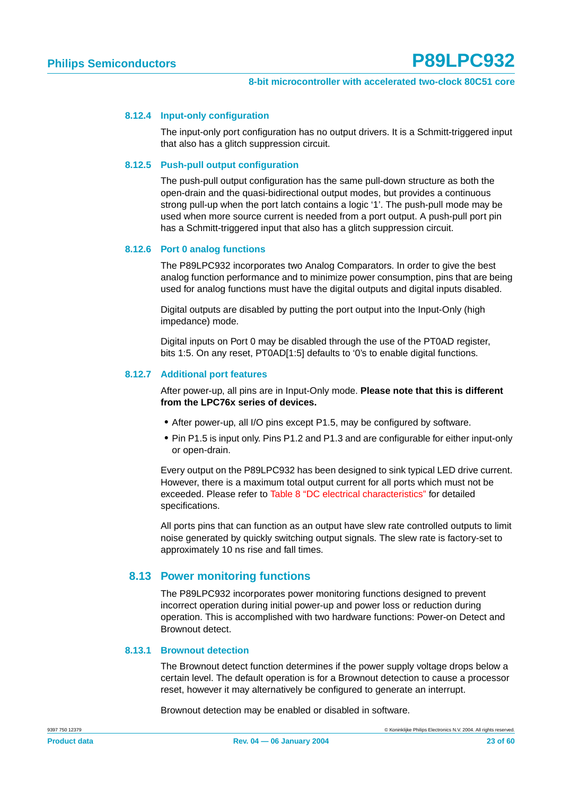#### **8.12.4 Input-only configuration**

The input-only port configuration has no output drivers. It is a Schmitt-triggered input that also has a glitch suppression circuit.

#### **8.12.5 Push-pull output configuration**

The push-pull output configuration has the same pull-down structure as both the open-drain and the quasi-bidirectional output modes, but provides a continuous strong pull-up when the port latch contains a logic '1'. The push-pull mode may be used when more source current is needed from a port output. A push-pull port pin has a Schmitt-triggered input that also has a glitch suppression circuit.

#### **8.12.6 Port 0 analog functions**

The P89LPC932 incorporates two Analog Comparators. In order to give the best analog function performance and to minimize power consumption, pins that are being used for analog functions must have the digital outputs and digital inputs disabled.

Digital outputs are disabled by putting the port output into the Input-Only (high impedance) mode.

Digital inputs on Port 0 may be disabled through the use of the PT0AD register, bits 1:5. On any reset, PT0AD[1:5] defaults to '0's to enable digital functions.

#### **8.12.7 Additional port features**

After power-up, all pins are in Input-Only mode. **Please note that this is different from the LPC76x series of devices.**

- **•** After power-up, all I/O pins except P1.5, may be configured by software.
- **•** Pin P1.5 is input only. Pins P1.2 and P1.3 and are configurable for either input-only or open-drain.

Every output on the P89LPC932 has been designed to sink typical LED drive current. However, there is a maximum total output current for all ports which must not be exceeded. Please refer to [Table 8 "DC electrical characteristics"](#page-44-0) for detailed specifications.

All ports pins that can function as an output have slew rate controlled outputs to limit noise generated by quickly switching output signals. The slew rate is factory-set to approximately 10 ns rise and fall times.

#### <span id="page-22-0"></span>**8.13 Power monitoring functions**

The P89LPC932 incorporates power monitoring functions designed to prevent incorrect operation during initial power-up and power loss or reduction during operation. This is accomplished with two hardware functions: Power-on Detect and Brownout detect.

#### **8.13.1 Brownout detection**

The Brownout detect function determines if the power supply voltage drops below a certain level. The default operation is for a Brownout detection to cause a processor reset, however it may alternatively be configured to generate an interrupt.

Brownout detection may be enabled or disabled in software.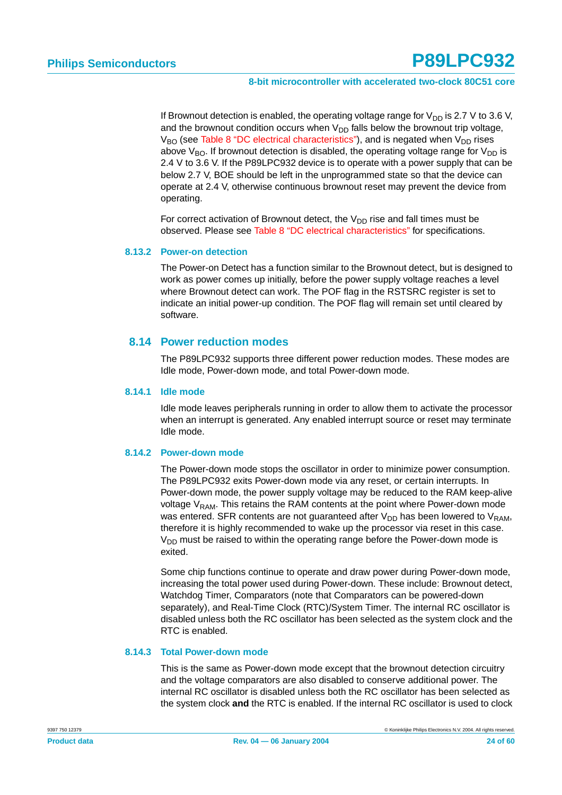If Brownout detection is enabled, the operating voltage range for  $V_{DD}$  is 2.7 V to 3.6 V, and the brownout condition occurs when  $V_{DD}$  falls below the brownout trip voltage,  $V_{BO}$  (see [Table 8 "DC electrical characteristics"\)](#page-44-0), and is negated when  $V_{DD}$  rises above  $V_{BO}$ . If brownout detection is disabled, the operating voltage range for  $V_{DD}$  is 2.4 V to 3.6 V. If the P89LPC932 device is to operate with a power supply that can be below 2.7 V, BOE should be left in the unprogrammed state so that the device can operate at 2.4 V, otherwise continuous brownout reset may prevent the device from operating.

For correct activation of Brownout detect, the  $V_{DD}$  rise and fall times must be observed. Please see [Table 8 "DC electrical characteristics"](#page-44-0) for specifications.

#### **8.13.2 Power-on detection**

The Power-on Detect has a function similar to the Brownout detect, but is designed to work as power comes up initially, before the power supply voltage reaches a level where Brownout detect can work. The POF flag in the RSTSRC register is set to indicate an initial power-up condition. The POF flag will remain set until cleared by software.

#### <span id="page-23-0"></span>**8.14 Power reduction modes**

The P89LPC932 supports three different power reduction modes. These modes are Idle mode, Power-down mode, and total Power-down mode.

#### **8.14.1 Idle mode**

Idle mode leaves peripherals running in order to allow them to activate the processor when an interrupt is generated. Any enabled interrupt source or reset may terminate Idle mode.

#### **8.14.2 Power-down mode**

The Power-down mode stops the oscillator in order to minimize power consumption. The P89LPC932 exits Power-down mode via any reset, or certain interrupts. In Power-down mode, the power supply voltage may be reduced to the RAM keep-alive voltage  $V_{RAM}$ . This retains the RAM contents at the point where Power-down mode was entered. SFR contents are not guaranteed after  $V_{DD}$  has been lowered to  $V_{RAM}$ , therefore it is highly recommended to wake up the processor via reset in this case.  $V<sub>DD</sub>$  must be raised to within the operating range before the Power-down mode is exited.

Some chip functions continue to operate and draw power during Power-down mode, increasing the total power used during Power-down. These include: Brownout detect, Watchdog Timer, Comparators (note that Comparators can be powered-down separately), and Real-Time Clock (RTC)/System Timer. The internal RC oscillator is disabled unless both the RC oscillator has been selected as the system clock and the RTC is enabled.

#### **8.14.3 Total Power-down mode**

This is the same as Power-down mode except that the brownout detection circuitry and the voltage comparators are also disabled to conserve additional power. The internal RC oscillator is disabled unless both the RC oscillator has been selected as the system clock **and** the RTC is enabled. If the internal RC oscillator is used to clock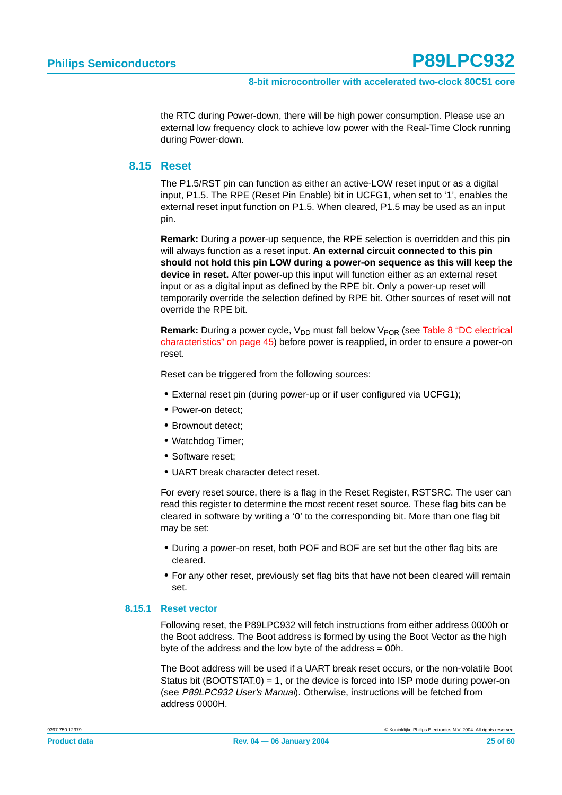the RTC during Power-down, there will be high power consumption. Please use an external low frequency clock to achieve low power with the Real-Time Clock running during Power-down.

#### <span id="page-24-0"></span>**8.15 Reset**

The P1.5/RST pin can function as either an active-LOW reset input or as a digital input, P1.5. The RPE (Reset Pin Enable) bit in UCFG1, when set to '1', enables the external reset input function on P1.5. When cleared, P1.5 may be used as an input pin.

**Remark:** During a power-up sequence, the RPE selection is overridden and this pin will always function as a reset input. **An external circuit connected to this pin should not hold this pin LOW during a power-on sequence as this will keep the device in reset.** After power-up this input will function either as an external reset input or as a digital input as defined by the RPE bit. Only a power-up reset will temporarily override the selection defined by RPE bit. Other sources of reset will not override the RPE bit.

**Remark:** During a power cycle,  $V_{DD}$  must fall below  $V_{POR}$  (see [Table 8 "DC electrical](#page-44-0) [characteristics" on page 45\)](#page-44-0) before power is reapplied, in order to ensure a power-on reset.

Reset can be triggered from the following sources:

- **•** External reset pin (during power-up or if user configured via UCFG1);
- **•** Power-on detect;
- **•** Brownout detect;
- **•** Watchdog Timer;
- **•** Software reset;
- **•** UART break character detect reset.

For every reset source, there is a flag in the Reset Register, RSTSRC. The user can read this register to determine the most recent reset source. These flag bits can be cleared in software by writing a '0' to the corresponding bit. More than one flag bit may be set:

- **•** During a power-on reset, both POF and BOF are set but the other flag bits are cleared.
- **•** For any other reset, previously set flag bits that have not been cleared will remain set.

#### **8.15.1 Reset vector**

Following reset, the P89LPC932 will fetch instructions from either address 0000h or the Boot address. The Boot address is formed by using the Boot Vector as the high byte of the address and the low byte of the address  $=$  00h.

The Boot address will be used if a UART break reset occurs, or the non-volatile Boot Status bit (BOOTSTAT.0) = 1, or the device is forced into ISP mode during power-on (see P89LPC932 User's Manual). Otherwise, instructions will be fetched from address 0000H.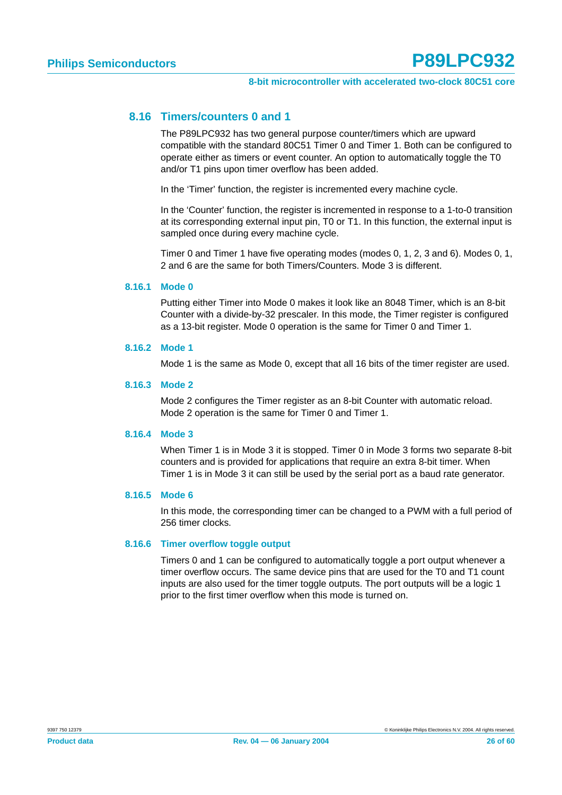#### <span id="page-25-0"></span>**8.16 Timers/counters 0 and 1**

The P89LPC932 has two general purpose counter/timers which are upward compatible with the standard 80C51 Timer 0 and Timer 1. Both can be configured to operate either as timers or event counter. An option to automatically toggle the T0 and/or T1 pins upon timer overflow has been added.

In the 'Timer' function, the register is incremented every machine cycle.

In the 'Counter' function, the register is incremented in response to a 1-to-0 transition at its corresponding external input pin, T0 or T1. In this function, the external input is sampled once during every machine cycle.

Timer 0 and Timer 1 have five operating modes (modes 0, 1, 2, 3 and 6). Modes 0, 1, 2 and 6 are the same for both Timers/Counters. Mode 3 is different.

#### **8.16.1 Mode 0**

Putting either Timer into Mode 0 makes it look like an 8048 Timer, which is an 8-bit Counter with a divide-by-32 prescaler. In this mode, the Timer register is configured as a 13-bit register. Mode 0 operation is the same for Timer 0 and Timer 1.

#### **8.16.2 Mode 1**

Mode 1 is the same as Mode 0, except that all 16 bits of the timer register are used.

#### **8.16.3 Mode 2**

Mode 2 configures the Timer register as an 8-bit Counter with automatic reload. Mode 2 operation is the same for Timer 0 and Timer 1.

#### **8.16.4 Mode 3**

When Timer 1 is in Mode 3 it is stopped. Timer 0 in Mode 3 forms two separate 8-bit counters and is provided for applications that require an extra 8-bit timer. When Timer 1 is in Mode 3 it can still be used by the serial port as a baud rate generator.

#### **8.16.5 Mode 6**

In this mode, the corresponding timer can be changed to a PWM with a full period of 256 timer clocks.

#### **8.16.6 Timer overflow toggle output**

Timers 0 and 1 can be configured to automatically toggle a port output whenever a timer overflow occurs. The same device pins that are used for the T0 and T1 count inputs are also used for the timer toggle outputs. The port outputs will be a logic 1 prior to the first timer overflow when this mode is turned on.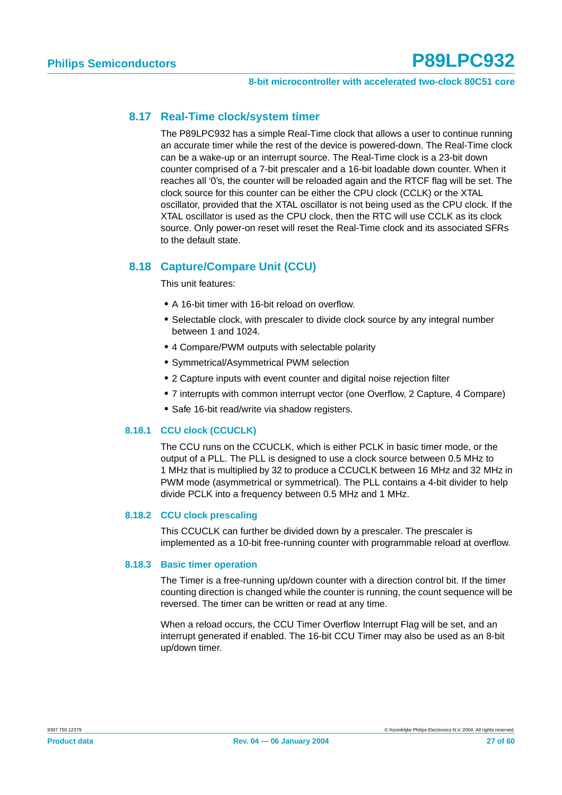#### <span id="page-26-1"></span>**8.17 Real-Time clock/system timer**

The P89LPC932 has a simple Real-Time clock that allows a user to continue running an accurate timer while the rest of the device is powered-down. The Real-Time clock can be a wake-up or an interrupt source. The Real-Time clock is a 23-bit down counter comprised of a 7-bit prescaler and a 16-bit loadable down counter. When it reaches all '0's, the counter will be reloaded again and the RTCF flag will be set. The clock source for this counter can be either the CPU clock (CCLK) or the XTAL oscillator, provided that the XTAL oscillator is not being used as the CPU clock. If the XTAL oscillator is used as the CPU clock, then the RTC will use CCLK as its clock source. Only power-on reset will reset the Real-Time clock and its associated SFRs to the default state.

#### <span id="page-26-0"></span>**8.18 Capture/Compare Unit (CCU)**

This unit features:

- **•** A 16-bit timer with 16-bit reload on overflow.
- **•** Selectable clock, with prescaler to divide clock source by any integral number between 1 and 1024.
- **•** 4 Compare/PWM outputs with selectable polarity
- **•** Symmetrical/Asymmetrical PWM selection
- **•** 2 Capture inputs with event counter and digital noise rejection filter
- **•** 7 interrupts with common interrupt vector (one Overflow, 2 Capture, 4 Compare)
- **•** Safe 16-bit read/write via shadow registers.

#### **8.18.1 CCU clock (CCUCLK)**

The CCU runs on the CCUCLK, which is either PCLK in basic timer mode, or the output of a PLL. The PLL is designed to use a clock source between 0.5 MHz to 1 MHz that is multiplied by 32 to produce a CCUCLK between 16 MHz and 32 MHz in PWM mode (asymmetrical or symmetrical). The PLL contains a 4-bit divider to help divide PCLK into a frequency between 0.5 MHz and 1 MHz.

#### **8.18.2 CCU clock prescaling**

This CCUCLK can further be divided down by a prescaler. The prescaler is implemented as a 10-bit free-running counter with programmable reload at overflow.

#### **8.18.3 Basic timer operation**

The Timer is a free-running up/down counter with a direction control bit. If the timer counting direction is changed while the counter is running, the count sequence will be reversed. The timer can be written or read at any time.

When a reload occurs, the CCU Timer Overflow Interrupt Flag will be set, and an interrupt generated if enabled. The 16-bit CCU Timer may also be used as an 8-bit up/down timer.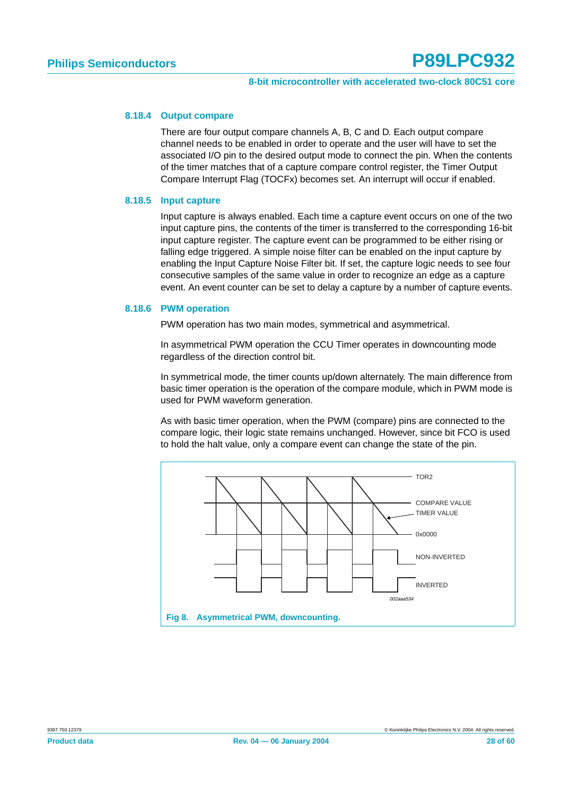#### **8.18.4 Output compare**

There are four output compare channels A, B, C and D. Each output compare channel needs to be enabled in order to operate and the user will have to set the associated I/O pin to the desired output mode to connect the pin. When the contents of the timer matches that of a capture compare control register, the Timer Output Compare Interrupt Flag (TOCFx) becomes set. An interrupt will occur if enabled.

#### **8.18.5 Input capture**

Input capture is always enabled. Each time a capture event occurs on one of the two input capture pins, the contents of the timer is transferred to the corresponding 16-bit input capture register. The capture event can be programmed to be either rising or falling edge triggered. A simple noise filter can be enabled on the input capture by enabling the Input Capture Noise Filter bit. If set, the capture logic needs to see four consecutive samples of the same value in order to recognize an edge as a capture event. An event counter can be set to delay a capture by a number of capture events.

#### **8.18.6 PWM operation**

PWM operation has two main modes, symmetrical and asymmetrical.

In asymmetrical PWM operation the CCU Timer operates in downcounting mode regardless of the direction control bit.

In symmetrical mode, the timer counts up/down alternately. The main difference from basic timer operation is the operation of the compare module, which in PWM mode is used for PWM waveform generation.

As with basic timer operation, when the PWM (compare) pins are connected to the compare logic, their logic state remains unchanged. However, since bit FCO is used to hold the halt value, only a compare event can change the state of the pin.

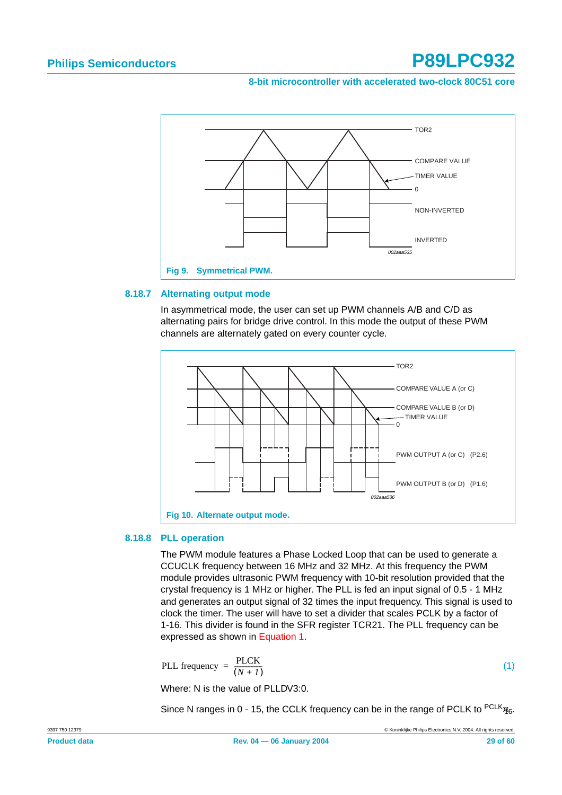**8-bit microcontroller with accelerated two-clock 80C51 core**



#### **8.18.7 Alternating output mode**

In asymmetrical mode, the user can set up PWM channels A/B and C/D as alternating pairs for bridge drive control. In this mode the output of these PWM channels are alternately gated on every counter cycle.



#### **8.18.8 PLL operation**

The PWM module features a Phase Locked Loop that can be used to generate a CCUCLK frequency between 16 MHz and 32 MHz. At this frequency the PWM module provides ultrasonic PWM frequency with 10-bit resolution provided that the crystal frequency is 1 MHz or higher. The PLL is fed an input signal of 0.5 - 1 MHz and generates an output signal of 32 times the input frequency. This signal is used to clock the timer. The user will have to set a divider that scales PCLK by a factor of 1-16. This divider is found in the SFR register TCR21. The PLL frequency can be expressed as shown in [Equation 1.](#page-28-0)

<span id="page-28-0"></span>
$$
PLL frequency = \frac{PLCK}{(N+1)}
$$

Where: N is the value of PLLDV3:0.

Since N ranges in 0 - 15, the CCLK frequency can be in the range of PCLK to  $PCLK_{16}$ .

(1)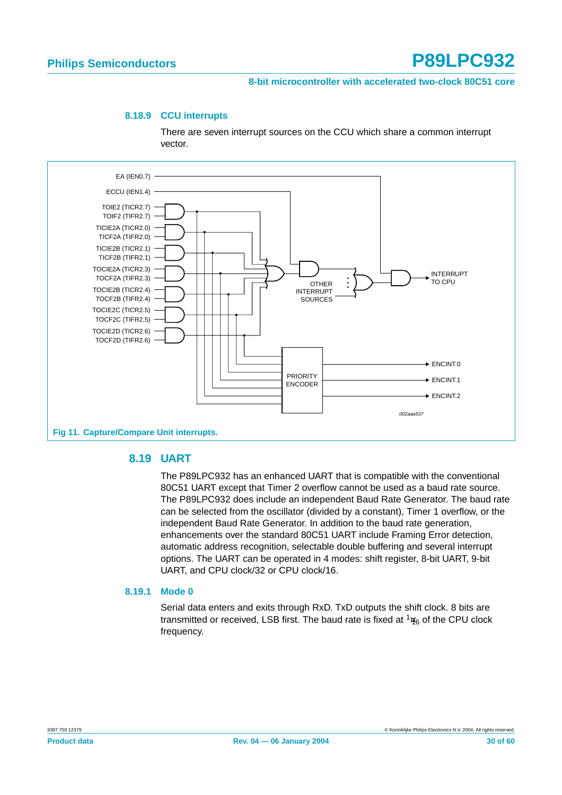#### **8-bit microcontroller with accelerated two-clock 80C51 core**

#### **8.18.9 CCU interrupts**

There are seven interrupt sources on the CCU which share a common interrupt vector.



#### <span id="page-29-0"></span>**8.19 UART**

The P89LPC932 has an enhanced UART that is compatible with the conventional 80C51 UART except that Timer 2 overflow cannot be used as a baud rate source. The P89LPC932 does include an independent Baud Rate Generator. The baud rate can be selected from the oscillator (divided by a constant), Timer 1 overflow, or the independent Baud Rate Generator. In addition to the baud rate generation, enhancements over the standard 80C51 UART include Framing Error detection, automatic address recognition, selectable double buffering and several interrupt options. The UART can be operated in 4 modes: shift register, 8-bit UART, 9-bit UART, and CPU clock/32 or CPU clock/16.

#### **8.19.1 Mode 0**

Serial data enters and exits through RxD. TxD outputs the shift clock. 8 bits are transmitted or received, LSB first. The baud rate is fixed at  $\frac{1}{16}$  of the CPU clock frequency.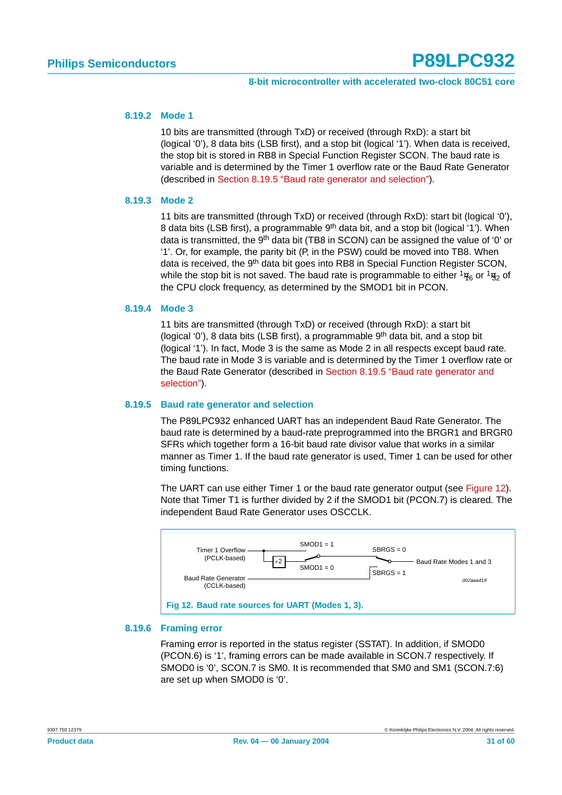#### **8.19.2 Mode 1**

10 bits are transmitted (through TxD) or received (through RxD): a start bit (logical '0'), 8 data bits (LSB first), and a stop bit (logical '1'). When data is received, the stop bit is stored in RB8 in Special Function Register SCON. The baud rate is variable and is determined by the Timer 1 overflow rate or the Baud Rate Generator (described in [Section 8.19.5 "Baud rate generator and selection"](#page-30-0)).

#### **8.19.3 Mode 2**

11 bits are transmitted (through TxD) or received (through RxD): start bit (logical '0'), 8 data bits (LSB first), a programmable  $9<sup>th</sup>$  data bit, and a stop bit (logical '1'). When data is transmitted, the 9<sup>th</sup> data bit (TB8 in SCON) can be assigned the value of '0' or '1'. Or, for example, the parity bit (P, in the PSW) could be moved into TB8. When data is received, the 9<sup>th</sup> data bit goes into RB8 in Special Function Register SCON, while the stop bit is not saved. The baud rate is programmable to either  $\frac{1}{16}$  or  $\frac{1}{32}$  of the CPU clock frequency, as determined by the SMOD1 bit in PCON.

#### **8.19.4 Mode 3**

11 bits are transmitted (through TxD) or received (through RxD): a start bit (logical '0'), 8 data bits (LSB first), a programmable  $9<sup>th</sup>$  data bit, and a stop bit (logical '1'). In fact, Mode 3 is the same as Mode 2 in all respects except baud rate. The baud rate in Mode 3 is variable and is determined by the Timer 1 overflow rate or the Baud Rate Generator (described in [Section 8.19.5 "Baud rate generator and](#page-30-0) [selection"\)](#page-30-0).

#### <span id="page-30-0"></span>**8.19.5 Baud rate generator and selection**

The P89LPC932 enhanced UART has an independent Baud Rate Generator. The baud rate is determined by a baud-rate preprogrammed into the BRGR1 and BRGR0 SFRs which together form a 16-bit baud rate divisor value that works in a similar manner as Timer 1. If the baud rate generator is used, Timer 1 can be used for other timing functions.

The UART can use either Timer 1 or the baud rate generator output (see [Figure 12\)](#page-30-1). Note that Timer T1 is further divided by 2 if the SMOD1 bit (PCON.7) is cleared. The independent Baud Rate Generator uses OSCCLK.



#### <span id="page-30-1"></span>**8.19.6 Framing error**

Framing error is reported in the status register (SSTAT). In addition, if SMOD0 (PCON.6) is '1', framing errors can be made available in SCON.7 respectively. If SMOD0 is '0', SCON.7 is SM0. It is recommended that SM0 and SM1 (SCON.7:6) are set up when SMOD0 is '0'.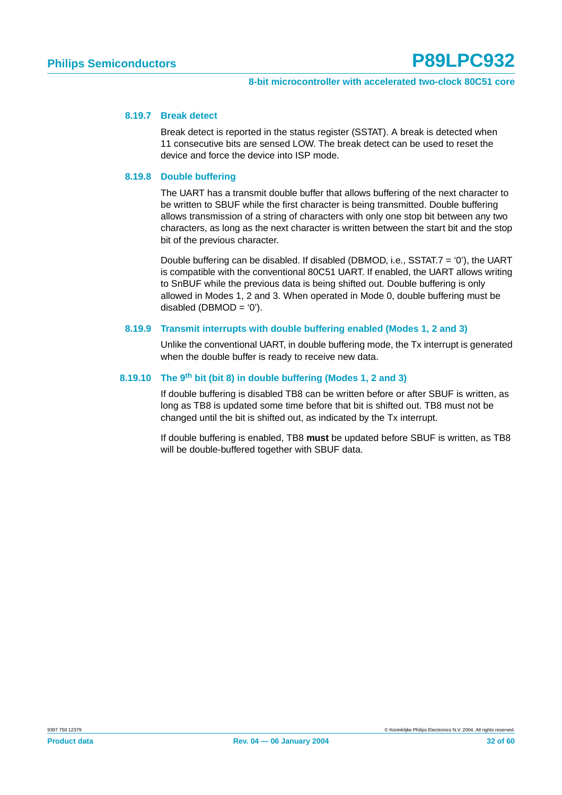#### **8.19.7 Break detect**

Break detect is reported in the status register (SSTAT). A break is detected when 11 consecutive bits are sensed LOW. The break detect can be used to reset the device and force the device into ISP mode.

#### **8.19.8 Double buffering**

The UART has a transmit double buffer that allows buffering of the next character to be written to SBUF while the first character is being transmitted. Double buffering allows transmission of a string of characters with only one stop bit between any two characters, as long as the next character is written between the start bit and the stop bit of the previous character.

Double buffering can be disabled. If disabled (DBMOD, i.e., SSTAT.7 = '0'), the UART is compatible with the conventional 80C51 UART. If enabled, the UART allows writing to SnBUF while the previous data is being shifted out. Double buffering is only allowed in Modes 1, 2 and 3. When operated in Mode 0, double buffering must be disabled  $(DBMOD = '0')$ .

#### **8.19.9 Transmit interrupts with double buffering enabled (Modes 1, 2 and 3)**

Unlike the conventional UART, in double buffering mode, the Tx interrupt is generated when the double buffer is ready to receive new data.

#### **8.19.10 The 9th bit (bit 8) in double buffering (Modes 1, 2 and 3)**

If double buffering is disabled TB8 can be written before or after SBUF is written, as long as TB8 is updated some time before that bit is shifted out. TB8 must not be changed until the bit is shifted out, as indicated by the Tx interrupt.

If double buffering is enabled, TB8 **must** be updated before SBUF is written, as TB8 will be double-buffered together with SBUF data.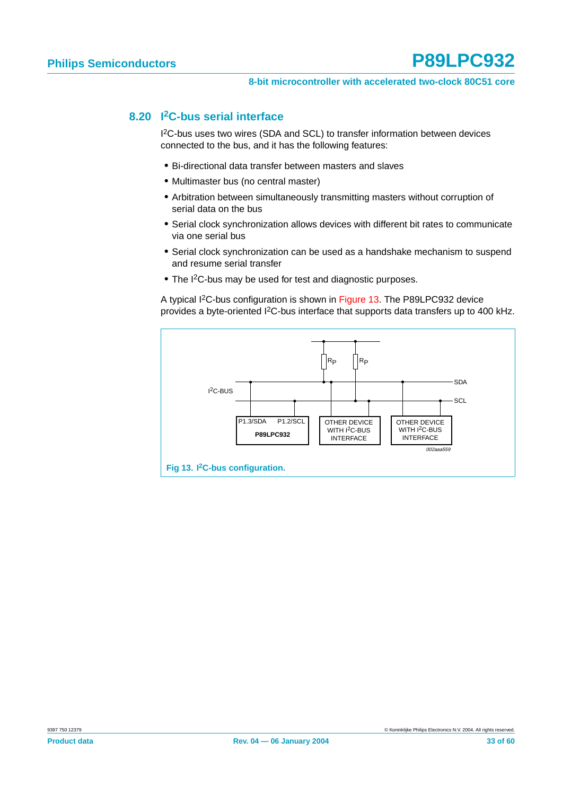#### <span id="page-32-1"></span>**8.20 I2C-bus serial interface**

I 2C-bus uses two wires (SDA and SCL) to transfer information between devices connected to the bus, and it has the following features:

- **•** Bi-directional data transfer between masters and slaves
- **•** Multimaster bus (no central master)
- **•** Arbitration between simultaneously transmitting masters without corruption of serial data on the bus
- **•** Serial clock synchronization allows devices with different bit rates to communicate via one serial bus
- **•** Serial clock synchronization can be used as a handshake mechanism to suspend and resume serial transfer
- **•** The I2C-bus may be used for test and diagnostic purposes.

A typical I2C-bus configuration is shown in [Figure 13](#page-32-0). The P89LPC932 device provides a byte-oriented I2C-bus interface that supports data transfers up to 400 kHz.

<span id="page-32-0"></span>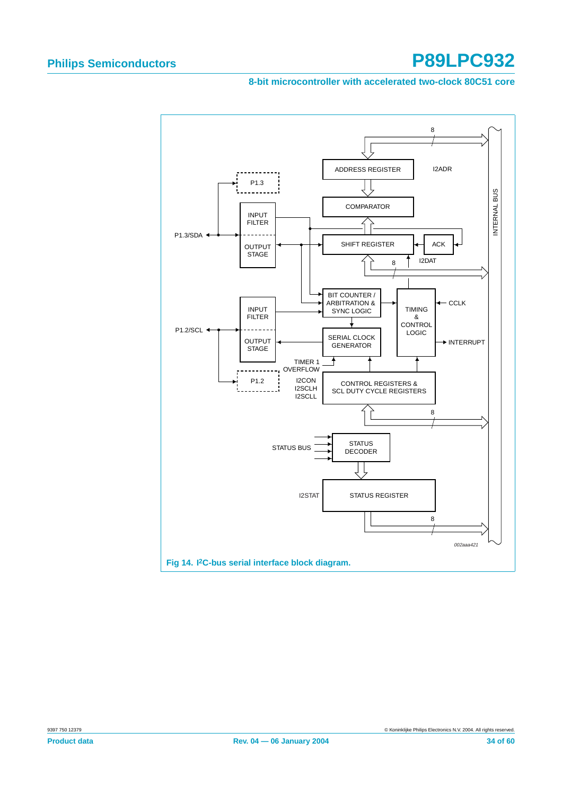#### **8-bit microcontroller with accelerated two-clock 80C51 core**

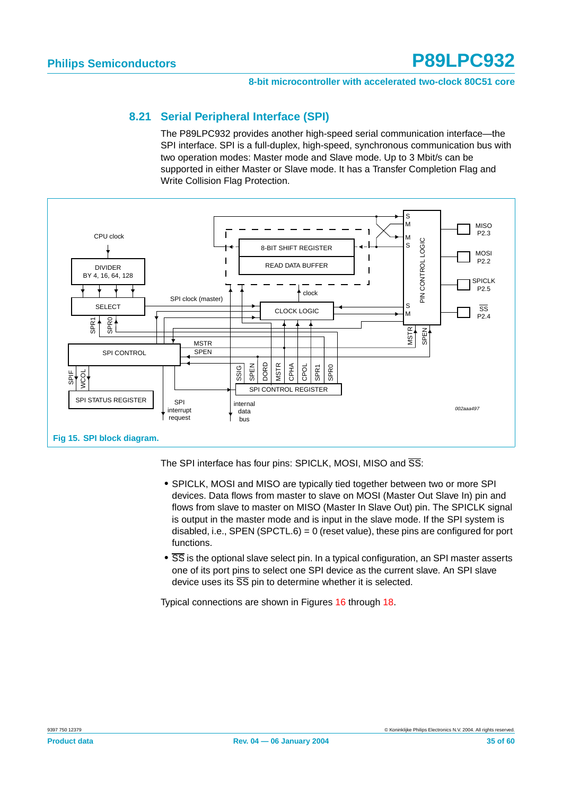#### **8.21 Serial Peripheral Interface (SPI)**

The P89LPC932 provides another high-speed serial communication interface—the SPI interface. SPI is a full-duplex, high-speed, synchronous communication bus with two operation modes: Master mode and Slave mode. Up to 3 Mbit/s can be supported in either Master or Slave mode. It has a Transfer Completion Flag and Write Collision Flag Protection.

<span id="page-34-0"></span>

The SPI interface has four pins: SPICLK, MOSI, MISO and  $\overline{\text{SS}}$ :

- **•** SPICLK, MOSI and MISO are typically tied together between two or more SPI devices. Data flows from master to slave on MOSI (Master Out Slave In) pin and flows from slave to master on MISO (Master In Slave Out) pin. The SPICLK signal is output in the master mode and is input in the slave mode. If the SPI system is disabled, i.e., SPEN (SPCTL.6) =  $0$  (reset value), these pins are configured for port functions.
- **•** SS is the optional slave select pin. In a typical configuration, an SPI master asserts one of its port pins to select one SPI device as the current slave. An SPI slave device uses its  $\overline{SS}$  pin to determine whether it is selected.

Typical connections are shown in Figures [16](#page-35-0) through [18.](#page-36-0)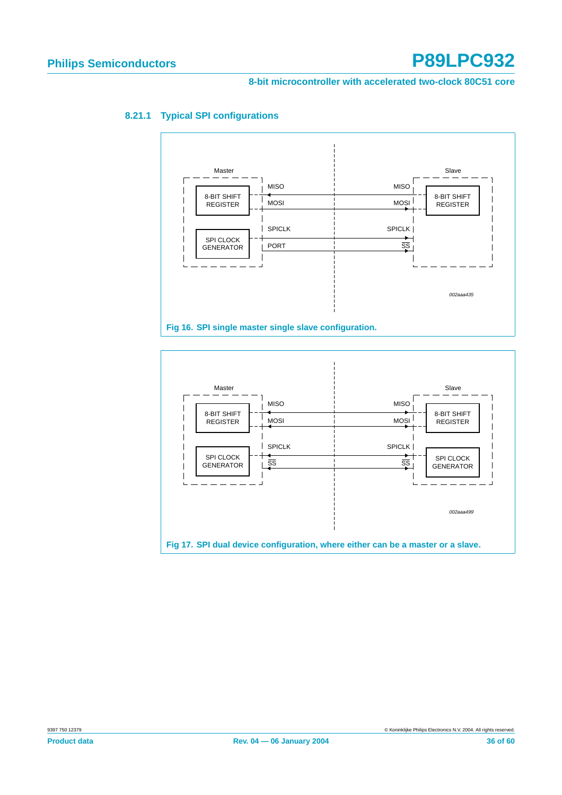#### **8-bit microcontroller with accelerated two-clock 80C51 core**



#### **8.21.1 Typical SPI configurations**

<span id="page-35-0"></span>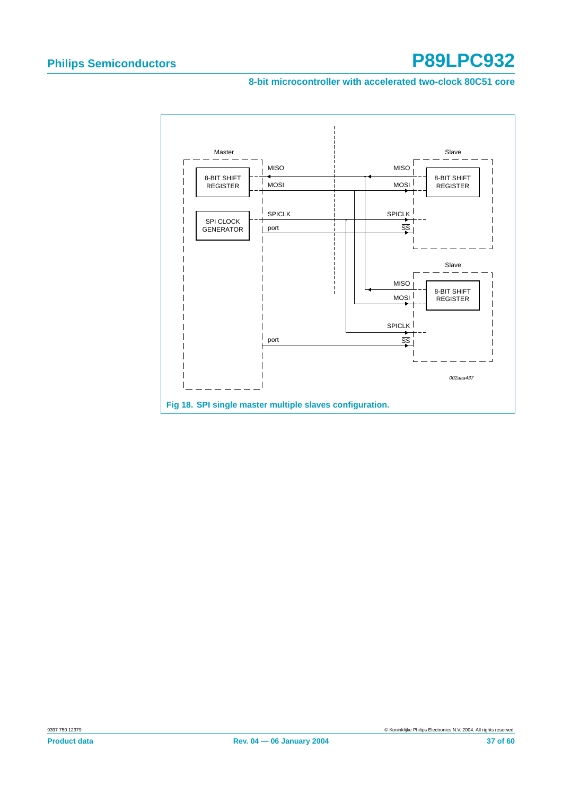#### **8-bit microcontroller with accelerated two-clock 80C51 core**

<span id="page-36-0"></span>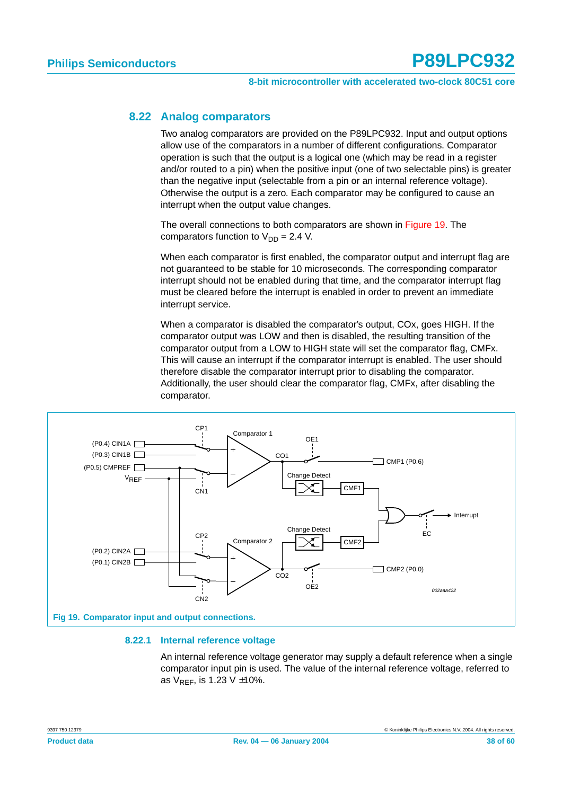#### <span id="page-37-1"></span>**8.22 Analog comparators**

Two analog comparators are provided on the P89LPC932. Input and output options allow use of the comparators in a number of different configurations. Comparator operation is such that the output is a logical one (which may be read in a register and/or routed to a pin) when the positive input (one of two selectable pins) is greater than the negative input (selectable from a pin or an internal reference voltage). Otherwise the output is a zero. Each comparator may be configured to cause an interrupt when the output value changes.

The overall connections to both comparators are shown in [Figure 19](#page-37-0). The comparators function to  $V_{DD} = 2.4$  V.

When each comparator is first enabled, the comparator output and interrupt flag are not guaranteed to be stable for 10 microseconds. The corresponding comparator interrupt should not be enabled during that time, and the comparator interrupt flag must be cleared before the interrupt is enabled in order to prevent an immediate interrupt service.

When a comparator is disabled the comparator's output, COx, goes HIGH. If the comparator output was LOW and then is disabled, the resulting transition of the comparator output from a LOW to HIGH state will set the comparator flag, CMFx. This will cause an interrupt if the comparator interrupt is enabled. The user should therefore disable the comparator interrupt prior to disabling the comparator. Additionally, the user should clear the comparator flag, CMFx, after disabling the comparator.



#### <span id="page-37-0"></span>**8.22.1 Internal reference voltage**

An internal reference voltage generator may supply a default reference when a single comparator input pin is used. The value of the internal reference voltage, referred to as  $V_{RFF}$ , is 1.23 V  $\pm$ 10%.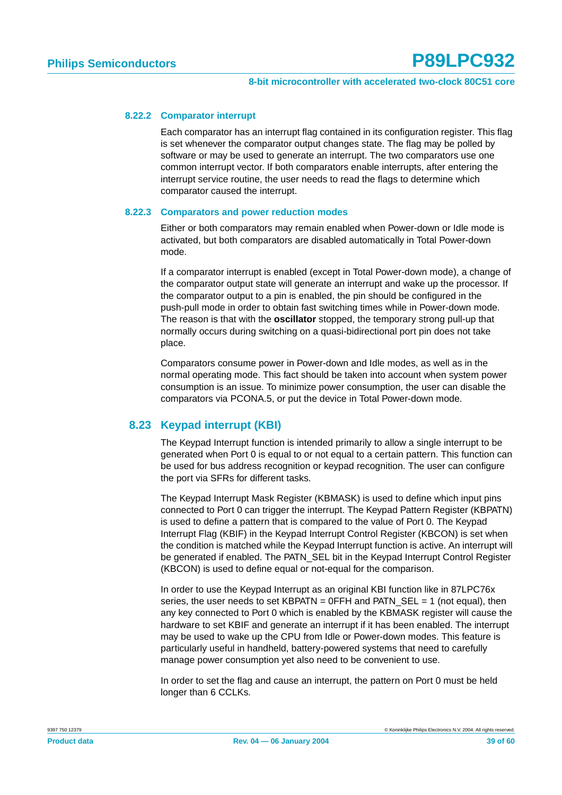#### **8.22.2 Comparator interrupt**

Each comparator has an interrupt flag contained in its configuration register. This flag is set whenever the comparator output changes state. The flag may be polled by software or may be used to generate an interrupt. The two comparators use one common interrupt vector. If both comparators enable interrupts, after entering the interrupt service routine, the user needs to read the flags to determine which comparator caused the interrupt.

#### **8.22.3 Comparators and power reduction modes**

Either or both comparators may remain enabled when Power-down or Idle mode is activated, but both comparators are disabled automatically in Total Power-down mode.

If a comparator interrupt is enabled (except in Total Power-down mode), a change of the comparator output state will generate an interrupt and wake up the processor. If the comparator output to a pin is enabled, the pin should be configured in the push-pull mode in order to obtain fast switching times while in Power-down mode. The reason is that with the **oscillator** stopped, the temporary strong pull-up that normally occurs during switching on a quasi-bidirectional port pin does not take place.

Comparators consume power in Power-down and Idle modes, as well as in the normal operating mode. This fact should be taken into account when system power consumption is an issue. To minimize power consumption, the user can disable the comparators via PCONA.5, or put the device in Total Power-down mode.

#### <span id="page-38-0"></span>**8.23 Keypad interrupt (KBI)**

The Keypad Interrupt function is intended primarily to allow a single interrupt to be generated when Port 0 is equal to or not equal to a certain pattern. This function can be used for bus address recognition or keypad recognition. The user can configure the port via SFRs for different tasks.

The Keypad Interrupt Mask Register (KBMASK) is used to define which input pins connected to Port 0 can trigger the interrupt. The Keypad Pattern Register (KBPATN) is used to define a pattern that is compared to the value of Port 0. The Keypad Interrupt Flag (KBIF) in the Keypad Interrupt Control Register (KBCON) is set when the condition is matched while the Keypad Interrupt function is active. An interrupt will be generated if enabled. The PATN\_SEL bit in the Keypad Interrupt Control Register (KBCON) is used to define equal or not-equal for the comparison.

In order to use the Keypad Interrupt as an original KBI function like in 87LPC76x series, the user needs to set KBPATN =  $0$ FFH and PATN  $\,$  SEL = 1 (not equal), then any key connected to Port 0 which is enabled by the KBMASK register will cause the hardware to set KBIF and generate an interrupt if it has been enabled. The interrupt may be used to wake up the CPU from Idle or Power-down modes. This feature is particularly useful in handheld, battery-powered systems that need to carefully manage power consumption yet also need to be convenient to use.

In order to set the flag and cause an interrupt, the pattern on Port 0 must be held longer than 6 CCLKs.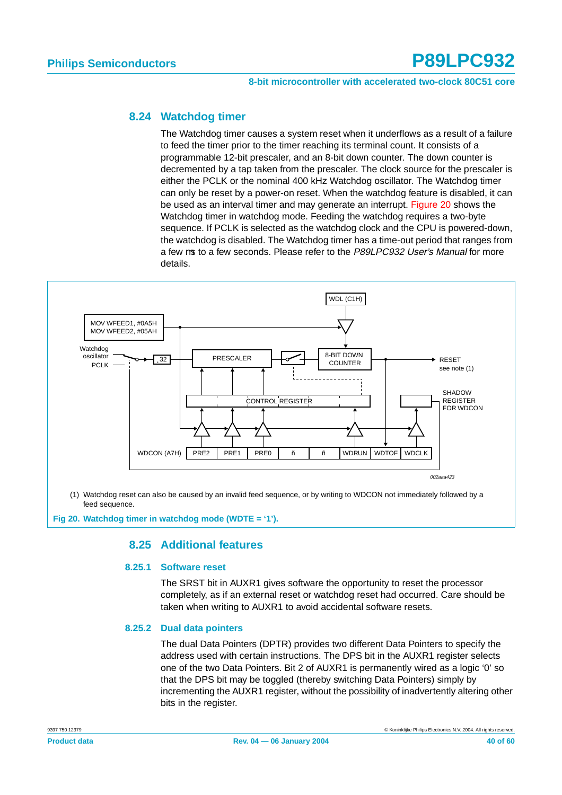#### **8-bit microcontroller with accelerated two-clock 80C51 core**

#### <span id="page-39-1"></span>**8.24 Watchdog timer**

The Watchdog timer causes a system reset when it underflows as a result of a failure to feed the timer prior to the timer reaching its terminal count. It consists of a programmable 12-bit prescaler, and an 8-bit down counter. The down counter is decremented by a tap taken from the prescaler. The clock source for the prescaler is either the PCLK or the nominal 400 kHz Watchdog oscillator. The Watchdog timer can only be reset by a power-on reset. When the watchdog feature is disabled, it can be used as an interval timer and may generate an interrupt. [Figure 20](#page-39-0) shows the Watchdog timer in watchdog mode. Feeding the watchdog requires a two-byte sequence. If PCLK is selected as the watchdog clock and the CPU is powered-down, the watchdog is disabled. The Watchdog timer has a time-out period that ranges from a few us to a few seconds. Please refer to the P89LPC932 User's Manual for more details.



feed sequence.

<span id="page-39-2"></span><span id="page-39-0"></span>**Fig 20. Watchdog timer in watchdog mode (WDTE = '1').**

#### **8.25 Additional features**

#### **8.25.1 Software reset**

The SRST bit in AUXR1 gives software the opportunity to reset the processor completely, as if an external reset or watchdog reset had occurred. Care should be taken when writing to AUXR1 to avoid accidental software resets.

#### **8.25.2 Dual data pointers**

The dual Data Pointers (DPTR) provides two different Data Pointers to specify the address used with certain instructions. The DPS bit in the AUXR1 register selects one of the two Data Pointers. Bit 2 of AUXR1 is permanently wired as a logic '0' so that the DPS bit may be toggled (thereby switching Data Pointers) simply by incrementing the AUXR1 register, without the possibility of inadvertently altering other bits in the register.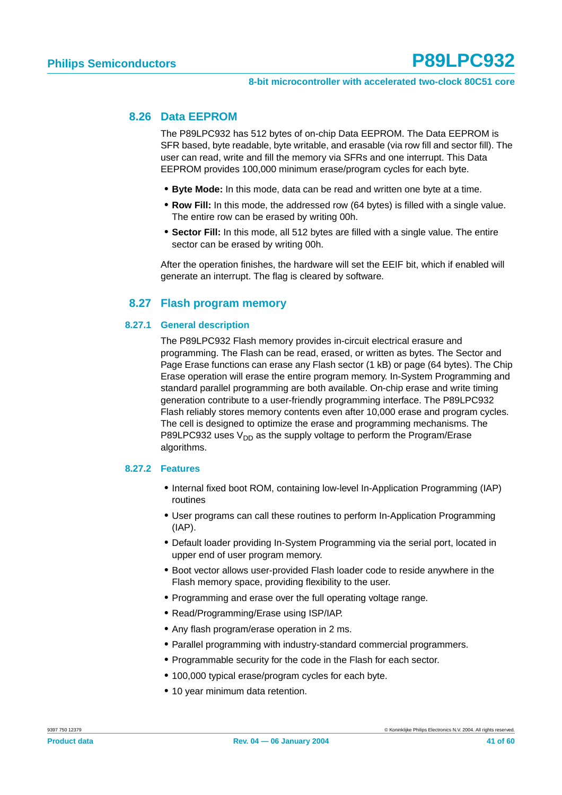#### <span id="page-40-0"></span>**8.26 Data EEPROM**

The P89LPC932 has 512 bytes of on-chip Data EEPROM. The Data EEPROM is SFR based, byte readable, byte writable, and erasable (via row fill and sector fill). The user can read, write and fill the memory via SFRs and one interrupt. This Data EEPROM provides 100,000 minimum erase/program cycles for each byte.

- **• Byte Mode:** In this mode, data can be read and written one byte at a time.
- **• Row Fill:** In this mode, the addressed row (64 bytes) is filled with a single value. The entire row can be erased by writing 00h.
- **• Sector Fill:** In this mode, all 512 bytes are filled with a single value. The entire sector can be erased by writing 00h.

After the operation finishes, the hardware will set the EEIF bit, which if enabled will generate an interrupt. The flag is cleared by software.

#### **8.27 Flash program memory**

#### <span id="page-40-2"></span>**8.27.1 General description**

The P89LPC932 Flash memory provides in-circuit electrical erasure and programming. The Flash can be read, erased, or written as bytes. The Sector and Page Erase functions can erase any Flash sector (1 kB) or page (64 bytes). The Chip Erase operation will erase the entire program memory. In-System Programming and standard parallel programming are both available. On-chip erase and write timing generation contribute to a user-friendly programming interface. The P89LPC932 Flash reliably stores memory contents even after 10,000 erase and program cycles. The cell is designed to optimize the erase and programming mechanisms. The P89LPC932 uses  $V_{DD}$  as the supply voltage to perform the Program/Erase algorithms.

#### <span id="page-40-1"></span>**8.27.2 Features**

- **•** Internal fixed boot ROM, containing low-level In-Application Programming (IAP) routines
- **•** User programs can call these routines to perform In-Application Programming (IAP).
- **•** Default loader providing In-System Programming via the serial port, located in upper end of user program memory.
- **•** Boot vector allows user-provided Flash loader code to reside anywhere in the Flash memory space, providing flexibility to the user.
- **•** Programming and erase over the full operating voltage range.
- **•** Read/Programming/Erase using ISP/IAP.
- **•** Any flash program/erase operation in 2 ms.
- **•** Parallel programming with industry-standard commercial programmers.
- **•** Programmable security for the code in the Flash for each sector.
- **•** 100,000 typical erase/program cycles for each byte.
- **•** 10 year minimum data retention.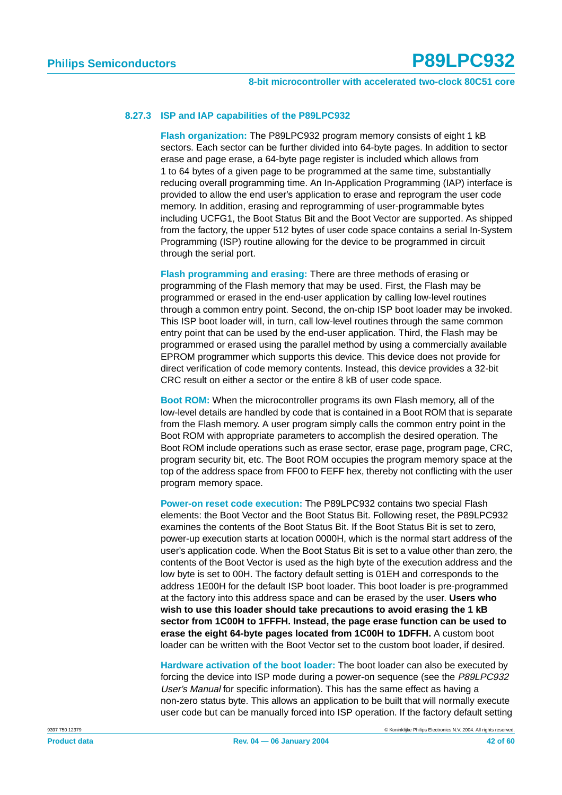#### **8.27.3 ISP and IAP capabilities of the P89LPC932**

**Flash organization:** The P89LPC932 program memory consists of eight 1 kB sectors. Each sector can be further divided into 64-byte pages. In addition to sector erase and page erase, a 64-byte page register is included which allows from 1 to 64 bytes of a given page to be programmed at the same time, substantially reducing overall programming time. An In-Application Programming (IAP) interface is provided to allow the end user's application to erase and reprogram the user code memory. In addition, erasing and reprogramming of user-programmable bytes including UCFG1, the Boot Status Bit and the Boot Vector are supported. As shipped from the factory, the upper 512 bytes of user code space contains a serial In-System Programming (ISP) routine allowing for the device to be programmed in circuit through the serial port.

**Flash programming and erasing:** There are three methods of erasing or programming of the Flash memory that may be used. First, the Flash may be programmed or erased in the end-user application by calling low-level routines through a common entry point. Second, the on-chip ISP boot loader may be invoked. This ISP boot loader will, in turn, call low-level routines through the same common entry point that can be used by the end-user application. Third, the Flash may be programmed or erased using the parallel method by using a commercially available EPROM programmer which supports this device. This device does not provide for direct verification of code memory contents. Instead, this device provides a 32-bit CRC result on either a sector or the entire 8 kB of user code space.

**Boot ROM:** When the microcontroller programs its own Flash memory, all of the low-level details are handled by code that is contained in a Boot ROM that is separate from the Flash memory. A user program simply calls the common entry point in the Boot ROM with appropriate parameters to accomplish the desired operation. The Boot ROM include operations such as erase sector, erase page, program page, CRC, program security bit, etc. The Boot ROM occupies the program memory space at the top of the address space from FF00 to FEFF hex, thereby not conflicting with the user program memory space.

**Power-on reset code execution:** The P89LPC932 contains two special Flash elements: the Boot Vector and the Boot Status Bit. Following reset, the P89LPC932 examines the contents of the Boot Status Bit. If the Boot Status Bit is set to zero, power-up execution starts at location 0000H, which is the normal start address of the user's application code. When the Boot Status Bit is set to a value other than zero, the contents of the Boot Vector is used as the high byte of the execution address and the low byte is set to 00H. The factory default setting is 01EH and corresponds to the address 1E00H for the default ISP boot loader. This boot loader is pre-programmed at the factory into this address space and can be erased by the user. **Users who wish to use this loader should take precautions to avoid erasing the 1 kB sector from 1C00H to 1FFFH. Instead, the page erase function can be used to erase the eight 64-byte pages located from 1C00H to 1DFFH.** A custom boot loader can be written with the Boot Vector set to the custom boot loader, if desired.

**Hardware activation of the boot loader:** The boot loader can also be executed by forcing the device into ISP mode during a power-on sequence (see the P89LPC932 User's Manual for specific information). This has the same effect as having a non-zero status byte. This allows an application to be built that will normally execute user code but can be manually forced into ISP operation. If the factory default setting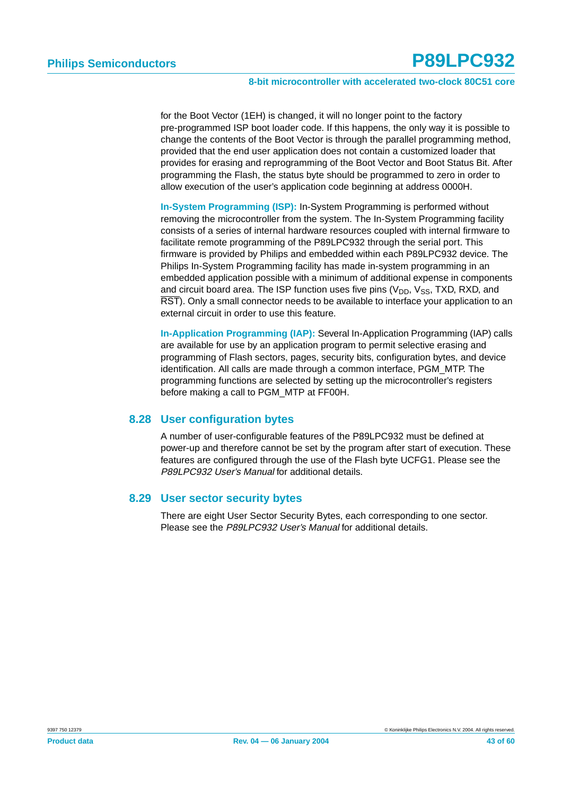#### **8-bit microcontroller with accelerated two-clock 80C51 core**

for the Boot Vector (1EH) is changed, it will no longer point to the factory pre-programmed ISP boot loader code. If this happens, the only way it is possible to change the contents of the Boot Vector is through the parallel programming method, provided that the end user application does not contain a customized loader that provides for erasing and reprogramming of the Boot Vector and Boot Status Bit. After programming the Flash, the status byte should be programmed to zero in order to allow execution of the user's application code beginning at address 0000H.

**In-System Programming (ISP):** In-System Programming is performed without removing the microcontroller from the system. The In-System Programming facility consists of a series of internal hardware resources coupled with internal firmware to facilitate remote programming of the P89LPC932 through the serial port. This firmware is provided by Philips and embedded within each P89LPC932 device. The Philips In-System Programming facility has made in-system programming in an embedded application possible with a minimum of additional expense in components and circuit board area. The ISP function uses five pins  $(V_{DD}, V_{SS}, TXD, RXD,$  and RST). Only a small connector needs to be available to interface your application to an external circuit in order to use this feature.

**In-Application Programming (IAP):** Several In-Application Programming (IAP) calls are available for use by an application program to permit selective erasing and programming of Flash sectors, pages, security bits, configuration bytes, and device identification. All calls are made through a common interface, PGM\_MTP. The programming functions are selected by setting up the microcontroller's registers before making a call to PGM\_MTP at FF00H.

#### <span id="page-42-0"></span>**8.28 User configuration bytes**

A number of user-configurable features of the P89LPC932 must be defined at power-up and therefore cannot be set by the program after start of execution. These features are configured through the use of the Flash byte UCFG1. Please see the P89LPC932 User's Manual for additional details.

#### <span id="page-42-1"></span>**8.29 User sector security bytes**

There are eight User Sector Security Bytes, each corresponding to one sector. Please see the P89LPC932 User's Manual for additional details.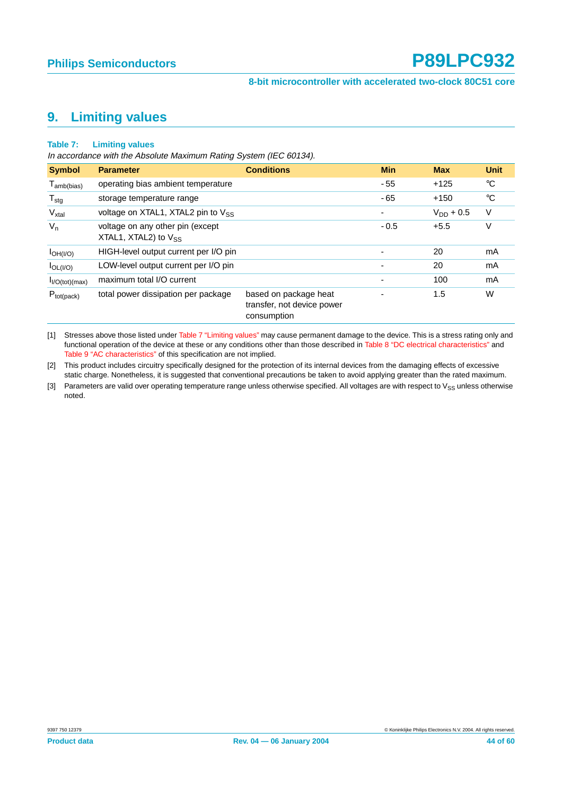## <span id="page-43-1"></span>**9. Limiting values**

#### <span id="page-43-0"></span>**Table 7: Limiting values**

In accordance with the Absolute Maximum Rating System (IEC 60134).

| <b>Symbol</b>               | <b>Parameter</b>                                              | <b>Conditions</b>                                                  | <b>Min</b>               | <b>Max</b>     | <b>Unit</b> |
|-----------------------------|---------------------------------------------------------------|--------------------------------------------------------------------|--------------------------|----------------|-------------|
| $T_{amb(bias)}$             | operating bias ambient temperature                            |                                                                    | $-55$                    | $+125$         | °C          |
| $T_{\text{stg}}$            | storage temperature range                                     |                                                                    | $-65$                    | $+150$         | °C          |
| $V_{xtal}$                  | voltage on XTAL1, XTAL2 pin to $V_{SS}$                       |                                                                    | ٠                        | $V_{DD} + 0.5$ | V           |
| $V_{n}$                     | voltage on any other pin (except<br>XTAL1, XTAL2) to $V_{SS}$ |                                                                    | $-0.5$                   | $+5.5$         | V           |
| $I_{OH( I/O)}$              | HIGH-level output current per I/O pin                         |                                                                    | $\overline{\phantom{0}}$ | 20             | mA          |
| $I_{OL( I/O)}$              | LOW-level output current per I/O pin                          |                                                                    | $\overline{\phantom{0}}$ | 20             | mA          |
| I <sub>I/O</sub> (tot)(max) | maximum total I/O current                                     |                                                                    | $\overline{\phantom{0}}$ | 100            | mA          |
| $P_{tot (pack)}$            | total power dissipation per package                           | based on package heat<br>transfer, not device power<br>consumption |                          | 1.5            | W           |

[1] Stresses above those listed under [Table 7 "Limiting values"](#page-43-0) may cause permanent damage to the device. This is a stress rating only and functional operation of the device at these or any conditions other than those described in [Table 8 "DC electrical characteristics"](#page-44-0) and [Table 9 "AC characteristics"](#page-46-0) of this specification are not implied.

[2] This product includes circuitry specifically designed for the protection of its internal devices from the damaging effects of excessive static charge. Nonetheless, it is suggested that conventional precautions be taken to avoid applying greater than the rated maximum.

[3] Parameters are valid over operating temperature range unless otherwise specified. All voltages are with respect to V<sub>SS</sub> unless otherwise noted.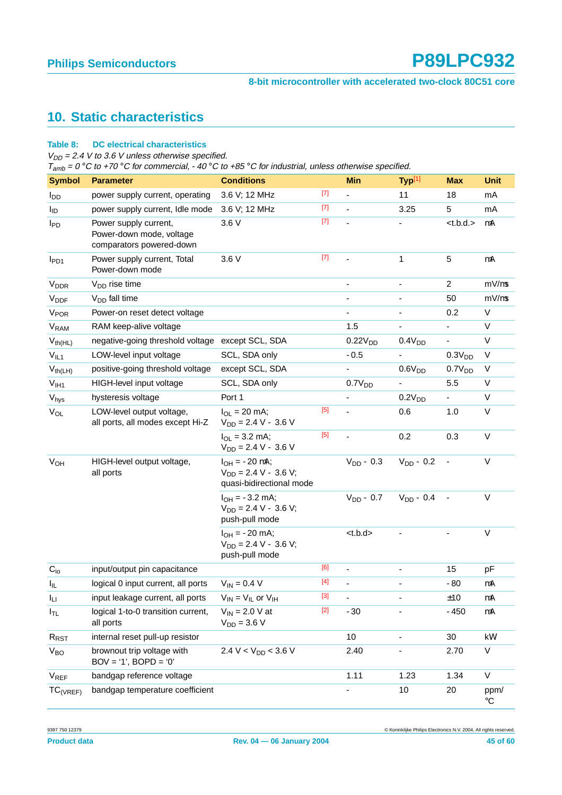#### **8-bit microcontroller with accelerated two-clock 80C51 core**

## <span id="page-44-1"></span>**10. Static characteristics**

#### <span id="page-44-0"></span>**Table 8: DC electrical characteristics**

 $V_{DD}$  = 2.4 V to 3.6 V unless otherwise specified.

 $T<sub>amb</sub> = 0 °C$  to +70 °C for commercial, -40 °C to +85 °C for industrial, unless otherwise specified.

| <b>Symbol</b>           | <b>Parameter</b>                                                              | <b>Conditions</b>                                                              |       | <b>Min</b>          | Typ[1]                       | <b>Max</b>         | <b>Unit</b>         |
|-------------------------|-------------------------------------------------------------------------------|--------------------------------------------------------------------------------|-------|---------------------|------------------------------|--------------------|---------------------|
| l <sub>DD</sub>         | power supply current, operating                                               | 3.6 V; 12 MHz                                                                  | $[7]$ | ÷,                  | 11                           | 18                 | mA                  |
| l <sub>ID</sub>         | power supply current, Idle mode                                               | 3.6 V; 12 MHz                                                                  | $[7]$ | L,                  | 3.25                         | 5                  | mA                  |
| <b>I</b> PD             | Power supply current,<br>Power-down mode, voltage<br>comparators powered-down | 3.6 V                                                                          | $[7]$ | ä,                  | $\qquad \qquad \blacksquare$ | lt.b.d.            | μA                  |
| $I_{PD1}$               | Power supply current, Total<br>Power-down mode                                | 3.6 V                                                                          | $[7]$ |                     | $\mathbf 1$                  | 5                  | μA                  |
| <b>V</b> <sub>DDR</sub> | V <sub>DD</sub> rise time                                                     |                                                                                |       |                     |                              | $\overline{2}$     | $mV/\mu s$          |
| <b>V<sub>DDF</sub></b>  | $V_{DD}$ fall time                                                            |                                                                                |       |                     |                              | 50                 | $mV/\mu s$          |
| <b>V<sub>POR</sub></b>  | Power-on reset detect voltage                                                 |                                                                                |       | $\overline{a}$      | $\overline{\phantom{a}}$     | 0.2                | V                   |
| <b>V<sub>RAM</sub></b>  | RAM keep-alive voltage                                                        |                                                                                |       | 1.5                 |                              | ä,                 | V                   |
| $V_{th(HL)}$            | negative-going threshold voltage except SCL, SDA                              |                                                                                |       | 0.22V <sub>DD</sub> | 0.4V <sub>DD</sub>           |                    | V                   |
| $V_{IL1}$               | LOW-level input voltage                                                       | SCL, SDA only                                                                  |       | $-0.5$              |                              | 0.3V <sub>DD</sub> | $\vee$              |
| $V_{th(LH)}$            | positive-going threshold voltage                                              | except SCL, SDA                                                                |       |                     | 0.6V <sub>DD</sub>           | 0.7V <sub>DD</sub> | V                   |
| V <sub>IH1</sub>        | HIGH-level input voltage                                                      | SCL, SDA only                                                                  |       | 0.7V <sub>DD</sub>  |                              | 5.5                | V                   |
| $V_{\text{hys}}$        | hysteresis voltage                                                            | Port 1                                                                         |       |                     | 0.2V <sub>DD</sub>           |                    | V                   |
| $V_{OL}$                | LOW-level output voltage,<br>all ports, all modes except Hi-Z                 | $I_{OL} = 20$ mA;<br>$V_{DD} = 2.4 V - 3.6 V$                                  | $[5]$ | $\overline{a}$      | 0.6                          | 1.0                | V                   |
|                         |                                                                               | $I_{OL} = 3.2$ mA;<br>$V_{DD} = 2.4 V - 3.6 V$                                 | $[5]$ |                     | 0.2                          | 0.3                | V                   |
| <b>V<sub>OH</sub></b>   | HIGH-level output voltage,<br>all ports                                       | $I_{OH} = -20 \mu A;$<br>$V_{DD}$ = 2.4 V – 3.6 V;<br>quasi-bidirectional mode |       | $V_{DD}$ – 0.3      | $V_{DD} - 0.2$               | $\blacksquare$     | V                   |
|                         |                                                                               | $I_{OH} = -3.2$ mA;<br>$V_{DD} = 2.4 V - 3.6 V;$<br>push-pull mode             |       | $V_{DD} - 0.7$      | $V_{DD}$ – 0.4               |                    | $\vee$              |
|                         |                                                                               | $I_{OH} = -20$ mA;<br>$V_{DD} = 2.4 V - 3.6 V$ ;<br>push-pull mode             |       | < t.b.d>            |                              |                    | V                   |
| $C_{io}$                | input/output pin capacitance                                                  |                                                                                | [6]   | ä,                  |                              | 15                 | pF                  |
| $I_{IL}$                | logical 0 input current, all ports                                            | $V_{IN} = 0.4 V$                                                               | $[4]$ |                     |                              | $-80$              | $\mu A$             |
| ILI.                    | input leakage current, all ports                                              | $V_{IN} = V_{IL}$ or $V_{IH}$                                                  | $[3]$ |                     |                              | ±10                | $\mu A$             |
| $I_{TL}$                | logical 1-to-0 transition current,<br>all ports                               | $V_{IN}$ = 2.0 V at<br>$V_{DD} = 3.6 V$                                        | $[2]$ | $-30$               |                              | $-450$             | μA                  |
| $R_{RST}$               | internal reset pull-up resistor                                               |                                                                                |       | 10                  | $\overline{\phantom{a}}$     | 30                 | k $\Omega$          |
| $V_{BO}$                | brownout trip voltage with<br>$BOV = '1', BOPD = '0'$                         | 2.4 V < $V_{DD}$ < 3.6 V                                                       |       | 2.40                |                              | 2.70               | $\mathsf{V}$        |
| V <sub>REF</sub>        | bandgap reference voltage                                                     |                                                                                |       | 1.11                | 1.23                         | 1.34               | $\vee$              |
| $TC_{(VREF)}$           | bandgap temperature coefficient                                               |                                                                                |       |                     | 10                           | 20                 | ppm/<br>$^{\circ}C$ |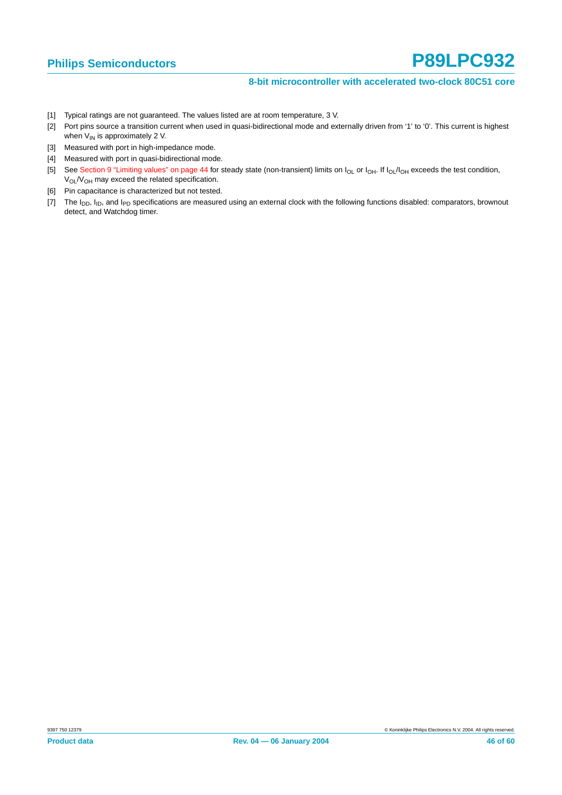#### **8-bit microcontroller with accelerated two-clock 80C51 core**

- <span id="page-45-0"></span>[1] Typical ratings are not guaranteed. The values listed are at room temperature, 3 V.
- <span id="page-45-6"></span>[2] Port pins source a transition current when used in quasi-bidirectional mode and externally driven from '1' to '0'. This current is highest when  $V_{IN}$  is approximately 2 V.
- <span id="page-45-5"></span>[3] Measured with port in high-impedance mode.
- <span id="page-45-4"></span>[4] Measured with port in quasi-bidirectional mode.
- <span id="page-45-2"></span>[5] See [Section 9 "Limiting values" on page 44](#page-43-1) for steady state (non-transient) limits on  $I_{OL}$  or  $I_{OH}$ . If  $I_{OL}/I_{OH}$  exceeds the test condition, V<sub>OL</sub>/V<sub>OH</sub> may exceed the related specification.
- <span id="page-45-3"></span>[6] Pin capacitance is characterized but not tested.
- <span id="page-45-1"></span>[7] The  $I_{DD}$ ,  $I_{ID}$ , and  $I_{PD}$  specifications are measured using an external clock with the following functions disabled: comparators, brownout detect, and Watchdog timer.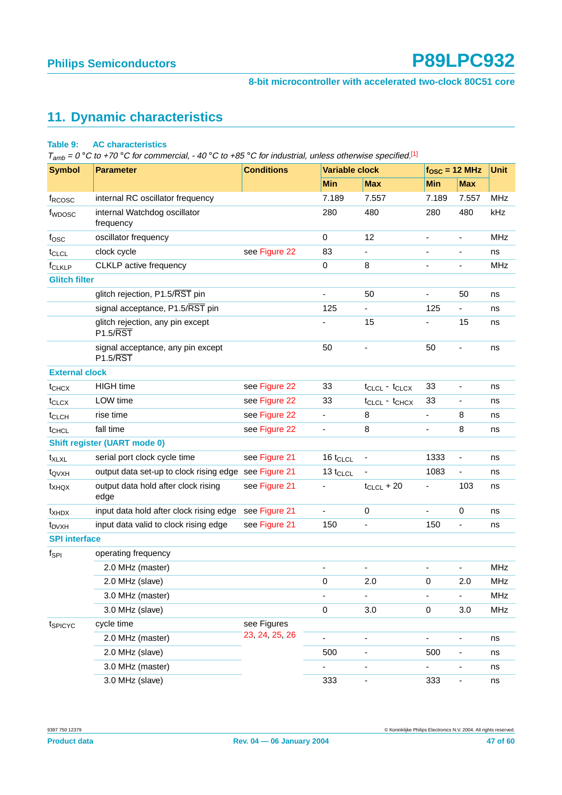#### **8-bit microcontroller with accelerated two-clock 80C51 core**

## <span id="page-46-1"></span>**11. Dynamic characteristics**

#### <span id="page-46-0"></span>**Table 9: AC characteristics**

 $T_{amb} = 0$  °C to +70 °C for commercial, -40 °C to +85 °C for industrial, unless otherwise specified.<sup>[\[1\]](#page-47-0)</sup>

| <b>Symbol</b>         | <b>Parameter</b>                                           | <b>Conditions</b> | <b>Variable clock</b>        |                              | $fOSC = 12 MHz$          |                          | <b>Unit</b> |  |
|-----------------------|------------------------------------------------------------|-------------------|------------------------------|------------------------------|--------------------------|--------------------------|-------------|--|
|                       |                                                            |                   | <b>Min</b>                   | <b>Max</b>                   | Min                      | <b>Max</b>               |             |  |
| f <sub>RCOSC</sub>    | internal RC oscillator frequency                           |                   | 7.189                        | 7.557                        | 7.189                    | 7.557                    | <b>MHz</b>  |  |
| f <sub>WDOSC</sub>    | internal Watchdog oscillator<br>frequency                  |                   | 280                          | 480                          | 280                      | 480                      | kHz         |  |
| fosc                  | oscillator frequency                                       |                   | $\mathbf 0$                  | 12                           | $\blacksquare$           | $\overline{\phantom{a}}$ | <b>MHz</b>  |  |
| t <sub>CLCL</sub>     | clock cycle                                                | see Figure 22     | 83                           |                              |                          |                          | ns          |  |
| f <sub>CLKLP</sub>    | <b>CLKLP</b> active frequency                              |                   | 0                            | 8                            | $\blacksquare$           | $\overline{\phantom{a}}$ | <b>MHz</b>  |  |
| <b>Glitch filter</b>  |                                                            |                   |                              |                              |                          |                          |             |  |
|                       | glitch rejection, P1.5/RST pin                             |                   | $\overline{\phantom{a}}$     | 50                           | $\overline{\phantom{a}}$ | 50                       | ns          |  |
|                       | signal acceptance, P1.5/RST pin                            |                   | 125                          | $\blacksquare$               | 125                      | $\overline{\phantom{a}}$ | ns          |  |
|                       | glitch rejection, any pin except<br>P1.5/RST               |                   |                              | 15                           | $\blacksquare$           | 15                       | ns          |  |
|                       | signal acceptance, any pin except<br>$P1.5/\overline{RST}$ |                   | 50                           |                              | 50                       | $\overline{\phantom{a}}$ | ns          |  |
| <b>External clock</b> |                                                            |                   |                              |                              |                          |                          |             |  |
| t <sub>CHCX</sub>     | <b>HIGH</b> time                                           | see Figure 22     | 33                           | $t_{CLCL} - t_{CLCX}$        | 33                       | $\overline{\phantom{a}}$ | ns          |  |
| $t_{CLCX}$            | LOW time                                                   | see Figure 22     | 33                           | $t_{CLCL} - t_{CHCX}$        | 33                       | $\overline{\phantom{a}}$ | ns          |  |
| t <sub>CLCH</sub>     | rise time                                                  | see Figure 22     | $\overline{\phantom{a}}$     | 8                            | $\overline{\phantom{a}}$ | 8                        | ns          |  |
| t <sub>CHCL</sub>     | fall time                                                  | see Figure 22     | $\qquad \qquad \blacksquare$ | 8                            | $\blacksquare$           | 8                        | ns          |  |
|                       | <b>Shift register (UART mode 0)</b>                        |                   |                              |                              |                          |                          |             |  |
| $t_{XLXL}$            | serial port clock cycle time                               | see Figure 21     | 16 t <sub>CLCL</sub>         |                              | 1333                     | $\overline{\phantom{a}}$ | ns          |  |
| t <sub>QVXH</sub>     | output data set-up to clock rising edge see Figure 21      |                   | $13 t_{CLCL}$                |                              | 1083                     | $\overline{\phantom{a}}$ | ns          |  |
| t <sub>XHQX</sub>     | output data hold after clock rising<br>edge                | see Figure 21     |                              | $t_{CLCL}$ + 20              |                          | 103                      | ns          |  |
| $t_{XHDX}$            | input data hold after clock rising edge see Figure 21      |                   | $\frac{1}{2}$                | $\mathbf 0$                  | $\overline{\phantom{a}}$ | $\pmb{0}$                | ns          |  |
| $t_{DVXH}$            | input data valid to clock rising edge                      | see Figure 21     | 150                          |                              | 150                      | $\overline{\phantom{a}}$ | ns          |  |
| <b>SPI</b> interface  |                                                            |                   |                              |                              |                          |                          |             |  |
| $f_{\mathsf{SPI}}$    | operating frequency                                        |                   |                              |                              |                          |                          |             |  |
|                       | 2.0 MHz (master)                                           |                   | $\qquad \qquad \blacksquare$ | $\overline{\phantom{a}}$     | $\overline{a}$           | $\blacksquare$           | <b>MHz</b>  |  |
|                       | 2.0 MHz (slave)                                            |                   | 0                            | 2.0                          | 0                        | 2.0                      | MHz         |  |
|                       | 3.0 MHz (master)                                           |                   | -                            | $\overline{\phantom{a}}$     |                          | $\overline{\phantom{0}}$ | MHz         |  |
|                       | 3.0 MHz (slave)                                            |                   | $\pmb{0}$                    | 3.0                          | 0                        | 3.0                      | MHz         |  |
| tspicyc               | cycle time                                                 | see Figures       |                              |                              |                          |                          |             |  |
|                       | 2.0 MHz (master)                                           | 23, 24, 25, 26    |                              | $\overline{a}$               | $\overline{\phantom{a}}$ |                          | ns          |  |
|                       | 2.0 MHz (slave)                                            |                   | 500                          | ٠                            | 500                      | -                        | ns          |  |
|                       | 3.0 MHz (master)                                           |                   | -                            |                              |                          | ۰                        | ns          |  |
|                       | 3.0 MHz (slave)                                            |                   | 333                          | $\qquad \qquad \blacksquare$ | 333                      | ۰                        | ns          |  |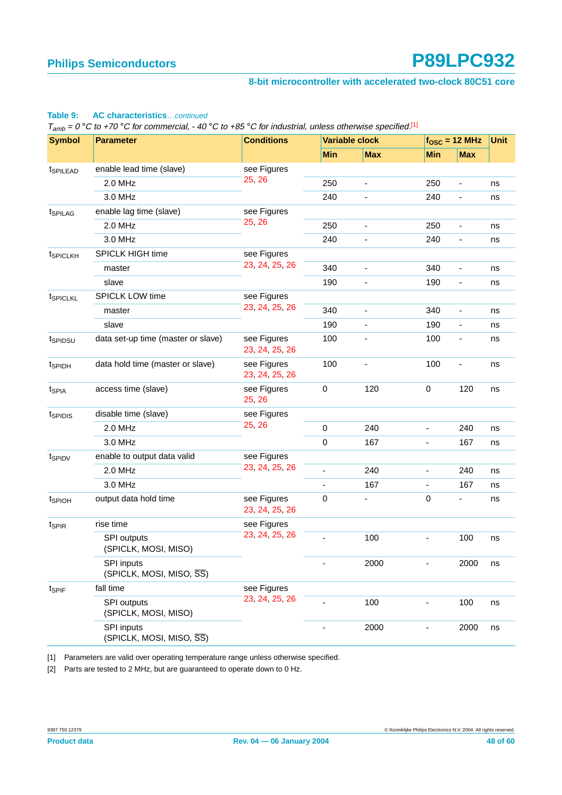#### **8-bit microcontroller with accelerated two-clock 80C51 core**

#### **Table 9: AC characteristics**…continued

 $T_{amb} = 0$  °C to +70 °C for commercial, -40 °C to +85 °C for industrial, unless otherwise specified.<sup>[1]</sup>

| <b>Symbol</b>        | <b>Parameter</b>                       | <b>Conditions</b>             |                              | <b>Variable clock</b>        |                              | $fOSC = 12 MHz$          |    |
|----------------------|----------------------------------------|-------------------------------|------------------------------|------------------------------|------------------------------|--------------------------|----|
|                      |                                        |                               | <b>Min</b>                   | <b>Max</b>                   | <b>Min</b>                   | <b>Max</b>               |    |
| t <sub>SPILEAD</sub> | enable lead time (slave)               | see Figures                   |                              |                              |                              |                          |    |
|                      | 2.0 MHz                                | 25, 26                        | 250                          | $\overline{\phantom{a}}$     | 250                          | $\overline{\phantom{a}}$ | ns |
|                      | 3.0 MHz                                |                               | 240                          | $\overline{\phantom{a}}$     | 240                          | $\overline{\phantom{a}}$ | ns |
| t <sub>SPILAG</sub>  | enable lag time (slave)                | see Figures                   |                              |                              |                              |                          |    |
|                      | 2.0 MHz                                | 25, 26                        | 250                          | $\overline{\phantom{a}}$     | 250                          | $\overline{\phantom{a}}$ | ns |
|                      | 3.0 MHz                                |                               | 240                          |                              | 240                          |                          | ns |
| tspiclkh             | SPICLK HIGH time                       | see Figures                   |                              |                              |                              |                          |    |
|                      | master                                 | 23, 24, 25, 26                | 340                          | $\overline{\phantom{a}}$     | 340                          | $\overline{\phantom{0}}$ | ns |
|                      | slave                                  |                               | 190                          | $\qquad \qquad \blacksquare$ | 190                          | $\overline{\phantom{a}}$ | ns |
| tspicLKL             | <b>SPICLK LOW time</b>                 | see Figures                   |                              |                              |                              |                          |    |
|                      | master                                 | 23, 24, 25, 26                | 340                          | $\overline{\phantom{a}}$     | 340                          | $\overline{\phantom{a}}$ | ns |
|                      | slave                                  |                               | 190                          | $\overline{\phantom{a}}$     | 190                          | -                        | ns |
| tspipsu              | data set-up time (master or slave)     | see Figures<br>23, 24, 25, 26 | 100                          | $\overline{\phantom{a}}$     | 100                          | $\overline{\phantom{a}}$ | ns |
| t <sub>SPIDH</sub>   | data hold time (master or slave)       | see Figures<br>23, 24, 25, 26 | 100                          |                              | 100                          |                          | ns |
| t <sub>SPIA</sub>    | access time (slave)                    | see Figures<br>25, 26         | $\pmb{0}$                    | 120                          | $\mathbf 0$                  | 120                      | ns |
| tspidis              | disable time (slave)                   | see Figures                   |                              |                              |                              |                          |    |
|                      | 2.0 MHz                                | 25, 26                        | $\pmb{0}$                    | 240                          | $\qquad \qquad \blacksquare$ | 240                      | ns |
|                      | 3.0 MHz                                |                               | 0                            | 167                          |                              | 167                      | ns |
| t <sub>SPIDV</sub>   | enable to output data valid            | see Figures                   |                              |                              |                              |                          |    |
|                      | 2.0 MHz                                | 23, 24, 25, 26                | $\overline{a}$               | 240                          | ÷,                           | 240                      | ns |
|                      | 3.0 MHz                                |                               | $\overline{\phantom{a}}$     | 167                          | $\overline{\phantom{0}}$     | 167                      | ns |
| t <sub>SPIOH</sub>   | output data hold time                  | see Figures<br>23, 24, 25, 26 | 0                            |                              | 0                            | $\overline{\phantom{a}}$ | ns |
| t <sub>SPIR</sub>    | rise time                              | see Figures                   |                              |                              |                              |                          |    |
|                      | SPI outputs<br>(SPICLK, MOSI, MISO)    | 23, 24, 25, 26                |                              | 100                          |                              | 100                      | ns |
|                      | SPI inputs<br>(SPICLK, MOSI, MISO, SS) |                               |                              | 2000                         |                              | 2000                     | ns |
| tspiF                | fall time                              | see Figures                   |                              |                              |                              |                          |    |
|                      | SPI outputs<br>(SPICLK, MOSI, MISO)    | 23, 24, 25, 26                |                              | 100                          |                              | 100                      | ns |
|                      | SPI inputs<br>(SPICLK, MOSI, MISO, SS) |                               | $\qquad \qquad \blacksquare$ | 2000                         | -                            | 2000                     | ns |

<span id="page-47-0"></span>[1] Parameters are valid over operating temperature range unless otherwise specified.

[2] Parts are tested to 2 MHz, but are guaranteed to operate down to 0 Hz.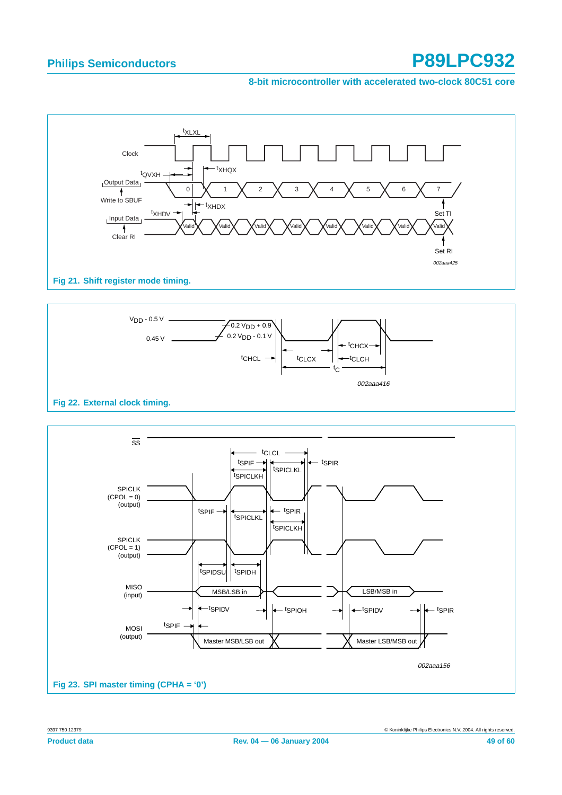#### **8-bit microcontroller with accelerated two-clock 80C51 core**



**Fig 21. Shift register mode timing.**



<span id="page-48-0"></span>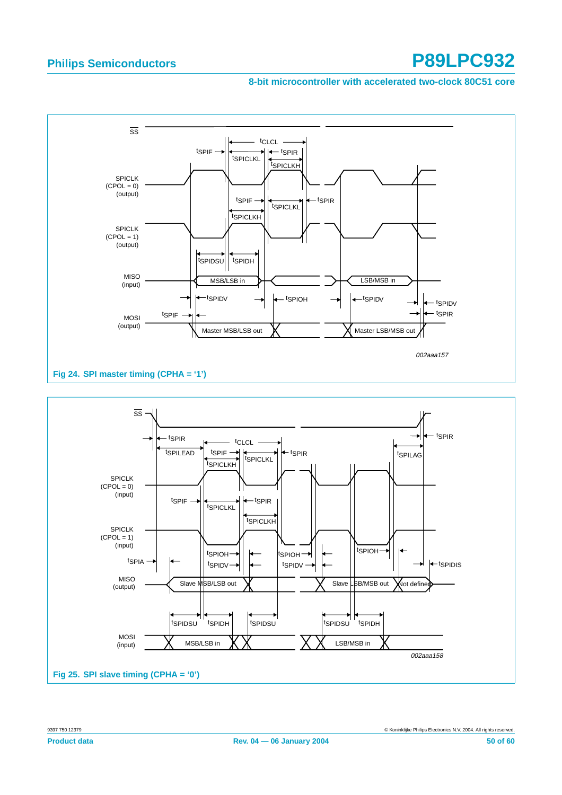#### **8-bit microcontroller with accelerated two-clock 80C51 core**

<span id="page-49-0"></span>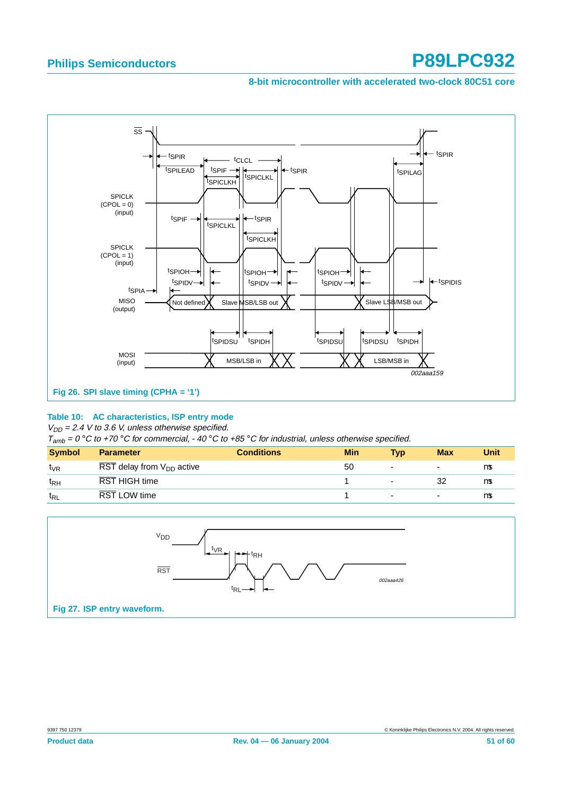#### **8-bit microcontroller with accelerated two-clock 80C51 core**



#### **Table 10: AC characteristics, ISP entry mode**

 $V_{DD} = 2.4$  V to 3.6 V, unless otherwise specified.

 $T_{amb} = 0$  °C to +70 °C for commercial, -40 °C to +85 °C for industrial, unless otherwise specified.

|                                                                                                                | <b>Max</b><br><b>Typ</b> | Unit |
|----------------------------------------------------------------------------------------------------------------|--------------------------|------|
| $\overline{\text{RST}}$ delay from $V_{\text{DD}}$ active<br>50<br>t <sub>∨R</sub><br>$\overline{\phantom{0}}$ | $\overline{\phantom{0}}$ | μs   |
| RST HIGH time<br>t <sub>RH</sub><br>$\overline{\phantom{0}}$                                                   | 32                       | μs   |
| <b>RST LOW time</b><br>t <sub>RL</sub><br>$\overline{\phantom{0}}$                                             | ۰                        | μs   |

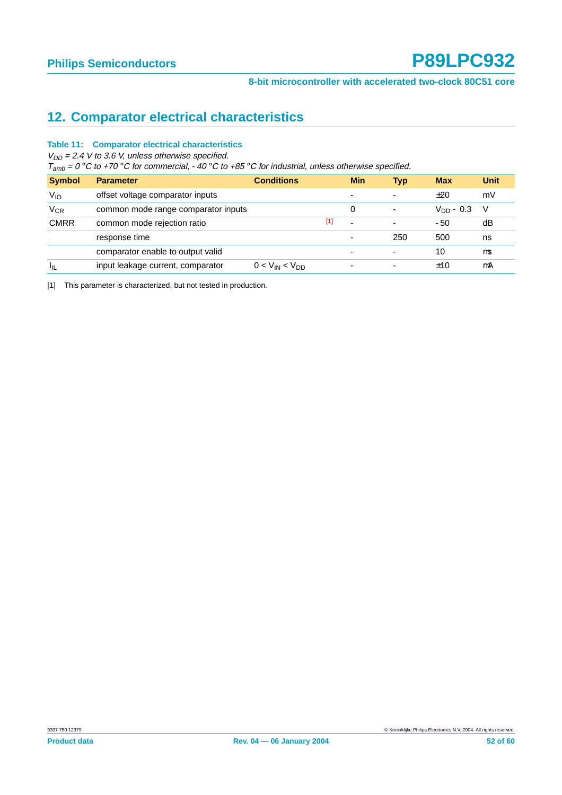## **12. Comparator electrical characteristics**

#### **Table 11: Comparator electrical characteristics**

 $V_{DD}$  = 2.4 V to 3.6 V, unless otherwise specified.

 $T_{amb} = 0^\circ \text{C}$  to +70 °C for commercial, -40 °C to +85 °C for industrial, unless otherwise specified.

| <b>Symbol</b> | <b>Parameter</b>                    | <b>Conditions</b>     |       | <b>Min</b>               | <b>Typ</b>               | <b>Max</b>     | <b>Unit</b> |
|---------------|-------------------------------------|-----------------------|-------|--------------------------|--------------------------|----------------|-------------|
| $V_{10}$      | offset voltage comparator inputs    |                       |       | -                        | $\overline{\phantom{0}}$ | ±20            | mV          |
| $V_{CR}$      | common mode range comparator inputs |                       |       | 0                        | ٠                        | $V_{DD} - 0.3$ | - V         |
| <b>CMRR</b>   | common mode rejection ratio         |                       | $[1]$ | $\overline{\phantom{a}}$ | ٠                        | $-50$          | dB          |
|               | response time                       |                       |       | $\overline{\phantom{a}}$ | 250                      | 500            | ns          |
|               | comparator enable to output valid   |                       |       |                          | ۰                        | 10             | μs          |
| $I_{\rm IL}$  | input leakage current, comparator   | $0 < V_{IN} < V_{DD}$ |       | $\overline{\phantom{0}}$ | ۰                        | ±10            | μA          |

<span id="page-51-0"></span>[1] This parameter is characterized, but not tested in production.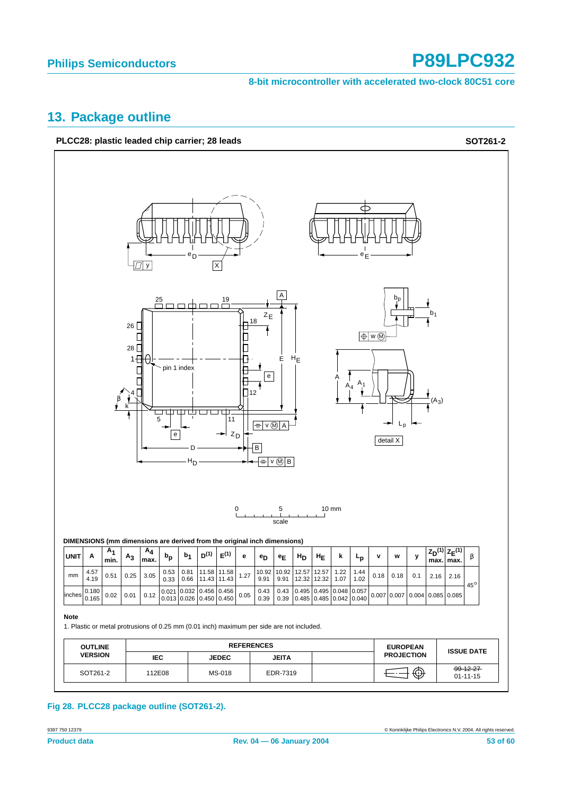**8-bit microcontroller with accelerated two-clock 80C51 core**

#### <span id="page-52-0"></span>**13. Package outline**



**Fig 28. PLCC28 package outline (SOT261-2).**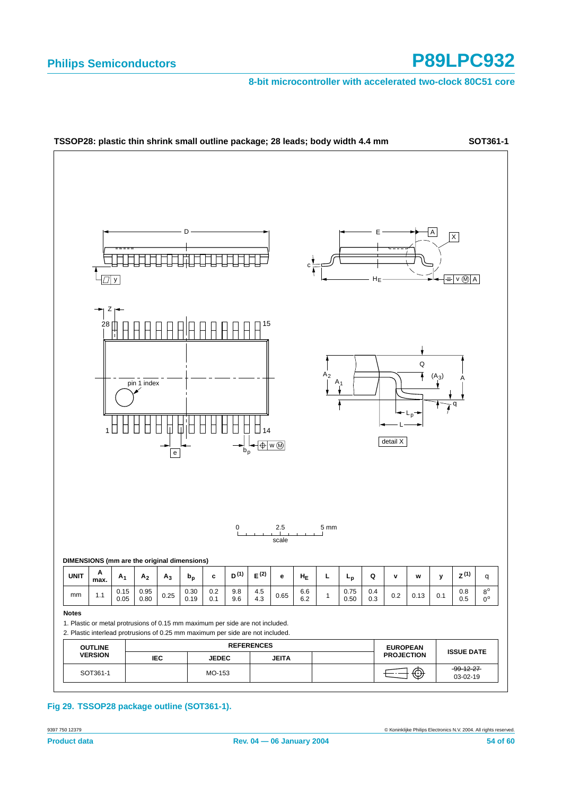**8-bit microcontroller with accelerated two-clock 80C51 core**



**Fig 29. TSSOP28 package outline (SOT361-1).**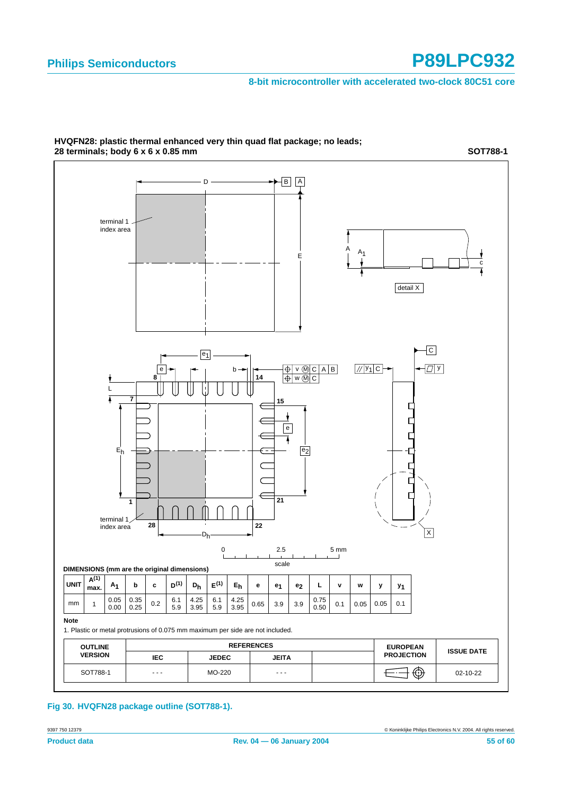**SOT788-1**

#### **8-bit microcontroller with accelerated two-clock 80C51 core**



**HVQFN28: plastic thermal enhanced very thin quad flat package; no leads; 28 terminals; body 6 x 6 x 0.85 mm**

**Fig 30. HVQFN28 package outline (SOT788-1).**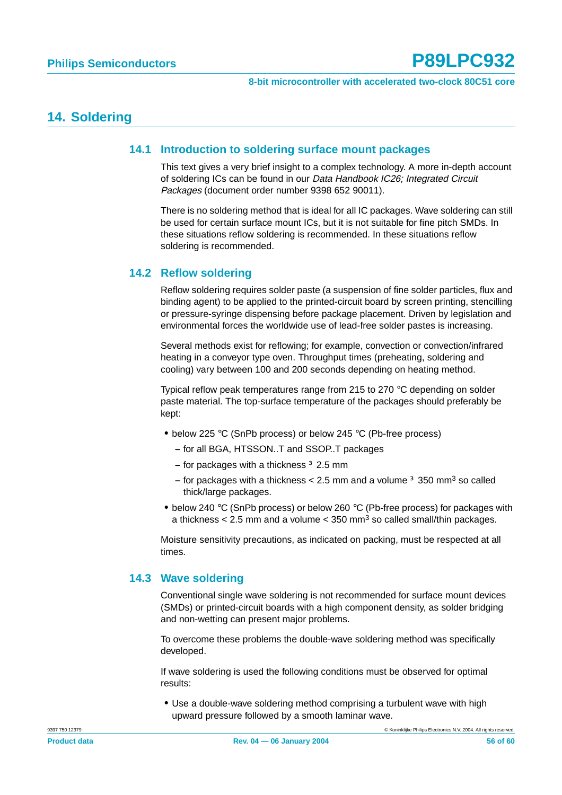#### **14. Soldering**

#### **14.1 Introduction to soldering surface mount packages**

This text gives a very brief insight to a complex technology. A more in-depth account of soldering ICs can be found in our Data Handbook IC26; Integrated Circuit Packages (document order number 9398 652 90011).

There is no soldering method that is ideal for all IC packages. Wave soldering can still be used for certain surface mount ICs, but it is not suitable for fine pitch SMDs. In these situations reflow soldering is recommended. In these situations reflow soldering is recommended.

#### **14.2 Reflow soldering**

Reflow soldering requires solder paste (a suspension of fine solder particles, flux and binding agent) to be applied to the printed-circuit board by screen printing, stencilling or pressure-syringe dispensing before package placement. Driven by legislation and environmental forces the worldwide use of lead-free solder pastes is increasing.

Several methods exist for reflowing; for example, convection or convection/infrared heating in a conveyor type oven. Throughput times (preheating, soldering and cooling) vary between 100 and 200 seconds depending on heating method.

Typical reflow peak temperatures range from 215 to 270 °C depending on solder paste material. The top-surface temperature of the packages should preferably be kept:

- **•** below 225 °C (SnPb process) or below 245 °C (Pb-free process)
	- **–** for all BGA, HTSSON..T and SSOP..T packages
	- **–** for packages with a thickness ≥ 2.5 mm
	- **–** for packages with a thickness < 2.5 mm and a volume ≥ 350 mm3 so called thick/large packages.
- **•** below 240 °C (SnPb process) or below 260 °C (Pb-free process) for packages with a thickness  $< 2.5$  mm and a volume  $< 350$  mm<sup>3</sup> so called small/thin packages.

Moisture sensitivity precautions, as indicated on packing, must be respected at all times.

#### **14.3 Wave soldering**

Conventional single wave soldering is not recommended for surface mount devices (SMDs) or printed-circuit boards with a high component density, as solder bridging and non-wetting can present major problems.

To overcome these problems the double-wave soldering method was specifically developed.

If wave soldering is used the following conditions must be observed for optimal results:

**•** Use a double-wave soldering method comprising a turbulent wave with high upward pressure followed by a smooth laminar wave.

9397 750 12379 © Koninklijke Philips Electronics N.V. 2004. All rights reserved.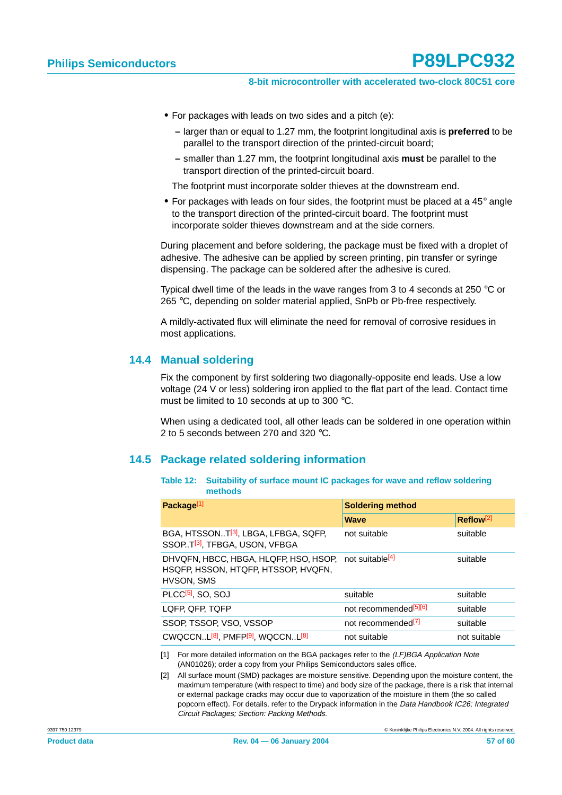#### **8-bit microcontroller with accelerated two-clock 80C51 core**

- **•** For packages with leads on two sides and a pitch (e):
	- **–** larger than or equal to 1.27 mm, the footprint longitudinal axis is **preferred** to be parallel to the transport direction of the printed-circuit board;
	- **–** smaller than 1.27 mm, the footprint longitudinal axis **must** be parallel to the transport direction of the printed-circuit board.

The footprint must incorporate solder thieves at the downstream end.

**•** For packages with leads on four sides, the footprint must be placed at a 45° angle to the transport direction of the printed-circuit board. The footprint must incorporate solder thieves downstream and at the side corners.

During placement and before soldering, the package must be fixed with a droplet of adhesive. The adhesive can be applied by screen printing, pin transfer or syringe dispensing. The package can be soldered after the adhesive is cured.

Typical dwell time of the leads in the wave ranges from 3 to 4 seconds at 250 °C or 265 °C, depending on solder material applied, SnPb or Pb-free respectively.

A mildly-activated flux will eliminate the need for removal of corrosive residues in most applications.

#### **14.4 Manual soldering**

Fix the component by first soldering two diagonally-opposite end leads. Use a low voltage (24 V or less) soldering iron applied to the flat part of the lead. Contact time must be limited to 10 seconds at up to 300 °C.

When using a dedicated tool, all other leads can be soldered in one operation within 2 to 5 seconds between 270 and 320 °C.

#### **14.5 Package related soldering information**

| Table 12: Suitability of surface mount IC packages for wave and reflow soldering |
|----------------------------------------------------------------------------------|
| methods                                                                          |

| Package <sup>[1]</sup>                                                                        | <b>Soldering method</b>           |                       |  |  |
|-----------------------------------------------------------------------------------------------|-----------------------------------|-----------------------|--|--|
|                                                                                               | <b>Wave</b>                       | Reflow <sup>[2]</sup> |  |  |
| BGA, HTSSONT <sup>[3]</sup> , LBGA, LFBGA, SQFP,<br>SSOPT <sup>[3]</sup> , TFBGA, USON, VFBGA | not suitable                      | suitable              |  |  |
| DHVQFN, HBCC, HBGA, HLQFP, HSO, HSOP,<br>HSQFP, HSSON, HTQFP, HTSSOP, HVQFN,<br>HVSON, SMS    | not suitable <sup>[4]</sup>       | suitable              |  |  |
| PLCC <sup>[5]</sup> , SO, SOJ                                                                 | suitable                          | suitable              |  |  |
| LQFP, QFP, TQFP                                                                               | not recommended <sup>[5][6]</sup> | suitable              |  |  |
| SSOP, TSSOP, VSO, VSSOP                                                                       | not recommended <sup>[7]</sup>    | suitable              |  |  |
| CWQCCNL <sup>[8]</sup> , PMFP <sup>[9]</sup> , WQCCNL <sup>[8]</sup>                          | not suitable                      | not suitable          |  |  |

[1] For more detailed information on the BGA packages refer to the (LF)BGA Application Note (AN01026); order a copy from your Philips Semiconductors sales office.

[2] All surface mount (SMD) packages are moisture sensitive. Depending upon the moisture content, the maximum temperature (with respect to time) and body size of the package, there is a risk that internal or external package cracks may occur due to vaporization of the moisture in them (the so called popcorn effect). For details, refer to the Drypack information in the Data Handbook IC26; Integrated Circuit Packages; Section: Packing Methods.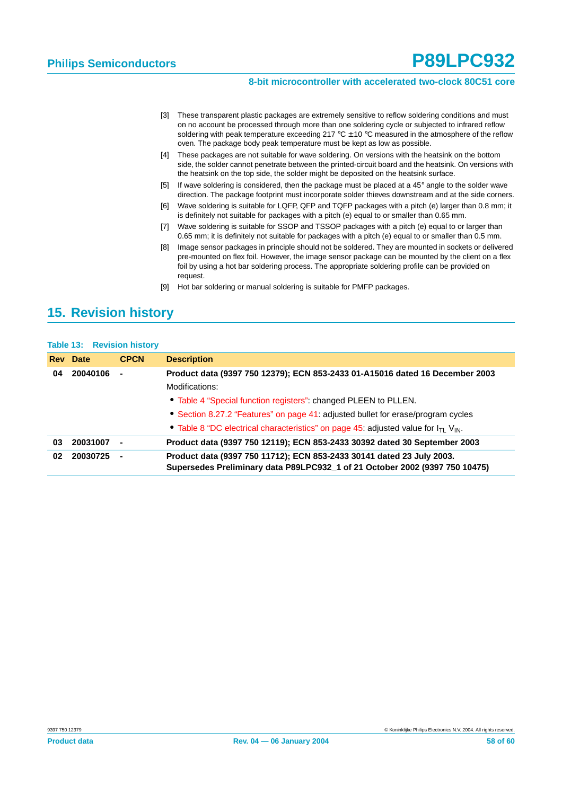- [3] These transparent plastic packages are extremely sensitive to reflow soldering conditions and must on no account be processed through more than one soldering cycle or subjected to infrared reflow soldering with peak temperature exceeding 217 °C  $\pm$  10 °C measured in the atmosphere of the reflow oven. The package body peak temperature must be kept as low as possible.
- [4] These packages are not suitable for wave soldering. On versions with the heatsink on the bottom side, the solder cannot penetrate between the printed-circuit board and the heatsink. On versions with the heatsink on the top side, the solder might be deposited on the heatsink surface.
- [5] If wave soldering is considered, then the package must be placed at a 45° angle to the solder wave direction. The package footprint must incorporate solder thieves downstream and at the side corners.
- [6] Wave soldering is suitable for LQFP, QFP and TQFP packages with a pitch (e) larger than 0.8 mm; it is definitely not suitable for packages with a pitch (e) equal to or smaller than 0.65 mm.
- [7] Wave soldering is suitable for SSOP and TSSOP packages with a pitch (e) equal to or larger than 0.65 mm; it is definitely not suitable for packages with a pitch (e) equal to or smaller than 0.5 mm.
- [8] Image sensor packages in principle should not be soldered. They are mounted in sockets or delivered pre-mounted on flex foil. However, the image sensor package can be mounted by the client on a flex foil by using a hot bar soldering process. The appropriate soldering profile can be provided on request.
- [9] Hot bar soldering or manual soldering is suitable for PMFP packages.

#### <span id="page-57-0"></span>**15. Revision history**

|    | <b>Table 13: Revision history</b> |             |                                                                                                                                                      |
|----|-----------------------------------|-------------|------------------------------------------------------------------------------------------------------------------------------------------------------|
|    | <b>Rev</b> Date                   | <b>CPCN</b> | <b>Description</b>                                                                                                                                   |
| 04 | 20040106                          |             | Product data (9397 750 12379); ECN 853-2433 01-A15016 dated 16 December 2003                                                                         |
|    |                                   |             | Modifications:                                                                                                                                       |
|    |                                   |             | • Table 4 "Special function registers": changed PLEEN to PLLEN.                                                                                      |
|    |                                   |             | • Section 8.27.2 "Features" on page 41: adjusted bullet for erase/program cycles                                                                     |
|    |                                   |             | • Table 8 "DC electrical characteristics" on page 45: adjusted value for $I_{\text{TI}}$ V <sub>IN</sub> .                                           |
| 03 | 20031007                          |             | Product data (9397 750 12119); ECN 853-2433 30392 dated 30 September 2003                                                                            |
| 02 | 20030725                          |             | Product data (9397 750 11712); ECN 853-2433 30141 dated 23 July 2003.<br>Supersedes Preliminary data P89LPC932_1 of 21 October 2002 (9397 750 10475) |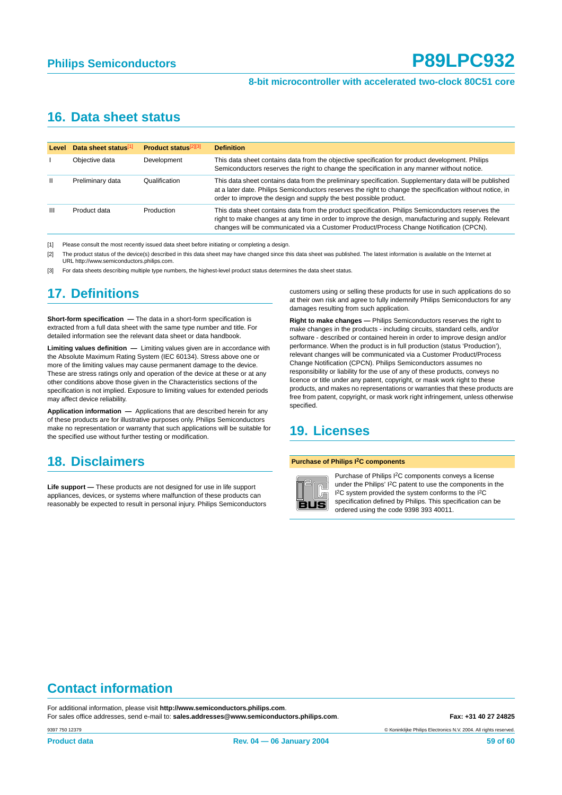#### **16. Data sheet status**

| <b>Level</b> | Data sheet status[1] | <b>Product status</b> <sup>[2][3]</sup> | <b>Definition</b>                                                                                                                                                                                                                                                                                    |
|--------------|----------------------|-----------------------------------------|------------------------------------------------------------------------------------------------------------------------------------------------------------------------------------------------------------------------------------------------------------------------------------------------------|
|              | Objective data       | Development                             | This data sheet contains data from the objective specification for product development. Philips<br>Semiconductors reserves the right to change the specification in any manner without notice.                                                                                                       |
| $\mathbf{H}$ | Preliminary data     | Qualification                           | This data sheet contains data from the preliminary specification. Supplementary data will be published<br>at a later date. Philips Semiconductors reserves the right to change the specification without notice, in<br>order to improve the design and supply the best possible product.             |
| Ш            | Product data         | Production                              | This data sheet contains data from the product specification. Philips Semiconductors reserves the<br>right to make changes at any time in order to improve the design, manufacturing and supply. Relevant<br>changes will be communicated via a Customer Product/Process Change Notification (CPCN). |

[1] Please consult the most recently issued data sheet before initiating or completing a design.

[2] The product status of the device(s) described in this data sheet may have changed since this data sheet was published. The latest information is available on the Internet at URL http://www.semiconductors.philips.com.

[3] For data sheets describing multiple type numbers, the highest-level product status determines the data sheet status.

## **17. Definitions**

**Short-form specification —** The data in a short-form specification is extracted from a full data sheet with the same type number and title. For detailed information see the relevant data sheet or data handbook.

**Limiting values definition —** Limiting values given are in accordance with the Absolute Maximum Rating System (IEC 60134). Stress above one or more of the limiting values may cause permanent damage to the device. These are stress ratings only and operation of the device at these or at any other conditions above those given in the Characteristics sections of the specification is not implied. Exposure to limiting values for extended periods may affect device reliability.

**Application information —** Applications that are described herein for any of these products are for illustrative purposes only. Philips Semiconductors make no representation or warranty that such applications will be suitable for the specified use without further testing or modification.

#### **18. Disclaimers**

**Life support —** These products are not designed for use in life support appliances, devices, or systems where malfunction of these products can reasonably be expected to result in personal injury. Philips Semiconductors customers using or selling these products for use in such applications do so at their own risk and agree to fully indemnify Philips Semiconductors for any damages resulting from such application.

**Right to make changes —** Philips Semiconductors reserves the right to make changes in the products - including circuits, standard cells, and/or software - described or contained herein in order to improve design and/or performance. When the product is in full production (status 'Production'), relevant changes will be communicated via a Customer Product/Process Change Notification (CPCN). Philips Semiconductors assumes no responsibility or liability for the use of any of these products, conveys no licence or title under any patent, copyright, or mask work right to these products, and makes no representations or warranties that these products are free from patent, copyright, or mask work right infringement, unless otherwise specified.

#### **19. Licenses**

#### **Purchase of Philips I2C components**



Purchase of Philips I2C components conveys a license under the Philips' I2C patent to use the components in the I<sup>2</sup>C system provided the system conforms to the I<sup>2</sup>C specification defined by Philips. This specification can be ordered using the code 9398 393 40011.

## **Contact information**

For additional information, please visit **http://www.semiconductors.philips.com**. For sales office addresses, send e-mail to: **sales.addresses@www.semiconductors.philips.com**. **Fax: +31 40 27 24825**

© Koninklijke Philips Electronics N.V. 2004. All rights reserved.

9397 750 12379